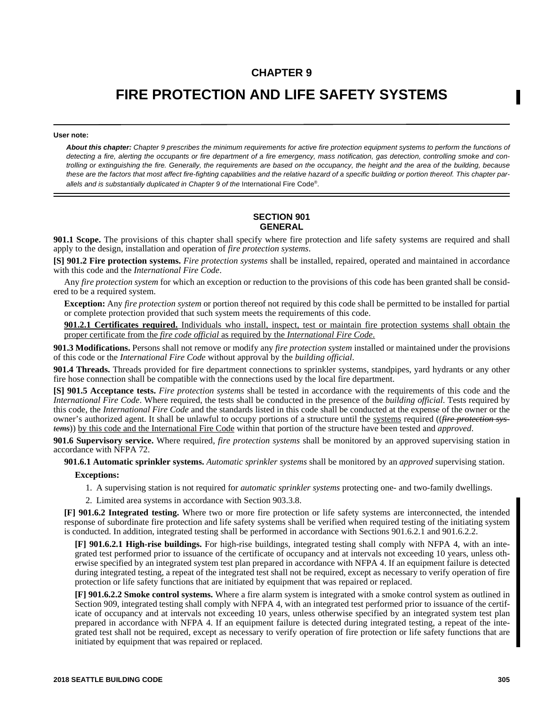# **CHAPTER 9**

# **FIRE PROTECTION AND LIFE SAFETY SYSTEMS**

#### **User note:**

*About this chapter: Chapter 9 prescribes the minimum requirements for active fire protection equipment systems to perform the functions of detecting a fire, alerting the occupants or fire department of a fire emergency, mass notification, gas detection, controlling smoke and controlling or extinguishing the fire. Generally, the requirements are based on the occupancy, the height and the area of the building, because these are the factors that most affect fire-fighting capabilities and the relative hazard of a specific building or portion thereof. This chapter par*allels and is substantially duplicated in Chapter 9 of the International Fire Code®.

## **SECTION 901 GENERAL**

**901.1 Scope.** The provisions of this chapter shall specify where fire protection and life safety systems are required and shall apply to the design, installation and operation of *fire protection systems*.

**[S] 901.2 Fire protection systems.** *Fire protection systems* shall be installed, repaired, operated and maintained in accordance with this code and the *International Fire Code*.

Any *fire protection system* for which an exception or reduction to the provisions of this code has been granted shall be considered to be a required system.

**Exception:** Any *fire protection system* or portion thereof not required by this code shall be permitted to be installed for partial or complete protection provided that such system meets the requirements of this code.

**901.2.1 Certificates required.** Individuals who install, inspect, test or maintain fire protection systems shall obtain the proper certificate from the *fire code official* as required by the *International Fire Code*.

**901.3 Modifications.** Persons shall not remove or modify any *fire protection system* installed or maintained under the provisions of this code or the *International Fire Code* without approval by the *building official*.

**901.4 Threads.** Threads provided for fire department connections to sprinkler systems, standpipes, yard hydrants or any other fire hose connection shall be compatible with the connections used by the local fire department.

**[S] 901.5 Acceptance tests.** *Fire protection systems* shall be tested in accordance with the requirements of this code and the *International Fire Code*. Where required, the tests shall be conducted in the presence of the *building official*. Tests required by this code, the *International Fire Code* and the standards listed in this code shall be conducted at the expense of the owner or the owner's authorized agent. It shall be unlawful to occupy portions of a structure until the systems required ((*fire protection systems*)) by this code and the International Fire Code within that portion of the structure have been tested and *approved*.

**901.6 Supervisory service.** Where required, *fire protection systems* shall be monitored by an approved supervising station in accordance with NFPA 72.

**901.6.1 Automatic sprinkler systems.** *Automatic sprinkler systems* shall be monitored by an *approved* supervising station.

#### **Exceptions:**

1. A supervising station is not required for *automatic sprinkler systems* protecting one- and two-family dwellings.

2. Limited area systems in accordance with Section 903.3.8.

**[F] 901.6.2 Integrated testing.** Where two or more fire protection or life safety systems are interconnected, the intended response of subordinate fire protection and life safety systems shall be verified when required testing of the initiating system is conducted. In addition, integrated testing shall be performed in accordance with Sections 901.6.2.1 and 901.6.2.2.

**[F] 901.6.2.1 High-rise buildings.** For high-rise buildings, integrated testing shall comply with NFPA 4, with an integrated test performed prior to issuance of the certificate of occupancy and at intervals not exceeding 10 years, unless otherwise specified by an integrated system test plan prepared in accordance with NFPA 4. If an equipment failure is detected during integrated testing, a repeat of the integrated test shall not be required, except as necessary to verify operation of fire protection or life safety functions that are initiated by equipment that was repaired or replaced.

**[F] 901.6.2.2 Smoke control systems.** Where a fire alarm system is integrated with a smoke control system as outlined in Section 909, integrated testing shall comply with NFPA 4, with an integrated test performed prior to issuance of the certificate of occupancy and at intervals not exceeding 10 years, unless otherwise specified by an integrated system test plan prepared in accordance with NFPA 4. If an equipment failure is detected during integrated testing, a repeat of the integrated test shall not be required, except as necessary to verify operation of fire protection or life safety functions that are initiated by equipment that was repaired or replaced.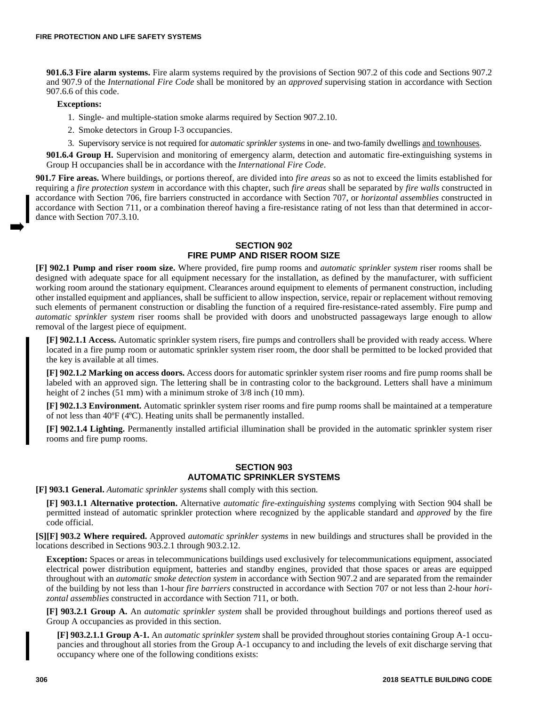**901.6.3 Fire alarm systems.** Fire alarm systems required by the provisions of Section 907.2 of this code and Sections 907.2 and 907.9 of the *International Fire Code* shall be monitored by an *approved* supervising station in accordance with Section 907.6.6 of this code.

#### **Exceptions:**

- 1. Single- and multiple-station smoke alarms required by Section 907.2.10.
- 2. Smoke detectors in Group I-3 occupancies.
- 3. Supervisory service is not required for *automatic sprinkler systems* in one- and two-family dwellings and townhouses.

**901.6.4 Group H.** Supervision and monitoring of emergency alarm, detection and automatic fire-extinguishing systems in Group H occupancies shall be in accordance with the *International Fire Code*.

**901.7 Fire areas.** Where buildings, or portions thereof, are divided into *fire areas* so as not to exceed the limits established for requiring a *fire protection system* in accordance with this chapter, such *fire areas* shall be separated by *fire walls* constructed in accordance with Section 706, fire barriers constructed in accordance with Section 707, or *horizontal assemblies* constructed in accordance with Section 711, or a combination thereof having a fire-resistance rating of not less than that determined in accordance with Section 707.3.10.

## **SECTION 902 FIRE PUMP AND RISER ROOM SIZE**

**[F] 902.1 Pump and riser room size.** Where provided, fire pump rooms and *automatic sprinkler system* riser rooms shall be designed with adequate space for all equipment necessary for the installation, as defined by the manufacturer, with sufficient working room around the stationary equipment. Clearances around equipment to elements of permanent construction, including other installed equipment and appliances, shall be sufficient to allow inspection, service, repair or replacement without removing such elements of permanent construction or disabling the function of a required fire-resistance-rated assembly. Fire pump and *automatic sprinkler system* riser rooms shall be provided with doors and unobstructed passageways large enough to allow removal of the largest piece of equipment.

**[F] 902.1.1 Access.** Automatic sprinkler system risers, fire pumps and controllers shall be provided with ready access. Where located in a fire pump room or automatic sprinkler system riser room, the door shall be permitted to be locked provided that the key is available at all times.

**[F] 902.1.2 Marking on access doors.** Access doors for automatic sprinkler system riser rooms and fire pump rooms shall be labeled with an approved sign. The lettering shall be in contrasting color to the background. Letters shall have a minimum height of 2 inches (51 mm) with a minimum stroke of  $3/8$  inch (10 mm).

**[F] 902.1.3 Environment.** Automatic sprinkler system riser rooms and fire pump rooms shall be maintained at a temperature of not less than 40ºF (4ºC). Heating units shall be permanently installed.

**[F] 902.1.4 Lighting.** Permanently installed artificial illumination shall be provided in the automatic sprinkler system riser rooms and fire pump rooms.

#### **SECTION 903 AUTOMATIC SPRINKLER SYSTEMS**

**[F] 903.1 General.** *Automatic sprinkler systems* shall comply with this section.

**[F] 903.1.1 Alternative protection.** Alternative *automatic fire-extinguishing systems* complying with Section 904 shall be permitted instead of automatic sprinkler protection where recognized by the applicable standard and *approved* by the fire code official.

**[S][F] 903.2 Where required.** Approved *automatic sprinkler systems* in new buildings and structures shall be provided in the locations described in Sections 903.2.1 through 903.2.12.

**Exception:** Spaces or areas in telecommunications buildings used exclusively for telecommunications equipment, associated electrical power distribution equipment, batteries and standby engines, provided that those spaces or areas are equipped throughout with an *automatic smoke detection system* in accordance with Section 907.2 and are separated from the remainder of the building by not less than 1-hour *fire barriers* constructed in accordance with Section 707 or not less than 2-hour *horizontal assemblies* constructed in accordance with Section 711, or both.

**[F] 903.2.1 Group A.** An *automatic sprinkler system* shall be provided throughout buildings and portions thereof used as Group A occupancies as provided in this section.

**[F] 903.2.1.1 Group A-1.** An *automatic sprinkler system* shall be provided throughout stories containing Group A-1 occupancies and throughout all stories from the Group A-1 occupancy to and including the levels of exit discharge serving that occupancy where one of the following conditions exists: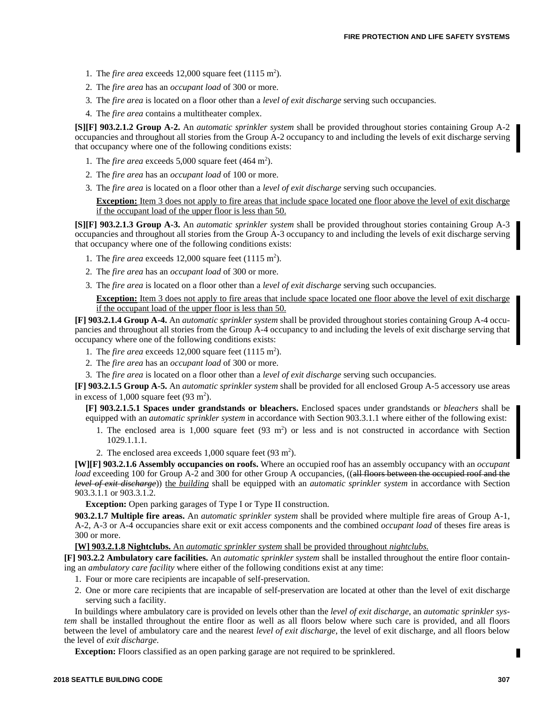- 1. The *fire area* exceeds  $12,000$  square feet  $(1115 \text{ m}^2)$ .
- 2. The *fire area* has an *occupant load* of 300 or more.
- 3. The *fire area* is located on a floor other than a *level of exit discharge* serving such occupancies.
- 4. The *fire area* contains a multitheater complex.

**[S][F] 903.2.1.2 Group A-2.** An *automatic sprinkler system* shall be provided throughout stories containing Group A-2 occupancies and throughout all stories from the Group A-2 occupancy to and including the levels of exit discharge serving that occupancy where one of the following conditions exists:

- 1. The *fire area* exceeds  $5,000$  square feet  $(464 \text{ m}^2)$ .
- 2. The *fire area* has an *occupant load* of 100 or more.
- 3. The *fire area* is located on a floor other than a *level of exit discharge* serving such occupancies.

**Exception:** Item 3 does not apply to fire areas that include space located one floor above the level of exit discharge if the occupant load of the upper floor is less than 50.

**[S][F] 903.2.1.3 Group A-3.** An *automatic sprinkler system* shall be provided throughout stories containing Group A-3 occupancies and throughout all stories from the Group A-3 occupancy to and including the levels of exit discharge serving that occupancy where one of the following conditions exists:

- 1. The *fire area* exceeds  $12,000$  square feet  $(1115 \text{ m}^2)$ .
- 2. The *fire area* has an *occupant load* of 300 or more.
- 3. The *fire area* is located on a floor other than a *level of exit discharge* serving such occupancies.

**Exception:** Item 3 does not apply to fire areas that include space located one floor above the level of exit discharge if the occupant load of the upper floor is less than 50.

**[F] 903.2.1.4 Group A-4.** An *automatic sprinkler system* shall be provided throughout stories containing Group A-4 occupancies and throughout all stories from the Group A-4 occupancy to and including the levels of exit discharge serving that occupancy where one of the following conditions exists:

- 1. The *fire area* exceeds  $12,000$  square feet  $(1115 \text{ m}^2)$ .
- 2. The *fire area* has an *occupant load* of 300 or more.
- 3. The *fire area* is located on a floor other than a *level of exit discharge* serving such occupancies.

**[F] 903.2.1.5 Group A-5.** An *automatic sprinkler system* shall be provided for all enclosed Group A-5 accessory use areas in excess of  $1,000$  square feet  $(93 \text{ m}^2)$ .

**[F] 903.2.1.5.1 Spaces under grandstands or bleachers.** Enclosed spaces under grandstands or *bleachers* shall be equipped with an *automatic sprinkler system* in accordance with Section 903.3.1.1 where either of the following exist:

- 1. The enclosed area is 1,000 square feet  $(93 \text{ m}^2)$  or less and is not constructed in accordance with Section 1029.1.1.1.
- 2. The enclosed area exceeds  $1,000$  square feet  $(93 \text{ m}^2)$ .

**[W][F] 903.2.1.6 Assembly occupancies on roofs.** Where an occupied roof has an assembly occupancy with an *occupant load* exceeding 100 for Group A-2 and 300 for other Group A occupancies, ((all floors between the occupied roof and the *level of exit discharge*)) the *building* shall be equipped with an *automatic sprinkler system* in accordance with Section 903.3.1.1 or 903.3.1.2.

**Exception:** Open parking garages of Type I or Type II construction.

**903.2.1.7 Multiple fire areas.** An *automatic sprinkler system* shall be provided where multiple fire areas of Group A-1, A-2, A-3 or A-4 occupancies share exit or exit access components and the combined *occupant load* of theses fire areas is 300 or more.

**[W] 903.2.1.8 Nightclubs.** An *automatic sprinkler system* shall be provided throughout *nightclubs.*

**[F] 903.2.2 Ambulatory care facilities.** An *automatic sprinkler system* shall be installed throughout the entire floor containing an *ambulatory care facility* where either of the following conditions exist at any time:

- 1. Four or more care recipients are incapable of self-preservation.
- 2. One or more care recipients that are incapable of self-preservation are located at other than the level of exit discharge serving such a facility.

In buildings where ambulatory care is provided on levels other than the *level of exit discharge*, an *automatic sprinkler system* shall be installed throughout the entire floor as well as all floors below where such care is provided, and all floors between the level of ambulatory care and the nearest *level of exit discharge*, the level of exit discharge, and all floors below the level of *exit discharge*.

**Exception:** Floors classified as an open parking garage are not required to be sprinklered.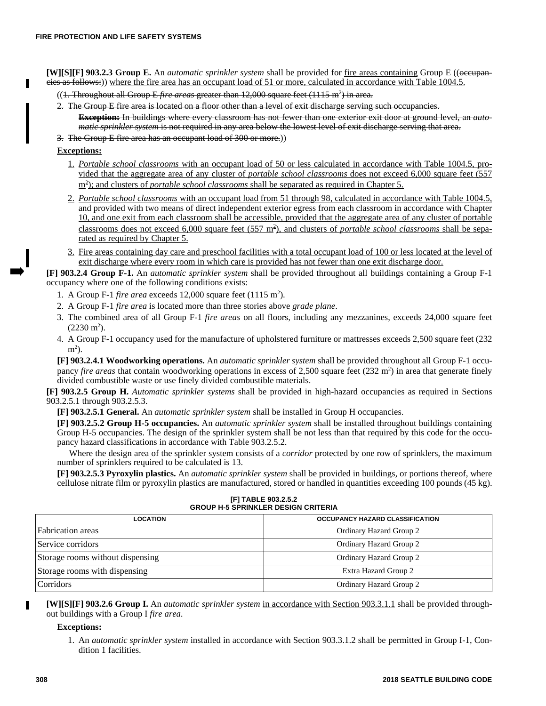**[W][S][F] 903.2.3 Group E.** An *automatic sprinkler system* shall be provided for fire areas containing Group E ((occupancies as follows:)) where the fire area has an occupant load of 51 or more, calculated in accordance with Table 1004.5.

((<del>1. Throughout all Group E *fire areas* greater than 12,000 square feet (1115 m<sup>2</sup>) in area.</del>

- 2. The Group E fire area is located on a floor other than a level of exit discharge serving such occupancies. **Exception:** In buildings where every classroom has not fewer than one exterior exit door at ground level, an *automatic sprinkler system* is not required in any area below the lowest level of exit discharge serving that area.
- 3. The Group E fire area has an occupant load of 300 or more.))

#### **Exceptions:**

- 1. *Portable school classrooms* with an occupant load of 50 or less calculated in accordance with Table 1004.5, provided that the aggregate area of any cluster of *portable school classrooms* does not exceed 6,000 square feet (557 m<sup>2</sup>); and clusters of *portable school classrooms* shall be separated as required in Chapter 5.
- 2. *Portable school classrooms* with an occupant load from 51 through 98, calculated in accordance with Table 1004.5, and provided with two means of direct independent exterior egress from each classroom in accordance with Chapter 10, and one exit from each classroom shall be accessible, provided that the aggregate area of any cluster of portable classrooms does not exceed 6,000 square feet (557 m<sup>2</sup>), and clusters of *portable school classrooms* shall be separated as required by Chapter 5.
- 3. Fire areas containing day care and preschool facilities with a total occupant load of 100 or less located at the level of exit discharge where every room in which care is provided has not fewer than one exit discharge door.

**[F] 903.2.4 Group F-1.** An *automatic sprinkler system* shall be provided throughout all buildings containing a Group F-1 occupancy where one of the following conditions exists:

- 1. A Group F-1 *fire area* exceeds  $12,000$  square feet  $(1115 \text{ m}^2)$ .
- 2. A Group F-1 *fire area* is located more than three stories above *grade plane*.
- 3. The combined area of all Group F-1 *fire areas* on all floors, including any mezzanines, exceeds 24,000 square feet  $(2230 \text{ m}^2).$
- 4. A Group F-1 occupancy used for the manufacture of upholstered furniture or mattresses exceeds 2,500 square feet (232  $m<sup>2</sup>$ ).

**[F] 903.2.4.1 Woodworking operations.** An *automatic sprinkler system* shall be provided throughout all Group F-1 occupancy *fire areas* that contain woodworking operations in excess of 2,500 square feet (232 m<sup>2</sup>) in area that generate finely divided combustible waste or use finely divided combustible materials.

**[F] 903.2.5 Group H.** *Automatic sprinkler systems* shall be provided in high-hazard occupancies as required in Sections 903.2.5.1 through 903.2.5.3.

**[F] 903.2.5.1 General.** An *automatic sprinkler system* shall be installed in Group H occupancies.

**[F] 903.2.5.2 Group H-5 occupancies.** An *automatic sprinkler system* shall be installed throughout buildings containing Group H-5 occupancies. The design of the sprinkler system shall be not less than that required by this code for the occupancy hazard classifications in accordance with Table 903.2.5.2.

Where the design area of the sprinkler system consists of a *corridor* protected by one row of sprinklers, the maximum number of sprinklers required to be calculated is 13.

**[F] 903.2.5.3 Pyroxylin plastics.** An *automatic sprinkler system* shall be provided in buildings, or portions thereof, where cellulose nitrate film or pyroxylin plastics are manufactured, stored or handled in quantities exceeding 100 pounds (45 kg).

**[F] TABLE 903.2.5.2 GROUP H-5 SPRINKLER DESIGN CRITERIA**

| <b>LOCATION</b>                  | OCCUPANCY HAZARD CLASSIFICATION |
|----------------------------------|---------------------------------|
| <b>Fabrication</b> areas         | Ordinary Hazard Group 2         |
| Service corridors                | Ordinary Hazard Group 2         |
| Storage rooms without dispensing | Ordinary Hazard Group 2         |
| Storage rooms with dispensing    | Extra Hazard Group 2            |
| Corridors                        | Ordinary Hazard Group 2         |

**[W][S][F] 903.2.6 Group I.** An *automatic sprinkler system* in accordance with Section 903.3.1.1 shall be provided throughout buildings with a Group I *fire area.*

#### **Exceptions:**

1. An *automatic sprinkler system* installed in accordance with Section 903.3.1.2 shall be permitted in Group I-1, Condition 1 facilities.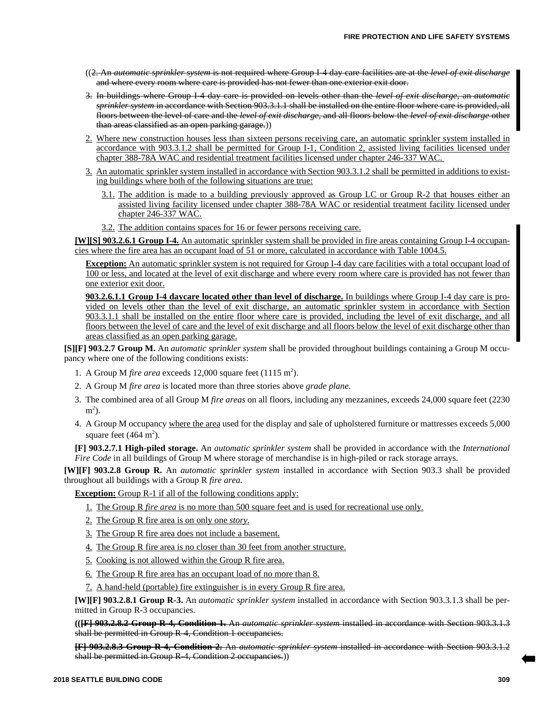- ((2. An *automatic sprinkler system* is not required where Group I-4 day care facilities are at the *level of exit discharge* and where every room where care is provided has not fewer than one exterior exit door.
- 3. In buildings where Group I-4 day care is provided on levels other than the *level of exit discharge,* an *automatic sprinkler system* in accordance with Section 903.3.1.1 shall be installed on the entire floor where care is provided, all floors between the level of care and the *level of exit discharge,* and all floors below the *level of exit discharge* other than areas classified as an open parking garage.))
- 2. Where new construction houses less than sixteen persons receiving care, an automatic sprinkler system installed in accordance with 903.3.1.2 shall be permitted for Group I-1, Condition 2, assisted living facilities licensed under chapter 388-78A WAC and residential treatment facilities licensed under chapter 246-337 WAC.
- 3. An automatic sprinkler system installed in accordance with Section 903.3.1.2 shall be permitted in additions to existing buildings where both of the following situations are true:
	- 3.1. The addition is made to a building previously approved as Group LC or Group R-2 that houses either an assisted living facility licensed under chapter 388-78A WAC or residential treatment facility licensed under chapter 246-337 WAC.
	- 3.2. The addition contains spaces for 16 or fewer persons receiving care.

**[W][S] 903.2.6.1 Group I-4.** An automatic sprinkler system shall be provided in fire areas containing Group I-4 occupancies where the fire area has an occupant load of 51 or more, calculated in accordance with Table 1004.5.

**Exception:** An automatic sprinkler system is not required for Group I-4 day care facilities with a total occupant load of 100 or less, and located at the level of exit discharge and where every room where care is provided has not fewer than one exterior exit door.

**903.2.6.1.1 Group I-4 daycare located other than level of discharge.** In buildings where Group I-4 day care is provided on levels other than the level of exit discharge, an automatic sprinkler system in accordance with Section 903.3.1.1 shall be installed on the entire floor where care is provided, including the level of exit discharge, and all floors between the level of care and the level of exit discharge and all floors below the level of exit discharge other than areas classified as an open parking garage.

**[S][F] 903.2.7 Group M.** An *automatic sprinkler system* shall be provided throughout buildings containing a Group M occupancy where one of the following conditions exists:

- 1. A Group M *fire area* exceeds 12,000 square feet (1115 m<sup>2</sup>).
- 2. A Group M *fire area* is located more than three stories above *grade plane*.
- 3. The combined area of all Group M *fire areas* on all floors, including any mezzanines, exceeds 24,000 square feet (2230  $m<sup>2</sup>$ ).
- 4. A Group M occupancy where the area used for the display and sale of upholstered furniture or mattresses exceeds 5,000 square feet  $(464 \text{ m}^2)$ .

**[F] 903.2.7.1 High-piled storage.** An *automatic sprinkler system* shall be provided in accordance with the *International Fire Code* in all buildings of Group M where storage of merchandise is in high-piled or rack storage arrays.

**[W][F] 903.2.8 Group R.** An *automatic sprinkler system* installed in accordance with Section 903.3 shall be provided throughout all buildings with a Group R *fire area.*

**Exception:** Group R-1 if all of the following conditions apply:

- 1. The Group R *fire area* is no more than 500 square feet and is used for recreational use only.
- 2. The Group R fire area is on only one *story*.
- 3. The Group R fire area does not include a basement.
- 4. The Group R fire area is no closer than 30 feet from another structure.
- 5. Cooking is not allowed within the Group R fire area.
- 6. The Group R fire area has an occupant load of no more than 8.
- 7. A hand-held (portable) fire extinguisher is in every Group R fire area.

**[W][F] 903.2.8.1 Group R-3.** An *automatic sprinkler system* installed in accordance with Section 903.3.1.3 shall be permitted in Group R-3 occupancies.

**(([F] 903.2.8.2 Group R-4, Condition 1.** An *automatic sprinkler system* installed in accordance with Section 903.3.1.3 shall be permitted in Group R-4, Condition 1 occupancies.

**[F] 903.2.8.3 Group R-4, Condition 2.** An *automatic sprinkler system* installed in accordance with Section 903.3.1.2 shall be permitted in Group R-4, Condition 2 occupancies.)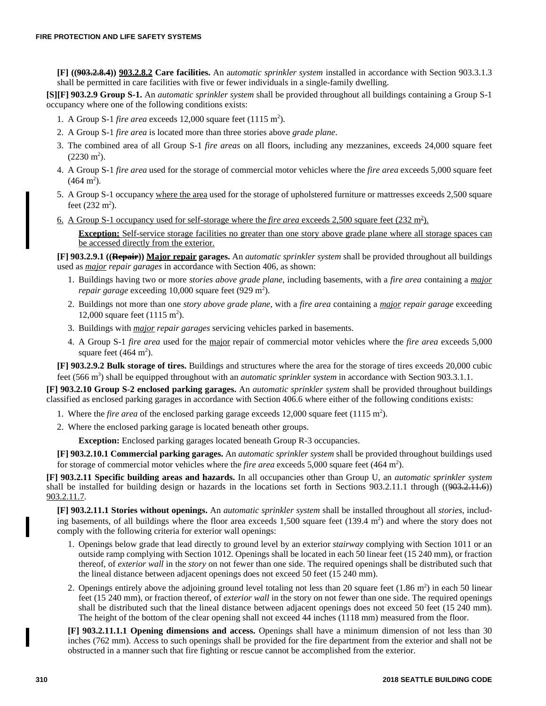**[F] ((903.2.8.4)) 903.2.8.2 Care facilities.** An a*utomatic sprinkler system* installed in accordance with Section 903.3.1.3 shall be permitted in care facilities with five or fewer individuals in a single-family dwelling.

**[S][F] 903.2.9 Group S-1.** An *automatic sprinkler system* shall be provided throughout all buildings containing a Group S-1 occupancy where one of the following conditions exists:

- 1. A Group S-1 *fire area* exceeds  $12,000$  square feet  $(1115 \text{ m}^2)$ .
- 2. A Group S-1 *fire area* is located more than three stories above *grade plane*.
- 3. The combined area of all Group S-1 *fire areas* on all floors, including any mezzanines, exceeds 24,000 square feet  $(2230 \text{ m}^2)$ .
- 4. A Group S-1 *fire area* used for the storage of commercial motor vehicles where the *fire area* exceeds 5,000 square feet  $(464 \text{ m}^2)$ .
- 5. A Group S-1 occupancy where the area used for the storage of upholstered furniture or mattresses exceeds 2,500 square feet  $(232 \text{ m}^2)$ .
- 6. A Group S-1 occupancy used for self-storage where the *fire area* exceeds 2,500 square feet (232 m<sup>2</sup>).

**Exception:** Self-service storage facilities no greater than one story above grade plane where all storage spaces can be accessed directly from the exterior.

**[F] 903.2.9.1 ((Repair)) Major repair garages.** An *automatic sprinkler system* shall be provided throughout all buildings used as *major repair garages* in accordance with Section 406, as shown:

- 1. Buildings having two or more *stories above grade plane*, including basements, with a *fire area* containing a *major repair garage* exceeding 10,000 square feet (929 m<sup>2</sup>).
- 2. Buildings not more than one *story above grade plane*, with a *fire area* containing a *major repair garage* exceeding 12,000 square feet  $(1115 \text{ m}^2)$ .
- 3. Buildings with *major repair garages* servicing vehicles parked in basements.
- 4. A Group S-1 *fire area* used for the major repair of commercial motor vehicles where the *fire area* exceeds 5,000 square feet  $(464 \text{ m}^2)$ .

**[F] 903.2.9.2 Bulk storage of tires.** Buildings and structures where the area for the storage of tires exceeds 20,000 cubic feet (566 m<sup>3</sup>) shall be equipped throughout with an *automatic sprinkler system* in accordance with Section 903.3.1.1.

**[F] 903.2.10 Group S-2 enclosed parking garages.** An *automatic sprinkler system* shall be provided throughout buildings classified as enclosed parking garages in accordance with Section 406.6 where either of the following conditions exists:

- 1. Where the *fire area* of the enclosed parking garage exceeds 12,000 square feet (1115 m<sup>2</sup>).
- 2. Where the enclosed parking garage is located beneath other groups.

**Exception:** Enclosed parking garages located beneath Group R-3 occupancies.

**[F] 903.2.10.1 Commercial parking garages.** An *automatic sprinkler system* shall be provided throughout buildings used for storage of commercial motor vehicles where the *fire area* exceeds 5,000 square feet (464 m<sup>2</sup>).

**[F] 903.2.11 Specific building areas and hazards.** In all occupancies other than Group U, an *automatic sprinkler system* shall be installed for building design or hazards in the locations set forth in Sections 903.2.11.1 through  $((993.2.11.6))$ 903.2.11.7.

**[F] 903.2.11.1 Stories without openings.** An *automatic sprinkler system* shall be installed throughout all *stories*, including basements, of all buildings where the floor area exceeds 1,500 square feet  $(139.4 \text{ m}^2)$  and where the story does not comply with the following criteria for exterior wall openings:

- 1. Openings below grade that lead directly to ground level by an exterior *stairway* complying with Section 1011 or an outside ramp complying with Section 1012. Openings shall be located in each 50 linear feet (15 240 mm), or fraction thereof, of *exterior wall* in the *story* on not fewer than one side. The required openings shall be distributed such that the lineal distance between adjacent openings does not exceed 50 feet (15 240 mm).
- 2. Openings entirely above the adjoining ground level totaling not less than 20 square feet  $(1.86 \text{ m}^2)$  in each 50 linear feet (15 240 mm), or fraction thereof, of *exterior wall* in the story on not fewer than one side. The required openings shall be distributed such that the lineal distance between adjacent openings does not exceed 50 feet (15 240 mm). The height of the bottom of the clear opening shall not exceed 44 inches (1118 mm) measured from the floor.

**[F] 903.2.11.1.1 Opening dimensions and access.** Openings shall have a minimum dimension of not less than 30 inches (762 mm). Access to such openings shall be provided for the fire department from the exterior and shall not be obstructed in a manner such that fire fighting or rescue cannot be accomplished from the exterior.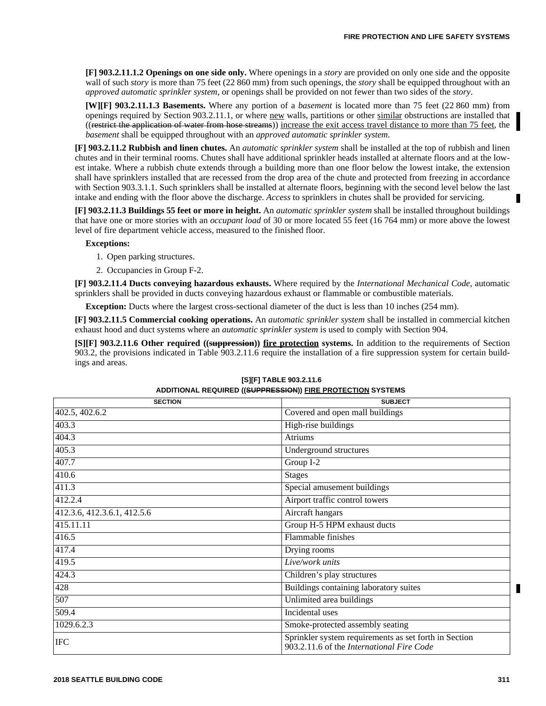**[F] 903.2.11.1.2 Openings on one side only.** Where openings in a *story* are provided on only one side and the opposite wall of such *story* is more than 75 feet (22 860 mm) from such openings, the *story* shall be equipped throughout with an *approved automatic sprinkler system*, or openings shall be provided on not fewer than two sides of the *story*.

**[W][F] 903.2.11.1.3 Basements.** Where any portion of a *basement* is located more than 75 feet (22 860 mm) from openings required by Section 903.2.11.1, or where new walls, partitions or other similar obstructions are installed that ((restrict the application of water from hose streams)) increase the exit access travel distance to more than 75 feet, the *basement* shall be equipped throughout with an *approved automatic sprinkler system.*

**[F] 903.2.11.2 Rubbish and linen chutes.** An *automatic sprinkler system* shall be installed at the top of rubbish and linen chutes and in their terminal rooms. Chutes shall have additional sprinkler heads installed at alternate floors and at the lowest intake. Where a rubbish chute extends through a building more than one floor below the lowest intake, the extension shall have sprinklers installed that are recessed from the drop area of the chute and protected from freezing in accordance with Section 903.3.1.1. Such sprinklers shall be installed at alternate floors, beginning with the second level below the last intake and ending with the floor above the discharge. *Access* to sprinklers in chutes shall be provided for servicing.

**[F] 903.2.11.3 Buildings 55 feet or more in height.** An *automatic sprinkler system* shall be installed throughout buildings that have one or more stories with an *occupant load* of 30 or more located 55 feet (16 764 mm) or more above the lowest level of fire department vehicle access, measured to the finished floor.

#### **Exceptions:**

- 1. Open parking structures.
- 2. Occupancies in Group F-2.

**[F] 903.2.11.4 Ducts conveying hazardous exhausts.** Where required by the *International Mechanical Code*, automatic sprinklers shall be provided in ducts conveying hazardous exhaust or flammable or combustible materials.

**Exception:** Ducts where the largest cross-sectional diameter of the duct is less than 10 inches (254 mm).

**[F] 903.2.11.5 Commercial cooking operations.** An *automatic sprinkler system* shall be installed in commercial kitchen exhaust hood and duct systems where an *automatic sprinkler system* is used to comply with Section 904.

**[S][F] 903.2.11.6 Other required ((suppression)) fire protection systems.** In addition to the requirements of Section 903.2, the provisions indicated in Table 903.2.11.6 require the installation of a fire suppression system for certain buildings and areas.

| <b>SECTION</b>              | <b>SUBJECT</b>                                                                                     |
|-----------------------------|----------------------------------------------------------------------------------------------------|
| 402.5, 402.6.2              | Covered and open mall buildings                                                                    |
| 403.3                       | High-rise buildings                                                                                |
| 404.3                       | <b>Atriums</b>                                                                                     |
| 405.3                       | Underground structures                                                                             |
| 407.7                       | Group I-2                                                                                          |
| 410.6                       | <b>Stages</b>                                                                                      |
| 411.3                       | Special amusement buildings                                                                        |
| 412.2.4                     | Airport traffic control towers                                                                     |
| 412.3.6, 412.3.6.1, 412.5.6 | Aircraft hangars                                                                                   |
| 415.11.11                   | Group H-5 HPM exhaust ducts                                                                        |
| 416.5                       | <b>Flammable finishes</b>                                                                          |
| 417.4                       | Drying rooms                                                                                       |
| 419.5                       | Live/work units                                                                                    |
| 424.3                       | Children's play structures                                                                         |
| 428                         | Buildings containing laboratory suites                                                             |
| 507                         | Unlimited area buildings                                                                           |
| 509.4                       | Incidental uses                                                                                    |
| 1029.6.2.3                  | Smoke-protected assembly seating                                                                   |
| <b>IFC</b>                  | Sprinkler system requirements as set forth in Section<br>903.2.11.6 of the International Fire Code |

#### **[S][F] TABLE 903.2.11.6 ADDITIONAL REQUIRED ((SUPPRESSION)) FIRE PROTECTION SYSTEMS**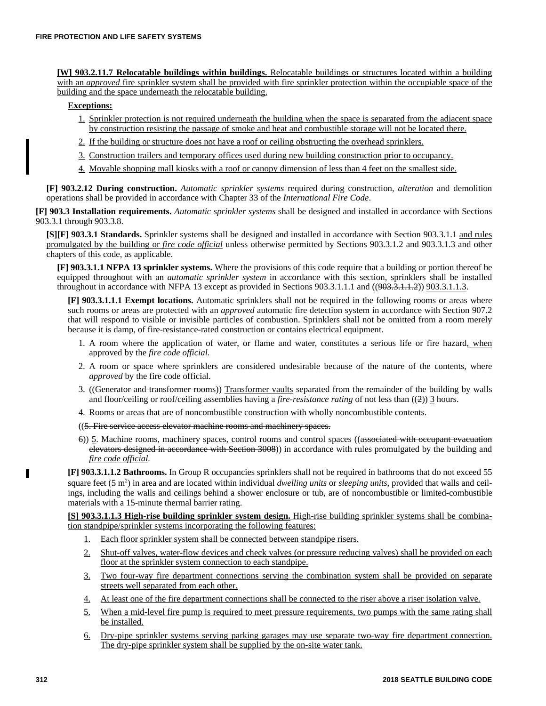**[W] 903.2.11.7 Relocatable buildings within buildings.** Relocatable buildings or structures located within a building with an *approved* fire sprinkler system shall be provided with fire sprinkler protection within the occupiable space of the building and the space underneath the relocatable building.

## **Exceptions:**

- 1. Sprinkler protection is not required underneath the building when the space is separated from the adjacent space by construction resisting the passage of smoke and heat and combustible storage will not be located there.
- 2. If the building or structure does not have a roof or ceiling obstructing the overhead sprinklers.
- 3. Construction trailers and temporary offices used during new building construction prior to occupancy.
- 4. Movable shopping mall kiosks with a roof or canopy dimension of less than 4 feet on the smallest side.

**[F] 903.2.12 During construction.** *Automatic sprinkler systems* required during construction, *alteration* and demolition operations shall be provided in accordance with Chapter 33 of the *International Fire Code*.

**[F] 903.3 Installation requirements.** *Automatic sprinkler systems* shall be designed and installed in accordance with Sections 903.3.1 through 903.3.8.

**[S][F] 903.3.1 Standards.** Sprinkler systems shall be designed and installed in accordance with Section 903.3.1.1 and rules promulgated by the building or *fire code official* unless otherwise permitted by Sections 903.3.1.2 and 903.3.1.3 and other chapters of this code, as applicable.

**[F] 903.3.1.1 NFPA 13 sprinkler systems.** Where the provisions of this code require that a building or portion thereof be equipped throughout with an *automatic sprinkler system* in accordance with this section, sprinklers shall be installed throughout in accordance with NFPA 13 except as provided in Sections  $903.3.1.1.1$  and  $((903.3.1.1.2))$   $903.3.1.1.3$ .

**[F] 903.3.1.1.1 Exempt locations.** Automatic sprinklers shall not be required in the following rooms or areas where such rooms or areas are protected with an *approved* automatic fire detection system in accordance with Section 907.2 that will respond to visible or invisible particles of combustion. Sprinklers shall not be omitted from a room merely because it is damp, of fire-resistance-rated construction or contains electrical equipment.

- 1. A room where the application of water, or flame and water, constitutes a serious life or fire hazard, when approved by the *fire code official.*
- 2. A room or space where sprinklers are considered undesirable because of the nature of the contents, where *approved* by the fire code official.
- 3. ((Generator and transformer rooms)) Transformer vaults separated from the remainder of the building by walls and floor/ceiling or roof/ceiling assemblies having a *fire-resistance rating* of not less than ((2)) 3 hours.
- 4. Rooms or areas that are of noncombustible construction with wholly noncombustible contents.
- ((5. Fire service access elevator machine rooms and machinery spaces.
- 6)) 5. Machine rooms, machinery spaces, control rooms and control spaces ((associated with occupant evacuation elevators designed in accordance with Section 3008)) in accordance with rules promulgated by the building and *fire code official.*

**[F] 903.3.1.1.2 Bathrooms.** In Group R occupancies sprinklers shall not be required in bathrooms that do not exceed 55 square feet (5 m<sup>2</sup>) in area and are located within individual *dwelling units* or *sleeping units*, provided that walls and ceilings, including the walls and ceilings behind a shower enclosure or tub, are of noncombustible or limited-combustible materials with a 15-minute thermal barrier rating.

**[S] 903.3.1.1.3 High-rise building sprinkler system design.** High-rise building sprinkler systems shall be combination standpipe/sprinkler systems incorporating the following features:

- 1. Each floor sprinkler system shall be connected between standpipe risers.
- 2. Shut-off valves, water-flow devices and check valves (or pressure reducing valves) shall be provided on each floor at the sprinkler system connection to each standpipe.
- 3. Two four-way fire department connections serving the combination system shall be provided on separate streets well separated from each other.
- 4. At least one of the fire department connections shall be connected to the riser above a riser isolation valve.
- 5. When a mid-level fire pump is required to meet pressure requirements, two pumps with the same rating shall be installed.
- 6. Dry-pipe sprinkler systems serving parking garages may use separate two-way fire department connection. The dry-pipe sprinkler system shall be supplied by the on-site water tank.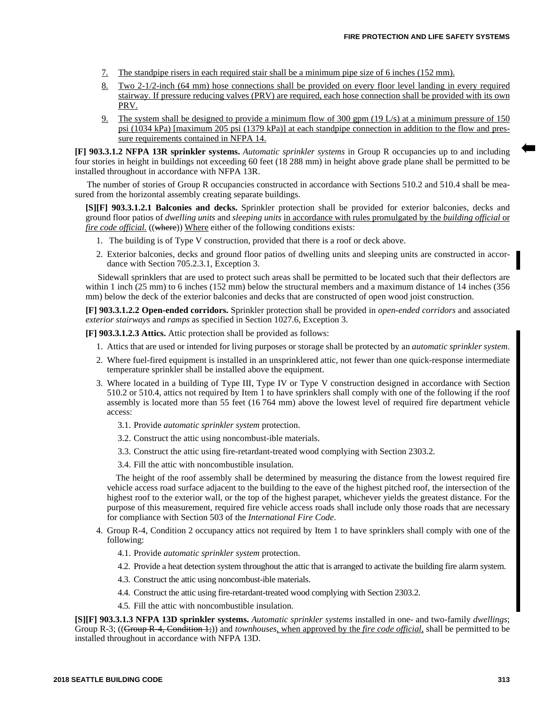- 7. The standpipe risers in each required stair shall be a minimum pipe size of 6 inches (152 mm).
- 8. Two 2-1/2-inch (64 mm) hose connections shall be provided on every floor level landing in every required stairway. If pressure reducing valves (PRV) are required, each hose connection shall be provided with its own PRV.
- 9. The system shall be designed to provide a minimum flow of 300 gpm (19 L/s) at a minimum pressure of 150 psi (1034 kPa) [maximum 205 psi (1379 kPa)] at each standpipe connection in addition to the flow and pressure requirements contained in NFPA 14.

**[F] 903.3.1.2 NFPA 13R sprinkler systems.** *Automatic sprinkler systems* in Group R occupancies up to and including four stories in height in buildings not exceeding 60 feet (18 288 mm) in height above grade plane shall be permitted to be installed throughout in accordance with NFPA 13R.

The number of stories of Group R occupancies constructed in accordance with Sections 510.2 and 510.4 shall be measured from the horizontal assembly creating separate buildings.

**[S][F] 903.3.1.2.1 Balconies and decks.** Sprinkler protection shall be provided for exterior balconies, decks and ground floor patios of *dwelling units* and *sleeping units* in accordance with rules promulgated by the *building official* or *fire code official.* ((where)) Where either of the following conditions exists:

- 1. The building is of Type V construction, provided that there is a roof or deck above.
- 2. Exterior balconies, decks and ground floor patios of dwelling units and sleeping units are constructed in accordance with Section 705.2.3.1, Exception 3.

Sidewall sprinklers that are used to protect such areas shall be permitted to be located such that their deflectors are within 1 inch (25 mm) to 6 inches (152 mm) below the structural members and a maximum distance of 14 inches (356 mm) below the deck of the exterior balconies and decks that are constructed of open wood joist construction.

**[F] 903.3.1.2.2 Open-ended corridors.** Sprinkler protection shall be provided in *open-ended corridors* and associated *exterior stairways* and *ramps* as specified in Section 1027.6, Exception 3.

**[F] 903.3.1.2.3 Attics.** Attic protection shall be provided as follows:

- 1. Attics that are used or intended for living purposes or storage shall be protected by an *automatic sprinkler system*.
- 2. Where fuel-fired equipment is installed in an unsprinklered attic, not fewer than one quick-response intermediate temperature sprinkler shall be installed above the equipment.
- 3. Where located in a building of Type III, Type IV or Type V construction designed in accordance with Section 510.2 or 510.4, attics not required by Item 1 to have sprinklers shall comply with one of the following if the roof assembly is located more than 55 feet (16 764 mm) above the lowest level of required fire department vehicle access:
	- 3.1. Provide *automatic sprinkler system* protection.
	- 3.2. Construct the attic using noncombust-ible materials.
	- 3.3. Construct the attic using fire-retardant-treated wood complying with Section 2303.2*.*
	- 3.4. Fill the attic with noncombustible insulation.

The height of the roof assembly shall be determined by measuring the distance from the lowest required fire vehicle access road surface adjacent to the building to the eave of the highest pitched roof, the intersection of the highest roof to the exterior wall, or the top of the highest parapet, whichever yields the greatest distance. For the purpose of this measurement, required fire vehicle access roads shall include only those roads that are necessary for compliance with Section 503 of the *International Fire Code*.

- 4. Group R-4, Condition 2 occupancy attics not required by Item 1 to have sprinklers shall comply with one of the following:
	- 4.1. Provide *automatic sprinkler system* protection.
	- 4.2. Provide a heat detection system throughout the attic that is arranged to activate the building fire alarm system.
	- 4.3. Construct the attic using noncombust-ible materials.
	- 4.4. Construct the attic using fire-retardant-treated wood complying with Section 2303.2.
	- 4.5. Fill the attic with noncombustible insulation.

**[S][F] 903.3.1.3 NFPA 13D sprinkler systems.** *Automatic sprinkler systems* installed in one- and two-family *dwellings*; Group R-3; ((Group R-4, Condition 1;)) and *townhouses,* when approved by the *fire code official,* shall be permitted to be installed throughout in accordance with NFPA 13D.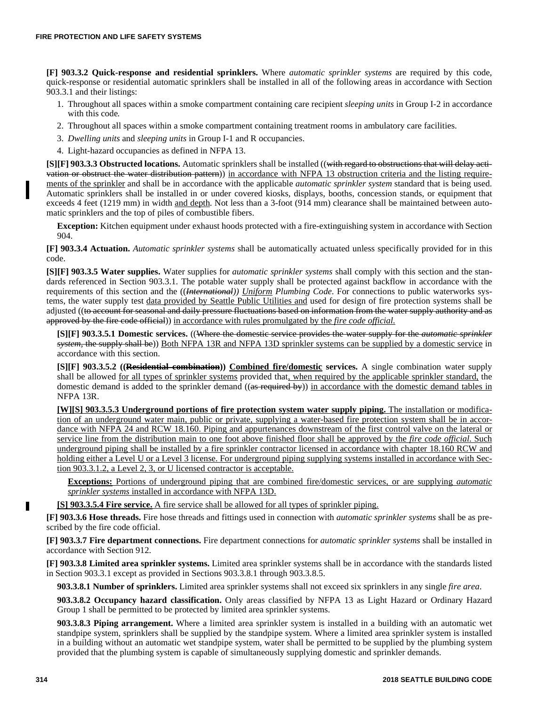**[F] 903.3.2 Quick-response and residential sprinklers.** Where *automatic sprinkler systems* are required by this code, quick-response or residential automatic sprinklers shall be installed in all of the following areas in accordance with Section 903.3.1 and their listings:

- 1. Throughout all spaces within a smoke compartment containing care recipient *sleeping units* in Group I-2 in accordance with this code*.*
- 2. Throughout all spaces within a smoke compartment containing treatment rooms in ambulatory care facilities.
- 3. *Dwelling units* and *sleeping units* in Group I-1 and R occupancies.
- 4. Light-hazard occupancies as defined in NFPA 13.

**[S][F] 903.3.3 Obstructed locations.** Automatic sprinklers shall be installed ((with regard to obstructions that will delay activation or obstruct the water distribution pattern)) in accordance with NFPA 13 obstruction criteria and the listing requirements of the sprinkler and shall be in accordance with the applicable *automatic sprinkler system* standard that is being used. Automatic sprinklers shall be installed in or under covered kiosks, displays, booths, concession stands, or equipment that exceeds 4 feet (1219 mm) in width and depth. Not less than a 3-foot (914 mm) clearance shall be maintained between automatic sprinklers and the top of piles of combustible fibers.

**Exception:** Kitchen equipment under exhaust hoods protected with a fire-extinguishing system in accordance with Section 904.

**[F] 903.3.4 Actuation.** *Automatic sprinkler systems* shall be automatically actuated unless specifically provided for in this code.

**[S][F] 903.3.5 Water supplies.** Water supplies for *automatic sprinkler systems* shall comply with this section and the standards referenced in Section 903.3.1. The potable water supply shall be protected against backflow in accordance with the requirements of this section and the ((*International)) Uniform Plumbing Code*. For connections to public waterworks systems, the water supply test data provided by Seattle Public Utilities and used for design of fire protection systems shall be adjusted ((to account for seasonal and daily pressure fluctuations based on information from the water supply authority and as approved by the fire code official)) in accordance with rules promulgated by the *fire code official*.

**[S][F] 903.3.5.1 Domestic services.** ((Where the domestic service provides the water supply for the *automatic sprinkler system,* the supply shall be)) Both NFPA 13R and NFPA 13D sprinkler systems can be supplied by a domestic service in accordance with this section.

**[S][F] 903.3.5.2 ((Residential combination)) Combined fire/domestic services.** A single combination water supply shall be allowed for all types of sprinkler systems provided that, when required by the applicable sprinkler standard, the domestic demand is added to the sprinkler demand ((as required by)) in accordance with the domestic demand tables in NFPA 13R.

**[W][S] 903.3.5.3 Underground portions of fire protection system water supply piping.** The installation or modification of an underground water main, public or private, supplying a water-based fire protection system shall be in accordance with NFPA 24 and RCW 18.160. Piping and appurtenances downstream of the first control valve on the lateral or service line from the distribution main to one foot above finished floor shall be approved by the *fire code official*. Such underground piping shall be installed by a fire sprinkler contractor licensed in accordance with chapter 18.160 RCW and holding either a Level U or a Level 3 license. For underground piping supplying systems installed in accordance with Section 903.3.1.2, a Level 2, 3, or U licensed contractor is acceptable.

**Exceptions:** Portions of underground piping that are combined fire/domestic services, or are supplying *automatic sprinkler systems* installed in accordance with NFPA 13D.

**[S] 903.3.5.4 Fire service.** A fire service shall be allowed for all types of sprinkler piping.

**[F] 903.3.6 Hose threads.** Fire hose threads and fittings used in connection with *automatic sprinkler systems* shall be as prescribed by the fire code official.

**[F] 903.3.7 Fire department connections.** Fire department connections for *automatic sprinkler systems* shall be installed in accordance with Section 912.

**[F] 903.3.8 Limited area sprinkler systems.** Limited area sprinkler systems shall be in accordance with the standards listed in Section 903.3.1 except as provided in Sections 903.3.8.1 through 903.3.8.5.

**903.3.8.1 Number of sprinklers.** Limited area sprinkler systems shall not exceed six sprinklers in any single *fire area*.

**903.3.8.2 Occupancy hazard classification.** Only areas classified by NFPA 13 as Light Hazard or Ordinary Hazard Group 1 shall be permitted to be protected by limited area sprinkler systems.

**903.3.8.3 Piping arrangement.** Where a limited area sprinkler system is installed in a building with an automatic wet standpipe system, sprinklers shall be supplied by the standpipe system. Where a limited area sprinkler system is installed in a building without an automatic wet standpipe system, water shall be permitted to be supplied by the plumbing system provided that the plumbing system is capable of simultaneously supplying domestic and sprinkler demands.

П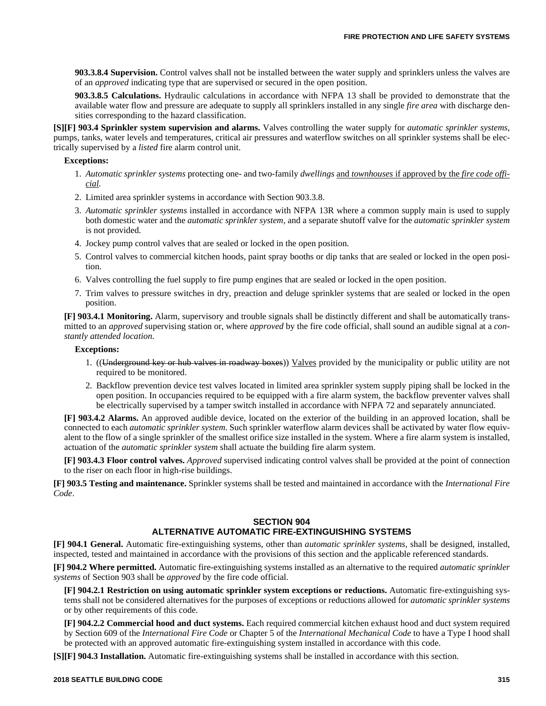**903.3.8.4 Supervision.** Control valves shall not be installed between the water supply and sprinklers unless the valves are of an *approved* indicating type that are supervised or secured in the open position.

**903.3.8.5 Calculations.** Hydraulic calculations in accordance with NFPA 13 shall be provided to demonstrate that the available water flow and pressure are adequate to supply all sprinklers installed in any single *fire area* with discharge densities corresponding to the hazard classification.

**[S][F] 903.4 Sprinkler system supervision and alarms.** Valves controlling the water supply for *automatic sprinkler systems*, pumps, tanks, water levels and temperatures, critical air pressures and waterflow switches on all sprinkler systems shall be electrically supervised by a *listed* fire alarm control unit.

#### **Exceptions:**

- 1. *Automatic sprinkler systems* protecting one- and two-family *dwellings* and *townhouses* if approved by the *fire code official.*
- 2. Limited area sprinkler systems in accordance with Section 903.3.8.
- 3. *Automatic sprinkler systems* installed in accordance with NFPA 13R where a common supply main is used to supply both domestic water and the *automatic sprinkler system*, and a separate shutoff valve for the *automatic sprinkler system* is not provided.
- 4. Jockey pump control valves that are sealed or locked in the open position.
- 5. Control valves to commercial kitchen hoods, paint spray booths or dip tanks that are sealed or locked in the open position.
- 6. Valves controlling the fuel supply to fire pump engines that are sealed or locked in the open position.
- 7. Trim valves to pressure switches in dry, preaction and deluge sprinkler systems that are sealed or locked in the open position.

**[F] 903.4.1 Monitoring.** Alarm, supervisory and trouble signals shall be distinctly different and shall be automatically transmitted to an *approved* supervising station or, where *approved* by the fire code official, shall sound an audible signal at a *constantly attended location*.

#### **Exceptions:**

- 1. ((Underground key or hub valves in roadway boxes)) Valves provided by the municipality or public utility are not required to be monitored.
- 2. Backflow prevention device test valves located in limited area sprinkler system supply piping shall be locked in the open position. In occupancies required to be equipped with a fire alarm system, the backflow preventer valves shall be electrically supervised by a tamper switch installed in accordance with NFPA 72 and separately annunciated.

**[F] 903.4.2 Alarms.** An approved audible device, located on the exterior of the building in an approved location, shall be connected to each *automatic sprinkler system*. Such sprinkler waterflow alarm devices shall be activated by water flow equivalent to the flow of a single sprinkler of the smallest orifice size installed in the system. Where a fire alarm system is installed, actuation of the *automatic sprinkler system* shall actuate the building fire alarm system.

**[F] 903.4.3 Floor control valves.** *Approved* supervised indicating control valves shall be provided at the point of connection to the riser on each floor in high-rise buildings.

**[F] 903.5 Testing and maintenance.** Sprinkler systems shall be tested and maintained in accordance with the *International Fire Code*.

## **SECTION 904 ALTERNATIVE AUTOMATIC FIRE-EXTINGUISHING SYSTEMS**

**[F] 904.1 General.** Automatic fire-extinguishing systems, other than *automatic sprinkler systems*, shall be designed, installed, inspected, tested and maintained in accordance with the provisions of this section and the applicable referenced standards.

**[F] 904.2 Where permitted.** Automatic fire-extinguishing systems installed as an alternative to the required *automatic sprinkler systems* of Section 903 shall be *approved* by the fire code official.

**[F] 904.2.1 Restriction on using automatic sprinkler system exceptions or reductions.** Automatic fire-extinguishing systems shall not be considered alternatives for the purposes of exceptions or reductions allowed for *automatic sprinkler systems* or by other requirements of this code.

**[F] 904.2.2 Commercial hood and duct systems.** Each required commercial kitchen exhaust hood and duct system required by Section 609 of the *International Fire Code* or Chapter 5 of the *International Mechanical Code* to have a Type I hood shall be protected with an approved automatic fire-extinguishing system installed in accordance with this code.

**[S][F] 904.3 Installation.** Automatic fire-extinguishing systems shall be installed in accordance with this section.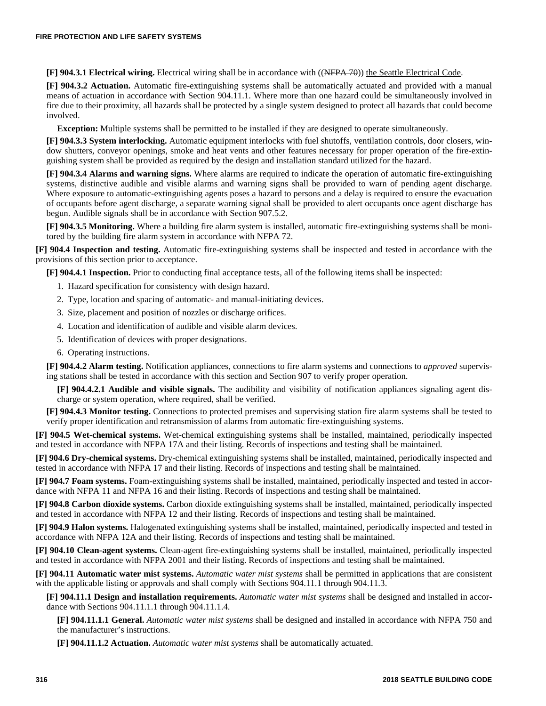**[F] 904.3.1 Electrical wiring.** Electrical wiring shall be in accordance with ((NFPA 70)) the Seattle Electrical Code.

**[F] 904.3.2 Actuation.** Automatic fire-extinguishing systems shall be automatically actuated and provided with a manual means of actuation in accordance with Section 904.11.1. Where more than one hazard could be simultaneously involved in fire due to their proximity, all hazards shall be protected by a single system designed to protect all hazards that could become involved.

**Exception:** Multiple systems shall be permitted to be installed if they are designed to operate simultaneously.

**[F] 904.3.3 System interlocking.** Automatic equipment interlocks with fuel shutoffs, ventilation controls, door closers, window shutters, conveyor openings, smoke and heat vents and other features necessary for proper operation of the fire-extinguishing system shall be provided as required by the design and installation standard utilized for the hazard.

**[F] 904.3.4 Alarms and warning signs.** Where alarms are required to indicate the operation of automatic fire-extinguishing systems, distinctive audible and visible alarms and warning signs shall be provided to warn of pending agent discharge. Where exposure to automatic-extinguishing agents poses a hazard to persons and a delay is required to ensure the evacuation of occupants before agent discharge, a separate warning signal shall be provided to alert occupants once agent discharge has begun. Audible signals shall be in accordance with Section 907.5.2.

**[F] 904.3.5 Monitoring.** Where a building fire alarm system is installed, automatic fire-extinguishing systems shall be monitored by the building fire alarm system in accordance with NFPA 72.

**[F] 904.4 Inspection and testing.** Automatic fire-extinguishing systems shall be inspected and tested in accordance with the provisions of this section prior to acceptance.

**[F] 904.4.1 Inspection.** Prior to conducting final acceptance tests, all of the following items shall be inspected:

- 1. Hazard specification for consistency with design hazard.
- 2. Type, location and spacing of automatic- and manual-initiating devices.
- 3. Size, placement and position of nozzles or discharge orifices.
- 4. Location and identification of audible and visible alarm devices.
- 5. Identification of devices with proper designations.
- 6. Operating instructions.

**[F] 904.4.2 Alarm testing.** Notification appliances, connections to fire alarm systems and connections to *approved* supervising stations shall be tested in accordance with this section and Section 907 to verify proper operation.

**[F] 904.4.2.1 Audible and visible signals.** The audibility and visibility of notification appliances signaling agent discharge or system operation, where required, shall be verified.

**[F] 904.4.3 Monitor testing.** Connections to protected premises and supervising station fire alarm systems shall be tested to verify proper identification and retransmission of alarms from automatic fire-extinguishing systems.

**[F] 904.5 Wet-chemical systems.** Wet-chemical extinguishing systems shall be installed, maintained, periodically inspected and tested in accordance with NFPA 17A and their listing. Records of inspections and testing shall be maintained.

**[F] 904.6 Dry-chemical systems.** Dry-chemical extinguishing systems shall be installed, maintained, periodically inspected and tested in accordance with NFPA 17 and their listing. Records of inspections and testing shall be maintained.

**[F] 904.7 Foam systems.** Foam-extinguishing systems shall be installed, maintained, periodically inspected and tested in accordance with NFPA 11 and NFPA 16 and their listing. Records of inspections and testing shall be maintained.

**[F] 904.8 Carbon dioxide systems.** Carbon dioxide extinguishing systems shall be installed, maintained, periodically inspected and tested in accordance with NFPA 12 and their listing. Records of inspections and testing shall be maintained.

**[F] 904.9 Halon systems.** Halogenated extinguishing systems shall be installed, maintained, periodically inspected and tested in accordance with NFPA 12A and their listing. Records of inspections and testing shall be maintained.

**[F] 904.10 Clean-agent systems.** Clean-agent fire-extinguishing systems shall be installed, maintained, periodically inspected and tested in accordance with NFPA 2001 and their listing. Records of inspections and testing shall be maintained.

**[F] 904.11 Automatic water mist systems.** *Automatic water mist systems* shall be permitted in applications that are consistent with the applicable listing or approvals and shall comply with Sections 904.11.1 through 904.11.3.

**[F] 904.11.1 Design and installation requirements.** *Automatic water mist systems* shall be designed and installed in accordance with Sections 904.11.1.1 through 904.11.1.4.

**[F] 904.11.1.1 General.** *Automatic water mist systems* shall be designed and installed in accordance with NFPA 750 and the manufacturer's instructions.

**[F] 904.11.1.2 Actuation.** *Automatic water mist systems* shall be automatically actuated.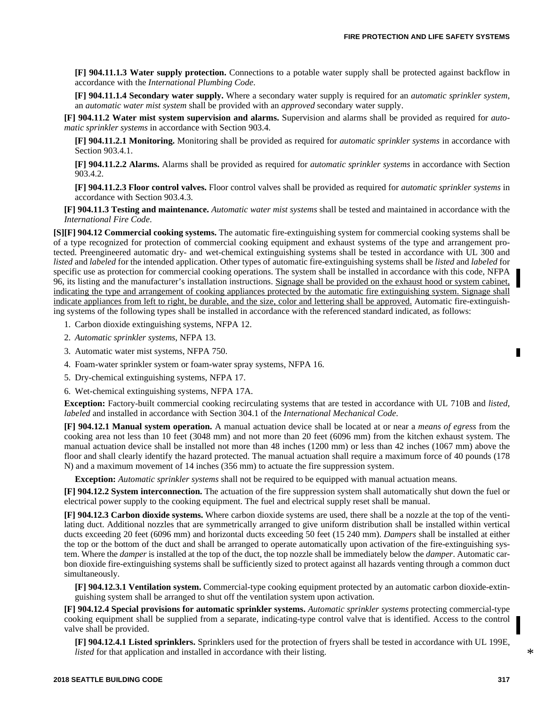**[F] 904.11.1.3 Water supply protection.** Connections to a potable water supply shall be protected against backflow in accordance with the *International Plumbing Code*.

**[F] 904.11.1.4 Secondary water supply.** Where a secondary water supply is required for an *automatic sprinkler system*, an *automatic water mist system* shall be provided with an *approved* secondary water supply.

**[F] 904.11.2 Water mist system supervision and alarms.** Supervision and alarms shall be provided as required for *automatic sprinkler systems* in accordance with Section 903.4.

**[F] 904.11.2.1 Monitoring.** Monitoring shall be provided as required for *automatic sprinkler systems* in accordance with Section 903.4.1.

**[F] 904.11.2.2 Alarms.** Alarms shall be provided as required for *automatic sprinkler systems* in accordance with Section 903.4.2.

**[F] 904.11.2.3 Floor control valves.** Floor control valves shall be provided as required for *automatic sprinkler systems* in accordance with Section 903.4.3.

**[F] 904.11.3 Testing and maintenance.** *Automatic water mist systems* shall be tested and maintained in accordance with the *International Fire Code*.

**[S][F] 904.12 Commercial cooking systems.** The automatic fire-extinguishing system for commercial cooking systems shall be of a type recognized for protection of commercial cooking equipment and exhaust systems of the type and arrangement protected. Preengineered automatic dry- and wet-chemical extinguishing systems shall be tested in accordance with UL 300 and *listed* and *labeled* for the intended application. Other types of automatic fire-extinguishing systems shall be *listed* and *labeled* for specific use as protection for commercial cooking operations. The system shall be installed in accordance with this code, NFPA 96, its listing and the manufacturer's installation instructions. Signage shall be provided on the exhaust hood or system cabinet, indicating the type and arrangement of cooking appliances protected by the automatic fire extinguishing system. Signage shall indicate appliances from left to right, be durable, and the size, color and lettering shall be approved. Automatic fire-extinguishing systems of the following types shall be installed in accordance with the referenced standard indicated, as follows:

- 1. Carbon dioxide extinguishing systems, NFPA 12.
- 2. *Automatic sprinkler systems*, NFPA 13.
- 3. Automatic water mist systems, NFPA 750.
- 4. Foam-water sprinkler system or foam-water spray systems, NFPA 16.
- 5. Dry-chemical extinguishing systems, NFPA 17.
- 6. Wet-chemical extinguishing systems, NFPA 17A.

**Exception:** Factory-built commercial cooking recirculating systems that are tested in accordance with UL 710B and *listed*, *labeled* and installed in accordance with Section 304.1 of the *International Mechanical Code*.

**[F] 904.12.1 Manual system operation.** A manual actuation device shall be located at or near a *means of egress* from the cooking area not less than 10 feet (3048 mm) and not more than 20 feet (6096 mm) from the kitchen exhaust system. The manual actuation device shall be installed not more than 48 inches (1200 mm) or less than 42 inches (1067 mm) above the floor and shall clearly identify the hazard protected. The manual actuation shall require a maximum force of 40 pounds (178 N) and a maximum movement of 14 inches (356 mm) to actuate the fire suppression system.

**Exception:** *Automatic sprinkler systems* shall not be required to be equipped with manual actuation means.

**[F] 904.12.2 System interconnection.** The actuation of the fire suppression system shall automatically shut down the fuel or electrical power supply to the cooking equipment. The fuel and electrical supply reset shall be manual.

**[F] 904.12.3 Carbon dioxide systems.** Where carbon dioxide systems are used, there shall be a nozzle at the top of the ventilating duct. Additional nozzles that are symmetrically arranged to give uniform distribution shall be installed within vertical ducts exceeding 20 feet (6096 mm) and horizontal ducts exceeding 50 feet (15 240 mm). *Dampers* shall be installed at either the top or the bottom of the duct and shall be arranged to operate automatically upon activation of the fire-extinguishing system. Where the *damper* is installed at the top of the duct, the top nozzle shall be immediately below the *damper*. Automatic carbon dioxide fire-extinguishing systems shall be sufficiently sized to protect against all hazards venting through a common duct simultaneously.

**[F] 904.12.3.1 Ventilation system.** Commercial-type cooking equipment protected by an automatic carbon dioxide-extinguishing system shall be arranged to shut off the ventilation system upon activation.

**[F] 904.12.4 Special provisions for automatic sprinkler systems.** *Automatic sprinkler systems* protecting commercial-type cooking equipment shall be supplied from a separate, indicating-type control valve that is identified. Access to the control valve shall be provided.

**[F] 904.12.4.1 Listed sprinklers.** Sprinklers used for the protection of fryers shall be tested in accordance with UL 199E, *listed* for that application and installed in accordance with their listing.  $*$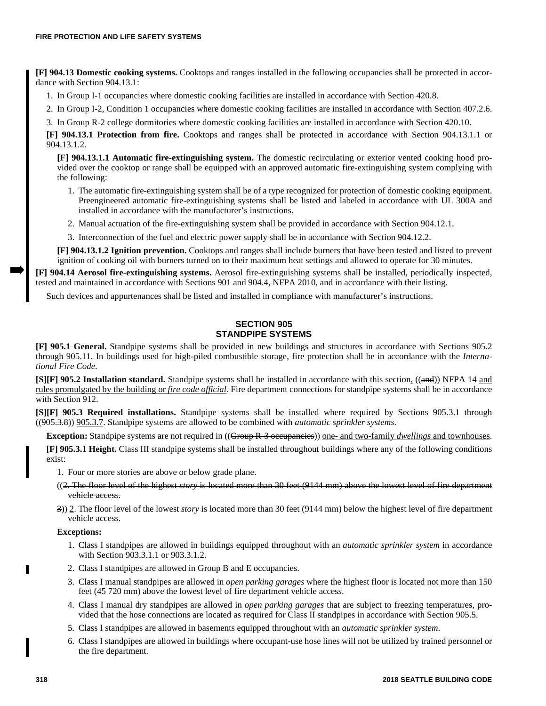**[F] 904.13 Domestic cooking systems.** Cooktops and ranges installed in the following occupancies shall be protected in accordance with Section 904.13.1:

- 1. In Group I-1 occupancies where domestic cooking facilities are installed in accordance with Section 420.8.
- 2. In Group I-2, Condition 1 occupancies where domestic cooking facilities are installed in accordance with Section 407.2.6.
- 3. In Group R-2 college dormitories where domestic cooking facilities are installed in accordance with Section 420.10.

**[F] 904.13.1 Protection from fire.** Cooktops and ranges shall be protected in accordance with Section 904.13.1.1 or 904.13.1.2.

**[F] 904.13.1.1 Automatic fire-extinguishing system.** The domestic recirculating or exterior vented cooking hood provided over the cooktop or range shall be equipped with an approved automatic fire-extinguishing system complying with the following:

- 1. The automatic fire-extinguishing system shall be of a type recognized for protection of domestic cooking equipment. Preengineered automatic fire-extinguishing systems shall be listed and labeled in accordance with UL 300A and installed in accordance with the manufacturer's instructions.
- 2. Manual actuation of the fire-extinguishing system shall be provided in accordance with Section 904.12.1.
- 3. Interconnection of the fuel and electric power supply shall be in accordance with Section 904.12.2.

**[F] 904.13.1.2 Ignition prevention.** Cooktops and ranges shall include burners that have been tested and listed to prevent ignition of cooking oil with burners turned on to their maximum heat settings and allowed to operate for 30 minutes.

**[F] 904.14 Aerosol fire-extinguishing systems.** Aerosol fire-extinguishing systems shall be installed, periodically inspected, tested and maintained in accordance with Sections 901 and 904.4, NFPA 2010, and in accordance with their listing.

Such devices and appurtenances shall be listed and installed in compliance with manufacturer's instructions.

#### **SECTION 905 STANDPIPE SYSTEMS**

**[F] 905.1 General.** Standpipe systems shall be provided in new buildings and structures in accordance with Sections 905.2 through 905.11. In buildings used for high-piled combustible storage, fire protection shall be in accordance with the *International Fire Code*.

**[S][F] 905.2 Installation standard.** Standpipe systems shall be installed in accordance with this section, ((and)) NFPA 14 and rules promulgated by the building or *fire code official*. Fire department connections for standpipe systems shall be in accordance with Section 912.

**[S][F] 905.3 Required installations.** Standpipe systems shall be installed where required by Sections 905.3.1 through ((905.3.8)) 905.3.7. Standpipe systems are allowed to be combined with *automatic sprinkler systems*.

**Exception:** Standpipe systems are not required in ((Group R-3 occupancies)) one- and two-family *dwellings* and townhouses.

**[F] 905.3.1 Height.** Class III standpipe systems shall be installed throughout buildings where any of the following conditions exist:

- 1. Four or more stories are above or below grade plane.
- ((2. The floor level of the highest *story* is located more than 30 feet (9144 mm) above the lowest level of fire department vehicle access.
- 3)) 2. The floor level of the lowest *story* is located more than 30 feet (9144 mm) below the highest level of fire department vehicle access.

#### **Exceptions:**

- 1. Class I standpipes are allowed in buildings equipped throughout with an *automatic sprinkler system* in accordance with Section 903.3.1.1 or 903.3.1.2.
- 2. Class I standpipes are allowed in Group B and E occupancies.
- 3. Class I manual standpipes are allowed in *open parking garages* where the highest floor is located not more than 150 feet (45 720 mm) above the lowest level of fire department vehicle access.
- 4. Class I manual dry standpipes are allowed in *open parking garages* that are subject to freezing temperatures, provided that the hose connections are located as required for Class II standpipes in accordance with Section 905.5.
- 5. Class I standpipes are allowed in basements equipped throughout with an *automatic sprinkler system*.
- 6. Class I standpipes are allowed in buildings where occupant-use hose lines will not be utilized by trained personnel or the fire department.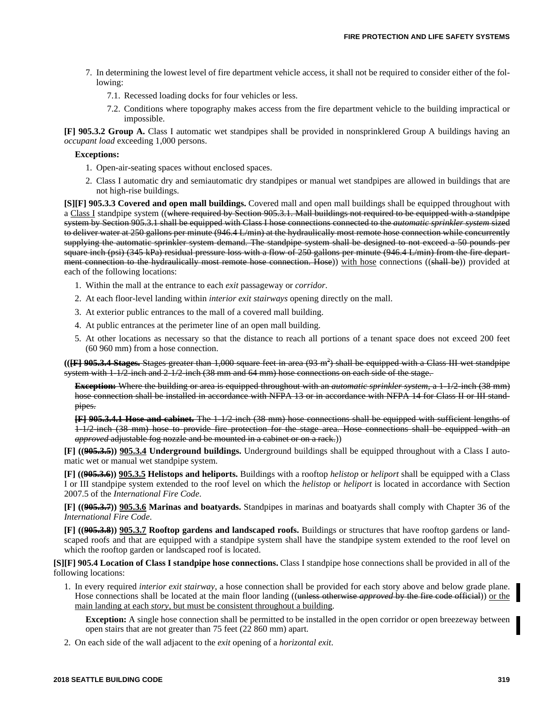- 7. In determining the lowest level of fire department vehicle access, it shall not be required to consider either of the following:
	- 7.1. Recessed loading docks for four vehicles or less.
	- 7.2. Conditions where topography makes access from the fire department vehicle to the building impractical or impossible.

**[F] 905.3.2 Group A.** Class I automatic wet standpipes shall be provided in nonsprinklered Group A buildings having an *occupant load* exceeding 1,000 persons.

#### **Exceptions:**

- 1. Open-air-seating spaces without enclosed spaces.
- 2. Class I automatic dry and semiautomatic dry standpipes or manual wet standpipes are allowed in buildings that are not high-rise buildings.

**[S][F] 905.3.3 Covered and open mall buildings.** Covered mall and open mall buildings shall be equipped throughout with a Class I standpipe system ((where required by Section 905.3.1. Mall buildings not required to be equipped with a standpipe system by Section 905.3.1 shall be equipped with Class I hose connections connected to the *automatic sprinkler system* sized to deliver water at 250 gallons per minute (946.4 L/min) at the hydraulically most remote hose connection while concurrently supplying the automatic sprinkler system demand. The standpipe system shall be designed to not exceed a 50 pounds per square inch (psi) (345 kPa) residual pressure loss with a flow of 250 gallons per minute (946.4 L/min) from the fire department connection to the hydraulically most remote hose connection. Hose)) with hose connections ((shall be)) provided at each of the following locations:

- 1. Within the mall at the entrance to each *exit* passageway or *corridor*.
- 2. At each floor-level landing within *interior exit stairways* opening directly on the mall.
- 3. At exterior public entrances to the mall of a covered mall building.
- 4. At public entrances at the perimeter line of an open mall building.
- 5. At other locations as necessary so that the distance to reach all portions of a tenant space does not exceed 200 feet (60 960 mm) from a hose connection.

((FF) 905.3.4 Stages. Stages greater than 1,000 square feet in area (93 m<sup>2</sup>) shall be equipped with a Class III wet standpipe system with 1-1/2-inch and 2-1/2-inch (38 mm and 64 mm) hose connections on each side of the stage.

**Exception:** Where the building or area is equipped throughout with an *automatic sprinkler system*, a 1-1/2-inch (38 mm) hose connection shall be installed in accordance with NFPA 13 or in accordance with NFPA 14 for Class II or III standpipes.

**[F] 905.3.4.1 Hose and cabinet.** The 1-1/2-inch (38 mm) hose connections shall be equipped with sufficient lengths of 1-1/2-inch (38 mm) hose to provide fire protection for the stage area. Hose connections shall be equipped with an *approved* adjustable fog nozzle and be mounted in a cabinet or on a rack.))

**[F] ((905.3.5)) 905.3.4 Underground buildings.** Underground buildings shall be equipped throughout with a Class I automatic wet or manual wet standpipe system.

**[F] ((905.3.6)) 905.3.5 Helistops and heliports.** Buildings with a rooftop *helistop* or *heliport* shall be equipped with a Class I or III standpipe system extended to the roof level on which the *helistop* or *heliport* is located in accordance with Section 2007.5 of the *International Fire Code*.

**[F] ((905.3.7)) 905.3.6 Marinas and boatyards.** Standpipes in marinas and boatyards shall comply with Chapter 36 of the *International Fire Code*.

**[F] ((905.3.8)) 905.3.7 Rooftop gardens and landscaped roofs.** Buildings or structures that have rooftop gardens or landscaped roofs and that are equipped with a standpipe system shall have the standpipe system extended to the roof level on which the rooftop garden or landscaped roof is located.

**[S][F] 905.4 Location of Class I standpipe hose connections.** Class I standpipe hose connections shall be provided in all of the following locations:

1. In every required *interior exit stairway*, a hose connection shall be provided for each story above and below grade plane. Hose connections shall be located at the main floor landing ((unless otherwise *approved* by the fire code official)) or the main landing at each *story*, but must be consistent throughout a building.

**Exception:** A single hose connection shall be permitted to be installed in the open corridor or open breezeway between open stairs that are not greater than 75 feet (22 860 mm) apart.

2. On each side of the wall adjacent to the *exit* opening of a *horizontal exit*.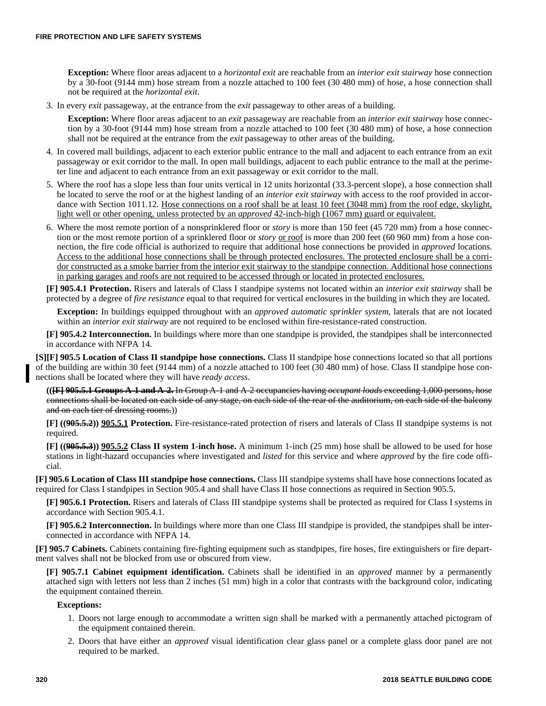**Exception:** Where floor areas adjacent to a *horizontal exit* are reachable from an *interior exit stairway* hose connection by a 30-foot (9144 mm) hose stream from a nozzle attached to 100 feet (30 480 mm) of hose, a hose connection shall not be required at the *horizontal exit*.

3. In every *exit* passageway, at the entrance from the *exit* passageway to other areas of a building.

**Exception:** Where floor areas adjacent to an *exit* passageway are reachable from an *interior exit stairway* hose connection by a 30-foot (9144 mm) hose stream from a nozzle attached to 100 feet (30 480 mm) of hose, a hose connection shall not be required at the entrance from the *exit* passageway to other areas of the building.

- 4. In covered mall buildings, adjacent to each exterior public entrance to the mall and adjacent to each entrance from an exit passageway or exit corridor to the mall. In open mall buildings, adjacent to each public entrance to the mall at the perimeter line and adjacent to each entrance from an exit passageway or exit corridor to the mall.
- 5. Where the roof has a slope less than four units vertical in 12 units horizontal (33.3-percent slope), a hose connection shall be located to serve the roof or at the highest landing of an *interior exit stairway* with access to the roof provided in accordance with Section 1011.12. Hose connections on a roof shall be at least 10 feet (3048 mm) from the roof edge, skylight, light well or other opening, unless protected by an *approved* 42-inch-high (1067 mm) guard or equivalent.
- 6. Where the most remote portion of a nonsprinklered floor or *story* is more than 150 feet (45 720 mm) from a hose connection or the most remote portion of a sprinklered floor or *story* or roof is more than 200 feet (60 960 mm) from a hose connection, the fire code official is authorized to require that additional hose connections be provided in *approved* locations. Access to the additional hose connections shall be through protected enclosures. The protected enclosure shall be a corridor constructed as a smoke barrier from the interior exit stairway to the standpipe connection. Additional hose connections in parking garages and roofs are not required to be accessed through or located in protected enclosures.

**[F] 905.4.1 Protection.** Risers and laterals of Class I standpipe systems not located within an *interior exit stairway* shall be protected by a degree of *fire resistance* equal to that required for vertical enclosures in the building in which they are located.

**Exception:** In buildings equipped throughout with an *approved automatic sprinkler system*, laterals that are not located within an *interior exit stairway* are not required to be enclosed within fire-resistance-rated construction.

**[F] 905.4.2 Interconnection.** In buildings where more than one standpipe is provided, the standpipes shall be interconnected in accordance with NFPA 14.

**[S][F] 905.5 Location of Class II standpipe hose connections.** Class II standpipe hose connections located so that all portions of the building are within 30 feet (9144 mm) of a nozzle attached to 100 feet (30 480 mm) of hose. Class II standpipe hose connections shall be located where they will have *ready access*.

**(([F] 905.5.1 Groups A-1 and A-2.** In Group A-1 and A-2 occupancies having *occupant loads* exceeding 1,000 persons, hose connections shall be located on each side of any stage, on each side of the rear of the auditorium, on each side of the balcony and on each tier of dressing rooms.))

**[F] ((905.5.2)) 905.5.1 Protection.** Fire-resistance-rated protection of risers and laterals of Class II standpipe systems is not required.

**[F] ((905.5.3)) 905.5.2 Class II system 1-inch hose.** A minimum 1-inch (25 mm) hose shall be allowed to be used for hose stations in light-hazard occupancies where investigated and *listed* for this service and where *approved* by the fire code official.

**[F] 905.6 Location of Class III standpipe hose connections.** Class III standpipe systems shall have hose connections located as required for Class I standpipes in Section 905.4 and shall have Class II hose connections as required in Section 905.5.

**[F] 905.6.1 Protection.** Risers and laterals of Class III standpipe systems shall be protected as required for Class I systems in accordance with Section 905.4.1.

**[F] 905.6.2 Interconnection.** In buildings where more than one Class III standpipe is provided, the standpipes shall be interconnected in accordance with NFPA 14.

**[F] 905.7 Cabinets.** Cabinets containing fire-fighting equipment such as standpipes, fire hoses, fire extinguishers or fire department valves shall not be blocked from use or obscured from view.

**[F] 905.7.1 Cabinet equipment identification.** Cabinets shall be identified in an *approved* manner by a permanently attached sign with letters not less than 2 inches (51 mm) high in a color that contrasts with the background color, indicating the equipment contained therein.

## **Exceptions:**

- 1. Doors not large enough to accommodate a written sign shall be marked with a permanently attached pictogram of the equipment contained therein.
- 2. Doors that have either an *approved* visual identification clear glass panel or a complete glass door panel are not required to be marked.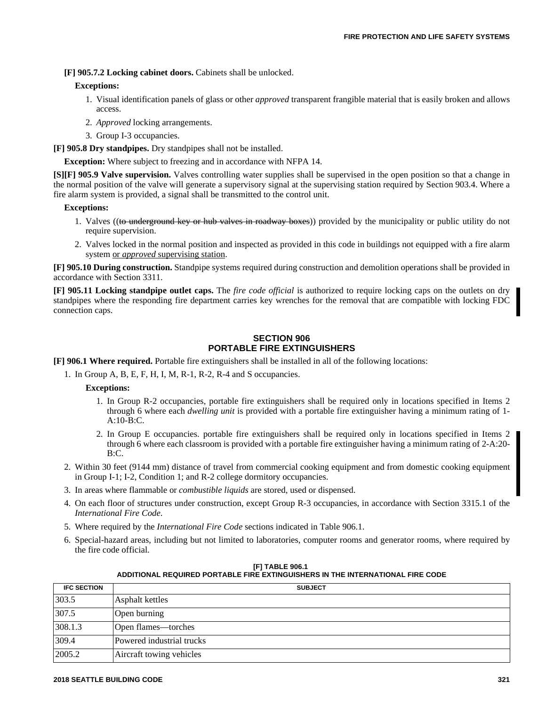**[F] 905.7.2 Locking cabinet doors.** Cabinets shall be unlocked.

## **Exceptions:**

- 1. Visual identification panels of glass or other *approved* transparent frangible material that is easily broken and allows access.
- 2. *Approved* locking arrangements.
- 3. Group I-3 occupancies.

**[F] 905.8 Dry standpipes.** Dry standpipes shall not be installed.

**Exception:** Where subject to freezing and in accordance with NFPA 14.

**[S][F] 905.9 Valve supervision.** Valves controlling water supplies shall be supervised in the open position so that a change in the normal position of the valve will generate a supervisory signal at the supervising station required by Section 903.4. Where a fire alarm system is provided, a signal shall be transmitted to the control unit.

#### **Exceptions:**

- 1. Valves ((to underground key or hub valves in roadway boxes)) provided by the municipality or public utility do not require supervision.
- 2. Valves locked in the normal position and inspected as provided in this code in buildings not equipped with a fire alarm system or *approved* supervising station.

**[F] 905.10 During construction.** Standpipe systems required during construction and demolition operations shall be provided in accordance with Section 3311.

**[F] 905.11 Locking standpipe outlet caps.** The *fire code official* is authorized to require locking caps on the outlets on dry standpipes where the responding fire department carries key wrenches for the removal that are compatible with locking FDC connection caps.

## **SECTION 906 PORTABLE FIRE EXTINGUISHERS**

**[F] 906.1 Where required.** Portable fire extinguishers shall be installed in all of the following locations:

1. In Group A, B, E, F, H, I, M, R-1, R-2, R-4 and S occupancies.

## **Exceptions:**

- 1. In Group R-2 occupancies, portable fire extinguishers shall be required only in locations specified in Items 2 through 6 where each *dwelling unit* is provided with a portable fire extinguisher having a minimum rating of 1- A:10-B:C.
- 2. In Group E occupancies. portable fire extinguishers shall be required only in locations specified in Items 2 through 6 where each classroom is provided with a portable fire extinguisher having a minimum rating of 2-A:20- B:C.
- 2. Within 30 feet (9144 mm) distance of travel from commercial cooking equipment and from domestic cooking equipment in Group I-1; I-2, Condition 1; and R-2 college dormitory occupancies.
- 3. In areas where flammable or *combustible liquids* are stored, used or dispensed.
- 4. On each floor of structures under construction, except Group R-3 occupancies, in accordance with Section 3315.1 of the *International Fire Code*.
- 5. Where required by the *International Fire Code* sections indicated in Table 906.1.
- 6. Special-hazard areas, including but not limited to laboratories, computer rooms and generator rooms, where required by the fire code official.

| <b>IFC SECTION</b> | <b>SUBJECT</b>            |
|--------------------|---------------------------|
| 303.5              | Asphalt kettles           |
| 307.5              | Open burning              |
| 308.1.3            | Open flames—torches       |
| 309.4              | Powered industrial trucks |
| 2005.2             | Aircraft towing vehicles  |

#### **[F] TABLE 906.1 ADDITIONAL REQUIRED PORTABLE FIRE EXTINGUISHERS IN THE INTERNATIONAL FIRE CODE**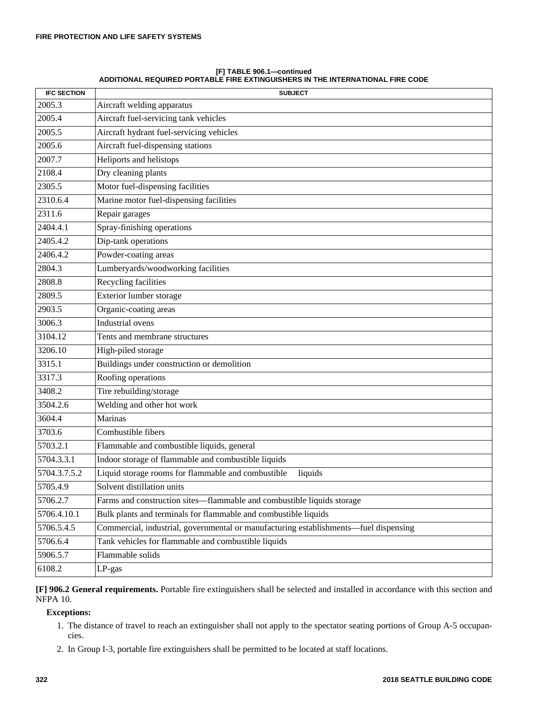| [F] TABLE 906.1-continued                                                      |
|--------------------------------------------------------------------------------|
| ADDITIONAL REQUIRED PORTABLE FIRE EXTINGUISHERS IN THE INTERNATIONAL FIRE CODE |

| <b>IFC SECTION</b> | <b>SUBJECT</b>                                                                       |
|--------------------|--------------------------------------------------------------------------------------|
| 2005.3             | Aircraft welding apparatus                                                           |
| 2005.4             | Aircraft fuel-servicing tank vehicles                                                |
| 2005.5             | Aircraft hydrant fuel-servicing vehicles                                             |
| 2005.6             | Aircraft fuel-dispensing stations                                                    |
| 2007.7             | Heliports and helistops                                                              |
| 2108.4             | Dry cleaning plants                                                                  |
| 2305.5             | Motor fuel-dispensing facilities                                                     |
| 2310.6.4           | Marine motor fuel-dispensing facilities                                              |
| 2311.6             | Repair garages                                                                       |
| 2404.4.1           | Spray-finishing operations                                                           |
| 2405.4.2           | Dip-tank operations                                                                  |
| 2406.4.2           | Powder-coating areas                                                                 |
| 2804.3             | Lumberyards/woodworking facilities                                                   |
| 2808.8             | Recycling facilities                                                                 |
| 2809.5             | Exterior lumber storage                                                              |
| 2903.5             | Organic-coating areas                                                                |
| 3006.3             | Industrial ovens                                                                     |
| 3104.12            | Tents and membrane structures                                                        |
| 3206.10            | High-piled storage                                                                   |
| 3315.1             | Buildings under construction or demolition                                           |
| 3317.3             | Roofing operations                                                                   |
| 3408.2             | Tire rebuilding/storage                                                              |
| 3504.2.6           | Welding and other hot work                                                           |
| 3604.4             | Marinas                                                                              |
| 3703.6             | Combustible fibers                                                                   |
| 5703.2.1           | Flammable and combustible liquids, general                                           |
| 5704.3.3.1         | Indoor storage of flammable and combustible liquids                                  |
| 5704.3.7.5.2       | Liquid storage rooms for flammable and combustible<br>liquids                        |
| 5705.4.9           | Solvent distillation units                                                           |
| 5706.2.7           | Farms and construction sites—flammable and combustible liquids storage               |
| 5706.4.10.1        | Bulk plants and terminals for flammable and combustible liquids                      |
| 5706.5.4.5         | Commercial, industrial, governmental or manufacturing establishments—fuel dispensing |
| 5706.6.4           | Tank vehicles for flammable and combustible liquids                                  |
| 5906.5.7           | Flammable solids                                                                     |
| 6108.2             | LP-gas                                                                               |

**[F] 906.2 General requirements.** Portable fire extinguishers shall be selected and installed in accordance with this section and NFPA 10.

# **Exceptions:**

- 1. The distance of travel to reach an extinguisher shall not apply to the spectator seating portions of Group A-5 occupancies.
- 2. In Group I-3, portable fire extinguishers shall be permitted to be located at staff locations.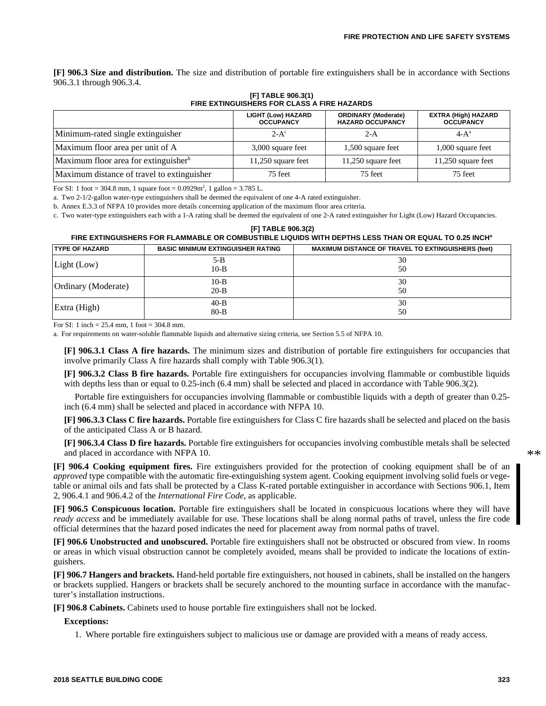**[F] 906.3 Size and distribution.** The size and distribution of portable fire extinguishers shall be in accordance with Sections 906.3.1 through 906.3.4.

| [F] TABLE 906.3(1)                                 |
|----------------------------------------------------|
| <b>FIRE EXTINGUISHERS FOR CLASS A FIRE HAZARDS</b> |

|                                                  | <b>LIGHT (Low) HAZARD</b><br><b>OCCUPANCY</b> | <b>ORDINARY (Moderate)</b><br><b>HAZARD OCCUPANCY</b> | <b>EXTRA (High) HAZARD</b><br><b>OCCUPANCY</b> |
|--------------------------------------------------|-----------------------------------------------|-------------------------------------------------------|------------------------------------------------|
| Minimum-rated single extinguisher                | $2-A^c$                                       | $2-A$                                                 | $4-A^a$                                        |
| Maximum floor area per unit of A                 | 3,000 square feet                             | 1,500 square feet                                     | 1,000 square feet                              |
| Maximum floor area for extinguisher <sup>b</sup> | $11,250$ square feet                          | $11,250$ square feet                                  | $11,250$ square feet                           |
| Maximum distance of travel to extinguisher       | 75 feet                                       | 75 feet                                               | 75 feet                                        |

For SI: 1 foot = 304.8 mm, 1 square foot =  $0.0929$ m<sup>2</sup>, 1 gallon = 3.785 L.

a. Two 2-1/2-gallon water-type extinguishers shall be deemed the equivalent of one 4-A rated extinguisher.

b. Annex E.3.3 of NFPA 10 provides more details concerning application of the maximum floor area criteria.

c. Two water-type extinguishers each with a 1-A rating shall be deemed the equivalent of one 2-A rated extinguisher for Light (Low) Hazard Occupancies.

#### **[F] TABLE 906.3(2) FIRE EXTINGUISHERS FOR FLAMMABLE OR COMBUSTIBLE LIQUIDS WITH DEPTHS LESS THAN OR EQUAL TO 0.25 INCH<sup>a</sup>**

| <b>TYPE OF HAZARD</b> | <b>BASIC MINIMUM EXTINGUISHER RATING</b> | <b>MAXIMUM DISTANCE OF TRAVEL TO EXTINGUISHERS (feet)</b> |  |
|-----------------------|------------------------------------------|-----------------------------------------------------------|--|
| List (Low)            | $5 - B$<br>$10 - B$                      | 30<br>50                                                  |  |
| Ordinary (Moderate)   | $10-B$<br>$20 - B$                       | 30<br>50                                                  |  |
| Extra (High)          | $40-B$<br>$80 - B$                       | 30<br>50                                                  |  |

For SI: 1 inch = 25.4 mm, 1 foot = 304.8 mm.

a. For requirements on water-soluble flammable liquids and alternative sizing criteria, see Section 5.5 of NFPA 10.

**[F] 906.3.1 Class A fire hazards.** The minimum sizes and distribution of portable fire extinguishers for occupancies that involve primarily Class A fire hazards shall comply with Table 906.3(1).

**[F] 906.3.2 Class B fire hazards.** Portable fire extinguishers for occupancies involving flammable or combustible liquids with depths less than or equal to 0.25-inch (6.4 mm) shall be selected and placed in accordance with Table 906.3(2).

Portable fire extinguishers for occupancies involving flammable or combustible liquids with a depth of greater than 0.25 inch (6.4 mm) shall be selected and placed in accordance with NFPA 10.

**[F] 906.3.3 Class C fire hazards.** Portable fire extinguishers for Class C fire hazards shall be selected and placed on the basis of the anticipated Class A or B hazard.

**[F] 906.3.4 Class D fire hazards.** Portable fire extinguishers for occupancies involving combustible metals shall be selected and placed in accordance with NFPA 10.

**[F] 906.4 Cooking equipment fires.** Fire extinguishers provided for the protection of cooking equipment shall be of an *approved* type compatible with the automatic fire-extinguishing system agent. Cooking equipment involving solid fuels or vegetable or animal oils and fats shall be protected by a Class K-rated portable extinguisher in accordance with Sections 906.1, Item 2, 906.4.1 and 906.4.2 of the *International Fire Code*, as applicable.

**[F] 906.5 Conspicuous location.** Portable fire extinguishers shall be located in conspicuous locations where they will have *ready access* and be immediately available for use. These locations shall be along normal paths of travel, unless the fire code official determines that the hazard posed indicates the need for placement away from normal paths of travel.

**[F] 906.6 Unobstructed and unobscured.** Portable fire extinguishers shall not be obstructed or obscured from view. In rooms or areas in which visual obstruction cannot be completely avoided, means shall be provided to indicate the locations of extinguishers.

**[F] 906.7 Hangers and brackets.** Hand-held portable fire extinguishers, not housed in cabinets, shall be installed on the hangers or brackets supplied. Hangers or brackets shall be securely anchored to the mounting surface in accordance with the manufacturer's installation instructions.

**[F] 906.8 Cabinets.** Cabinets used to house portable fire extinguishers shall not be locked.

## **Exceptions:**

1. Where portable fire extinguishers subject to malicious use or damage are provided with a means of ready access.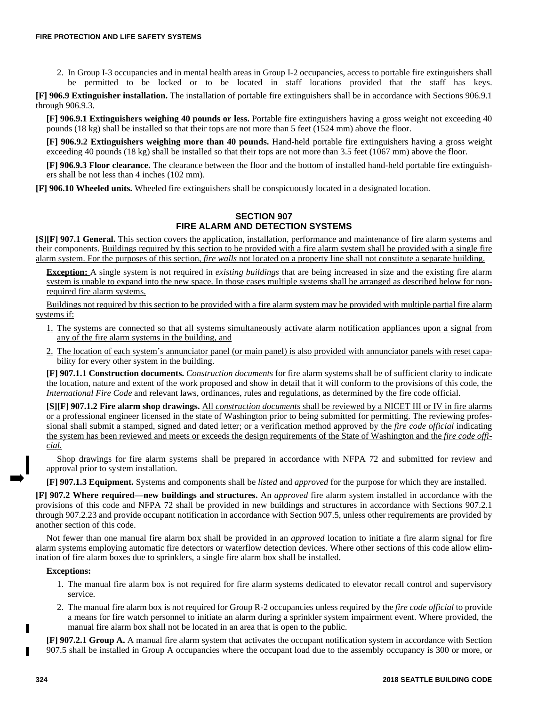2. In Group I-3 occupancies and in mental health areas in Group I-2 occupancies, access to portable fire extinguishers shall be permitted to be locked or to be located in staff locations provided that the staff has keys.

**[F] 906.9 Extinguisher installation.** The installation of portable fire extinguishers shall be in accordance with Sections 906.9.1 through 906.9.3.

**[F] 906.9.1 Extinguishers weighing 40 pounds or less.** Portable fire extinguishers having a gross weight not exceeding 40 pounds (18 kg) shall be installed so that their tops are not more than 5 feet (1524 mm) above the floor.

**[F] 906.9.2 Extinguishers weighing more than 40 pounds.** Hand-held portable fire extinguishers having a gross weight exceeding 40 pounds (18 kg) shall be installed so that their tops are not more than 3.5 feet (1067 mm) above the floor.

**[F] 906.9.3 Floor clearance.** The clearance between the floor and the bottom of installed hand-held portable fire extinguishers shall be not less than 4 inches (102 mm).

**[F] 906.10 Wheeled units.** Wheeled fire extinguishers shall be conspicuously located in a designated location.

# **SECTION 907 FIRE ALARM AND DETECTION SYSTEMS**

**[S][F] 907.1 General.** This section covers the application, installation, performance and maintenance of fire alarm systems and their components. Buildings required by this section to be provided with a fire alarm system shall be provided with a single fire alarm system. For the purposes of this section, *fire walls* not located on a property line shall not constitute a separate building.

**Exception:** A single system is not required in *existing buildings* that are being increased in size and the existing fire alarm system is unable to expand into the new space. In those cases multiple systems shall be arranged as described below for nonrequired fire alarm systems.

Buildings not required by this section to be provided with a fire alarm system may be provided with multiple partial fire alarm systems if:

- 1. The systems are connected so that all systems simultaneously activate alarm notification appliances upon a signal from any of the fire alarm systems in the building, and
- 2. The location of each system's annunciator panel (or main panel) is also provided with annunciator panels with reset capability for every other system in the building.

**[F] 907.1.1 Construction documents.** *Construction documents* for fire alarm systems shall be of sufficient clarity to indicate the location, nature and extent of the work proposed and show in detail that it will conform to the provisions of this code, the *International Fire Code* and relevant laws, ordinances, rules and regulations, as determined by the fire code official.

**[S][F] 907.1.2 Fire alarm shop drawings.** All *construction documents* shall be reviewed by a NICET III or IV in fire alarms or a professional engineer licensed in the state of Washington prior to being submitted for permitting. The reviewing professional shall submit a stamped, signed and dated letter; or a verification method approved by the *fire code official* indicating the system has been reviewed and meets or exceeds the design requirements of the State of Washington and the *fire code official.*

Shop drawings for fire alarm systems shall be prepared in accordance with NFPA 72 and submitted for review and approval prior to system installation.

**[F] 907.1.3 Equipment.** Systems and components shall be *listed* and *approved* for the purpose for which they are installed.

**[F] 907.2 Where required—new buildings and structures.** An *approved* fire alarm system installed in accordance with the provisions of this code and NFPA 72 shall be provided in new buildings and structures in accordance with Sections 907.2.1 through 907.2.23 and provide occupant notification in accordance with Section 907.5, unless other requirements are provided by another section of this code.

Not fewer than one manual fire alarm box shall be provided in an *approved* location to initiate a fire alarm signal for fire alarm systems employing automatic fire detectors or waterflow detection devices. Where other sections of this code allow elimination of fire alarm boxes due to sprinklers, a single fire alarm box shall be installed.

## **Exceptions:**

- 1. The manual fire alarm box is not required for fire alarm systems dedicated to elevator recall control and supervisory service.
- 2. The manual fire alarm box is not required for Group R-2 occupancies unless required by the *fire code official* to provide a means for fire watch personnel to initiate an alarm during a sprinkler system impairment event. Where provided, the manual fire alarm box shall not be located in an area that is open to the public.

**[F] 907.2.1 Group A.** A manual fire alarm system that activates the occupant notification system in accordance with Section 907.5 shall be installed in Group A occupancies where the occupant load due to the assembly occupancy is 300 or more, or

г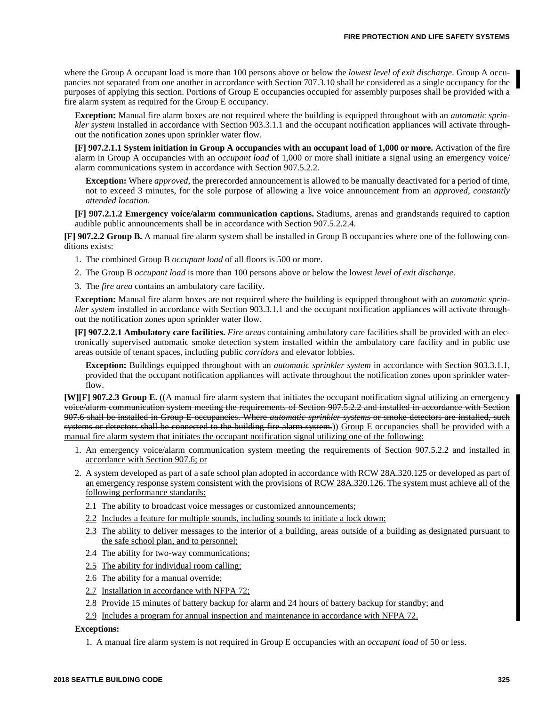where the Group A occupant load is more than 100 persons above or below the *lowest level of exit discharge*. Group A occupancies not separated from one another in accordance with Section 707.3.10 shall be considered as a single occupancy for the purposes of applying this section. Portions of Group E occupancies occupied for assembly purposes shall be provided with a fire alarm system as required for the Group E occupancy.

**Exception:** Manual fire alarm boxes are not required where the building is equipped throughout with an *automatic sprinkler system* installed in accordance with Section 903.3.1.1 and the occupant notification appliances will activate throughout the notification zones upon sprinkler water flow.

**[F] 907.2.1.1 System initiation in Group A occupancies with an occupant load of 1,000 or more.** Activation of the fire alarm in Group A occupancies with an *occupant load* of 1,000 or more shall initiate a signal using an emergency voice/ alarm communications system in accordance with Section 907.5.2.2.

**Exception:** Where *approved*, the prerecorded announcement is allowed to be manually deactivated for a period of time, not to exceed 3 minutes, for the sole purpose of allowing a live voice announcement from an *approved*, *constantly attended location*.

**[F] 907.2.1.2 Emergency voice/alarm communication captions.** Stadiums, arenas and grandstands required to caption audible public announcements shall be in accordance with Section 907.5.2.2.4.

**[F] 907.2.2 Group B.** A manual fire alarm system shall be installed in Group B occupancies where one of the following conditions exists:

- 1. The combined Group B *occupant load* of all floors is 500 or more.
- 2. The Group B *occupant load* is more than 100 persons above or below the lowest *level of exit discharge*.
- 3. The *fire area* contains an ambulatory care facility.

**Exception:** Manual fire alarm boxes are not required where the building is equipped throughout with an *automatic sprinkler system* installed in accordance with Section 903.3.1.1 and the occupant notification appliances will activate throughout the notification zones upon sprinkler water flow.

**[F] 907.2.2.1 Ambulatory care facilities.** *Fire areas* containing ambulatory care facilities shall be provided with an electronically supervised automatic smoke detection system installed within the ambulatory care facility and in public use areas outside of tenant spaces, including public *corridors* and elevator lobbies.

**Exception:** Buildings equipped throughout with an *automatic sprinkler system* in accordance with Section 903.3.1.1, provided that the occupant notification appliances will activate throughout the notification zones upon sprinkler waterflow.

**[W][F] 907.2.3 Group E.** ((A manual fire alarm system that initiates the occupant notification signal utilizing an emergency voice/alarm communication system meeting the requirements of Section 907.5.2.2 and installed in accordance with Section 907.6 shall be installed in Group E occupancies. Where *automatic sprinkler systems* or smoke detectors are installed, such systems or detectors shall be connected to the building fire alarm system.)) Group E occupancies shall be provided with a manual fire alarm system that initiates the occupant notification signal utilizing one of the following:

- 1. An emergency voice/alarm communication system meeting the requirements of Section 907.5.2.2 and installed in accordance with Section 907.6; or
- 2. A system developed as part of a safe school plan adopted in accordance with RCW 28A.320.125 or developed as part of an emergency response system consistent with the provisions of RCW 28A.320.126. The system must achieve all of the following performance standards:
	- 2.1 The ability to broadcast voice messages or customized announcements;
	- 2.2 Includes a feature for multiple sounds, including sounds to initiate a lock down;
	- 2.3 The ability to deliver messages to the interior of a building, areas outside of a building as designated pursuant to the safe school plan, and to personnel;
	- 2.4 The ability for two-way communications;
	- 2.5 The ability for individual room calling;
	- 2.6 The ability for a manual override;
	- 2.7 Installation in accordance with NFPA 72;
	- 2.8 Provide 15 minutes of battery backup for alarm and 24 hours of battery backup for standby; and
	- 2.9 Includes a program for annual inspection and maintenance in accordance with NFPA 72.

#### **Exceptions:**

1. A manual fire alarm system is not required in Group E occupancies with an *occupant load* of 50 or less.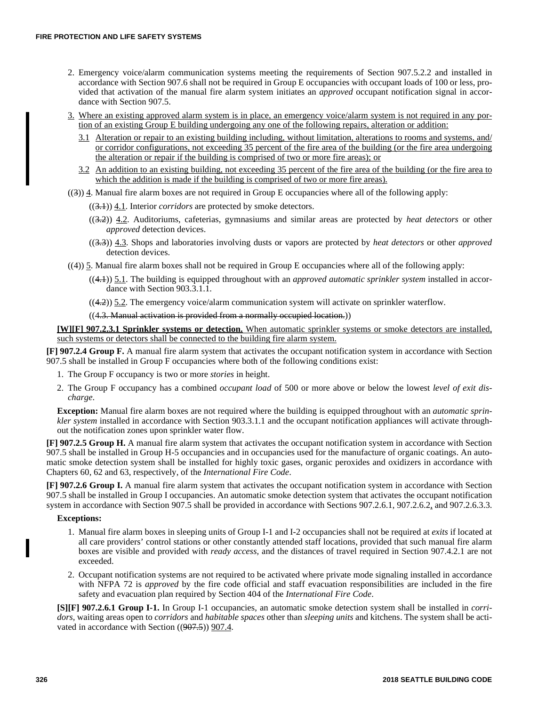- 2. Emergency voice/alarm communication systems meeting the requirements of Section 907.5.2.2 and installed in accordance with Section 907.6 shall not be required in Group E occupancies with occupant loads of 100 or less, provided that activation of the manual fire alarm system initiates an *approved* occupant notification signal in accordance with Section 907.5.
- 3. Where an existing approved alarm system is in place, an emergency voice/alarm system is not required in any portion of an existing Group E building undergoing any one of the following repairs, alteration or addition:
	- 3.1 Alteration or repair to an existing building including, without limitation, alterations to rooms and systems, and/ or corridor configurations, not exceeding 35 percent of the fire area of the building (or the fire area undergoing the alteration or repair if the building is comprised of two or more fire areas); or
	- 3.2 An addition to an existing building, not exceeding 35 percent of the fire area of the building (or the fire area to which the addition is made if the building is comprised of two or more fire areas).
- ((3)) 4. Manual fire alarm boxes are not required in Group E occupancies where all of the following apply:
	- ((3.1)) 4.1. Interior *corridors* are protected by smoke detectors.
	- ((3.2)) 4.2. Auditoriums, cafeterias, gymnasiums and similar areas are protected by *heat detectors* or other *approved* detection devices.
	- ((3.3)) 4.3. Shops and laboratories involving dusts or vapors are protected by *heat detectors* or other *approved* detection devices.
- ((4)) 5. Manual fire alarm boxes shall not be required in Group E occupancies where all of the following apply:
	- ((4.1)) 5.1. The building is equipped throughout with an *approved automatic sprinkler system* installed in accordance with Section 903.3.1.1.
	- $((4.2))$  5.2. The emergency voice/alarm communication system will activate on sprinkler waterflow.

((4.3. Manual activation is provided from a normally occupied location.))

**[W][F] 907.2.3.1 Sprinkler systems or detection.** When automatic sprinkler systems or smoke detectors are installed, such systems or detectors shall be connected to the building fire alarm system.

**[F] 907.2.4 Group F.** A manual fire alarm system that activates the occupant notification system in accordance with Section 907.5 shall be installed in Group F occupancies where both of the following conditions exist:

- 1. The Group F occupancy is two or more *stories* in height.
- 2. The Group F occupancy has a combined *occupant load* of 500 or more above or below the lowest *level of exit discharge*.

**Exception:** Manual fire alarm boxes are not required where the building is equipped throughout with an *automatic sprinkler system* installed in accordance with Section 903.3.1.1 and the occupant notification appliances will activate throughout the notification zones upon sprinkler water flow.

**[F] 907.2.5 Group H.** A manual fire alarm system that activates the occupant notification system in accordance with Section 907.5 shall be installed in Group H-5 occupancies and in occupancies used for the manufacture of organic coatings. An automatic smoke detection system shall be installed for highly toxic gases, organic peroxides and oxidizers in accordance with Chapters 60, 62 and 63, respectively, of the *International Fire Code*.

**[F] 907.2.6 Group I.** A manual fire alarm system that activates the occupant notification system in accordance with Section 907.5 shall be installed in Group I occupancies. An automatic smoke detection system that activates the occupant notification system in accordance with Section 907.5 shall be provided in accordance with Sections 907.2.6.1, 907.2.6.2, and 907.2.6.3.3.

## **Exceptions:**

- 1. Manual fire alarm boxes in sleeping units of Group I-1 and I-2 occupancies shall not be required at *exits* if located at all care providers' control stations or other constantly attended staff locations, provided that such manual fire alarm boxes are visible and provided with *ready access,* and the distances of travel required in Section 907.4.2.1 are not exceeded.
- 2. Occupant notification systems are not required to be activated where private mode signaling installed in accordance with NFPA 72 is *approved* by the fire code official and staff evacuation responsibilities are included in the fire safety and evacuation plan required by Section 404 of the *International Fire Code*.

**[S][F] 907.2.6.1 Group I-1.** In Group I-1 occupancies, an automatic smoke detection system shall be installed in *corridors,* waiting areas open to *corridors* and *habitable spaces* other than *sleeping units* and kitchens. The system shall be activated in accordance with Section  $((907.5))$   $907.4$ .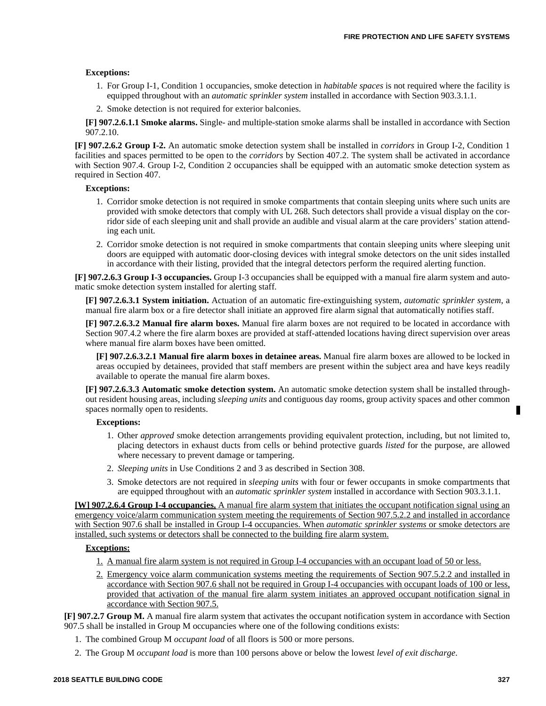#### **Exceptions:**

- 1. For Group I-1, Condition 1 occupancies, smoke detection in *habitable spaces* is not required where the facility is equipped throughout with an *automatic sprinkler system* installed in accordance with Section 903.3.1.1.
- 2. Smoke detection is not required for exterior balconies.

**[F] 907.2.6.1.1 Smoke alarms.** Single- and multiple-station smoke alarms shall be installed in accordance with Section 907.2.10.

**[F] 907.2.6.2 Group I-2.** An automatic smoke detection system shall be installed in *corridors* in Group I-2, Condition 1 facilities and spaces permitted to be open to the *corridors* by Section 407.2. The system shall be activated in accordance with Section 907.4. Group I-2, Condition 2 occupancies shall be equipped with an automatic smoke detection system as required in Section 407.

#### **Exceptions:**

- 1. Corridor smoke detection is not required in smoke compartments that contain sleeping units where such units are provided with smoke detectors that comply with UL 268. Such detectors shall provide a visual display on the corridor side of each sleeping unit and shall provide an audible and visual alarm at the care providers' station attending each unit.
- 2. Corridor smoke detection is not required in smoke compartments that contain sleeping units where sleeping unit doors are equipped with automatic door-closing devices with integral smoke detectors on the unit sides installed in accordance with their listing, provided that the integral detectors perform the required alerting function.

**[F] 907.2.6.3 Group I-3 occupancies.** Group I-3 occupancies shall be equipped with a manual fire alarm system and automatic smoke detection system installed for alerting staff.

**[F] 907.2.6.3.1 System initiation.** Actuation of an automatic fire-extinguishing system, *automatic sprinkler system*, a manual fire alarm box or a fire detector shall initiate an approved fire alarm signal that automatically notifies staff.

**[F] 907.2.6.3.2 Manual fire alarm boxes.** Manual fire alarm boxes are not required to be located in accordance with Section 907.4.2 where the fire alarm boxes are provided at staff-attended locations having direct supervision over areas where manual fire alarm boxes have been omitted.

**[F] 907.2.6.3.2.1 Manual fire alarm boxes in detainee areas.** Manual fire alarm boxes are allowed to be locked in areas occupied by detainees, provided that staff members are present within the subject area and have keys readily available to operate the manual fire alarm boxes.

**[F] 907.2.6.3.3 Automatic smoke detection system.** An automatic smoke detection system shall be installed throughout resident housing areas, including *sleeping units* and contiguous day rooms, group activity spaces and other common spaces normally open to residents.

## **Exceptions:**

- 1. Other *approved* smoke detection arrangements providing equivalent protection, including, but not limited to, placing detectors in exhaust ducts from cells or behind protective guards *listed* for the purpose, are allowed where necessary to prevent damage or tampering.
- 2. *Sleeping units* in Use Conditions 2 and 3 as described in Section 308.
- 3. Smoke detectors are not required in *sleeping units* with four or fewer occupants in smoke compartments that are equipped throughout with an *automatic sprinkler system* installed in accordance with Section 903.3.1.1.

**[W] 907.2.6.4 Group I-4 occupancies.** A manual fire alarm system that initiates the occupant notification signal using an emergency voice/alarm communication system meeting the requirements of Section 907.5.2.2 and installed in accordance with Section 907.6 shall be installed in Group I-4 occupancies. When *automatic sprinkler systems* or smoke detectors are installed, such systems or detectors shall be connected to the building fire alarm system.

## **Exceptions:**

- 1. A manual fire alarm system is not required in Group I-4 occupancies with an occupant load of 50 or less.
- 2. Emergency voice alarm communication systems meeting the requirements of Section 907.5.2.2 and installed in accordance with Section 907.6 shall not be required in Group I-4 occupancies with occupant loads of 100 or less, provided that activation of the manual fire alarm system initiates an approved occupant notification signal in accordance with Section 907.5.

**[F] 907.2.7 Group M.** A manual fire alarm system that activates the occupant notification system in accordance with Section 907.5 shall be installed in Group M occupancies where one of the following conditions exists:

- 1. The combined Group M *occupant load* of all floors is 500 or more persons.
- 2. The Group M *occupant load* is more than 100 persons above or below the lowest *level of exit discharge*.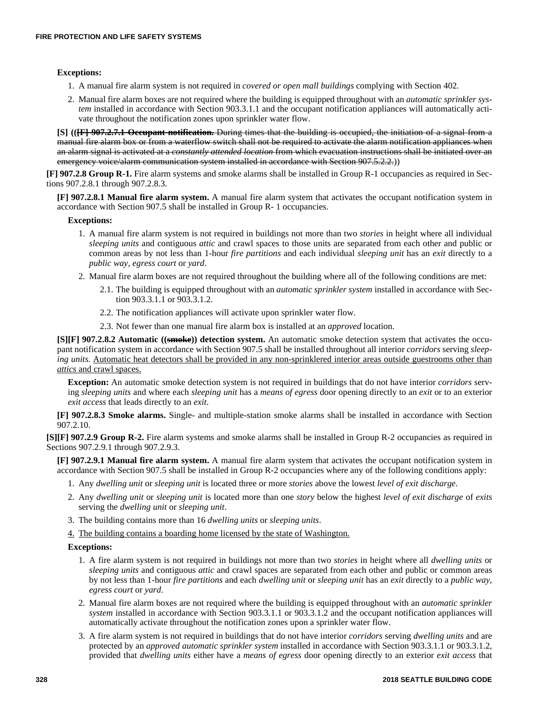## **Exceptions:**

- 1. A manual fire alarm system is not required in *covered or open mall buildings* complying with Section 402*.*
- 2. Manual fire alarm boxes are not required where the building is equipped throughout with an *automatic sprinkler system* installed in accordance with Section 903.3.1.1 and the occupant notification appliances will automatically activate throughout the notification zones upon sprinkler water flow.

**[S] (([F] 907.2.7.1 Occupant notification.** During times that the building is occupied, the initiation of a signal from a manual fire alarm box or from a waterflow switch shall not be required to activate the alarm notification appliances when an alarm signal is activated at a *constantly attended location* from which evacuation instructions shall be initiated over an emergency voice/alarm communication system installed in accordance with Section 907.5.2.2.)

**[F] 907.2.8 Group R-1.** Fire alarm systems and smoke alarms shall be installed in Group R-1 occupancies as required in Sections 907.2.8.1 through 907.2.8.3.

**[F] 907.2.8.1 Manual fire alarm system.** A manual fire alarm system that activates the occupant notification system in accordance with Section 907.5 shall be installed in Group R- 1 occupancies.

## **Exceptions:**

- 1. A manual fire alarm system is not required in buildings not more than two *stories* in height where all individual *sleeping units* and contiguous *attic* and crawl spaces to those units are separated from each other and public or common areas by not less than 1-hour *fire partitions* and each individual *sleeping unit* has an *exit* directly to a *public way*, *egress court* or *yard*.
- 2. Manual fire alarm boxes are not required throughout the building where all of the following conditions are met:
	- 2.1. The building is equipped throughout with an *automatic sprinkler system* installed in accordance with Section 903.3.1.1 or 903.3.1.2.
	- 2.2. The notification appliances will activate upon sprinkler water flow.
	- 2.3. Not fewer than one manual fire alarm box is installed at an *approved* location.

**[S][F] 907.2.8.2 Automatic ((smoke)) detection system.** An automatic smoke detection system that activates the occupant notification system in accordance with Section 907.5 shall be installed throughout all interior *corridors* serving *sleeping units*. Automatic heat detectors shall be provided in any non-sprinklered interior areas outside guestrooms other than *attics* and crawl spaces.

**Exception:** An automatic smoke detection system is not required in buildings that do not have interior *corridors* serving *sleeping units* and where each *sleeping unit* has a *means of egress* door opening directly to an *exit* or to an exterior *exit access* that leads directly to an *exit*.

**[F] 907.2.8.3 Smoke alarms.** Single- and multiple-station smoke alarms shall be installed in accordance with Section 907.2.10.

**[S][F] 907.2.9 Group R-2.** Fire alarm systems and smoke alarms shall be installed in Group R-2 occupancies as required in Sections 907.2.9.1 through 907.2.9.3.

**[F] 907.2.9.1 Manual fire alarm system.** A manual fire alarm system that activates the occupant notification system in accordance with Section 907.5 shall be installed in Group R-2 occupancies where any of the following conditions apply:

- 1. Any *dwelling unit* or *sleeping unit* is located three or more *stories* above the lowest *level of exit discharge*.
- 2. Any *dwelling unit* or *sleeping unit* is located more than one *story* below the highest *level of exit discharge* of *exits* serving the *dwelling unit* or *sleeping unit*.
- 3. The building contains more than 16 *dwelling units* or *sleeping units*.
- 4. The building contains a boarding home licensed by the state of Washington.

# **Exceptions:**

- 1. A fire alarm system is not required in buildings not more than two *stories* in height where all *dwelling units* or *sleeping units* and contiguous *attic* and crawl spaces are separated from each other and public or common areas by not less than 1-hour *fire partitions* and each *dwelling unit* or *sleeping unit* has an *exit* directly to a *public way*, *egress court* or *yard*.
- 2. Manual fire alarm boxes are not required where the building is equipped throughout with an *automatic sprinkler system* installed in accordance with Section 903.3.1.1 or 903.3.1.2 and the occupant notification appliances will automatically activate throughout the notification zones upon a sprinkler water flow.
- 3. A fire alarm system is not required in buildings that do not have interior *corridors* serving *dwelling units* and are protected by an *approved automatic sprinkler system* installed in accordance with Section 903.3.1.1 or 903.3.1.2, provided that *dwelling units* either have a *means of egress* door opening directly to an exterior *exit access* that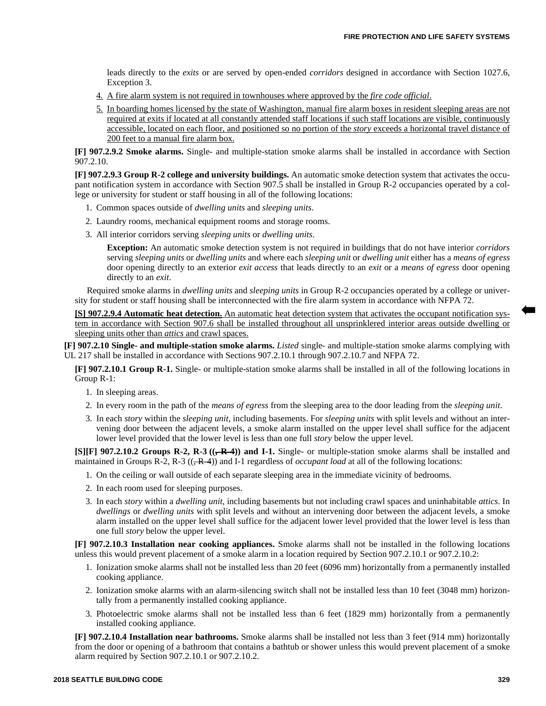leads directly to the *exits* or are served by open-ended *corridors* designed in accordance with Section 1027.6, Exception 3.

- 4. A fire alarm system is not required in townhouses where approved by the *fire code official*.
- 5. In boarding homes licensed by the state of Washington, manual fire alarm boxes in resident sleeping areas are not required at exits if located at all constantly attended staff locations if such staff locations are visible, continuously accessible, located on each floor, and positioned so no portion of the *story* exceeds a horizontal travel distance of 200 feet to a manual fire alarm box.

**[F] 907.2.9.2 Smoke alarms.** Single- and multiple-station smoke alarms shall be installed in accordance with Section 907.2.10.

**[F] 907.2.9.3 Group R-2 college and university buildings.** An automatic smoke detection system that activates the occupant notification system in accordance with Section 907.5 shall be installed in Group R-2 occupancies operated by a college or university for student or staff housing in all of the following locations:

- 1. Common spaces outside of *dwelling units* and *sleeping units*.
- 2. Laundry rooms, mechanical equipment rooms and storage rooms.
- 3. All interior corridors serving *sleeping units* or *dwelling units*.

**Exception:** An automatic smoke detection system is not required in buildings that do not have interior *corridors* serving *sleeping units* or *dwelling units* and where each *sleeping unit* or *dwelling unit* either has a *means of egress* door opening directly to an exterior *exit access* that leads directly to an *exit* or a *means of egress* door opening directly to an *exit*.

Required smoke alarms in *dwelling units* and *sleeping units* in Group R-2 occupancies operated by a college or university for student or staff housing shall be interconnected with the fire alarm system in accordance with NFPA 72.

**[S] 907.2.9.4 Automatic heat detection.** An automatic heat detection system that activates the occupant notification system in accordance with Section 907.6 shall be installed throughout all unsprinklered interior areas outside dwelling or sleeping units other than *attics* and crawl spaces.

**[F] 907.2.10 Single- and multiple-station smoke alarms.** *Listed* single- and multiple-station smoke alarms complying with UL 217 shall be installed in accordance with Sections 907.2.10.1 through 907.2.10.7 and NFPA 72.

**[F] 907.2.10.1 Group R-1.** Single- or multiple-station smoke alarms shall be installed in all of the following locations in Group R-1:

- 1. In sleeping areas.
- 2. In every room in the path of the *means of egress* from the sleeping area to the door leading from the *sleeping unit*.
- 3. In each *story* within the *sleeping unit*, including basements. For *sleeping units* with split levels and without an intervening door between the adjacent levels, a smoke alarm installed on the upper level shall suffice for the adjacent lower level provided that the lower level is less than one full *story* below the upper level.

**[S][F] 907.2.10.2 Groups R-2, R-3 ((<del>, R-4</del>)) and I-1.** Single- or multiple-station smoke alarms shall be installed and maintained in Groups R-2, R-3 ((<del>, R-4</del>)) and I-1 regardless of *occupant load* at all of the following locations:

- 1. On the ceiling or wall outside of each separate sleeping area in the immediate vicinity of bedrooms.
- 2. In each room used for sleeping purposes.
- 3. In each *story* within a *dwelling unit*, including basements but not including crawl spaces and uninhabitable *attics*. In *dwellings* or *dwelling units* with split levels and without an intervening door between the adjacent levels, a smoke alarm installed on the upper level shall suffice for the adjacent lower level provided that the lower level is less than one full *story* below the upper level.

**[F] 907.2.10.3 Installation near cooking appliances.** Smoke alarms shall not be installed in the following locations unless this would prevent placement of a smoke alarm in a location required by Section 907.2.10.1 or 907.2.10.2:

- 1. Ionization smoke alarms shall not be installed less than 20 feet (6096 mm) horizontally from a permanently installed cooking appliance.
- 2. Ionization smoke alarms with an alarm-silencing switch shall not be installed less than 10 feet (3048 mm) horizontally from a permanently installed cooking appliance.
- 3. Photoelectric smoke alarms shall not be installed less than 6 feet (1829 mm) horizontally from a permanently installed cooking appliance.

**[F] 907.2.10.4 Installation near bathrooms.** Smoke alarms shall be installed not less than 3 feet (914 mm) horizontally from the door or opening of a bathroom that contains a bathtub or shower unless this would prevent placement of a smoke alarm required by Section 907.2.10.1 or 907.2.10.2.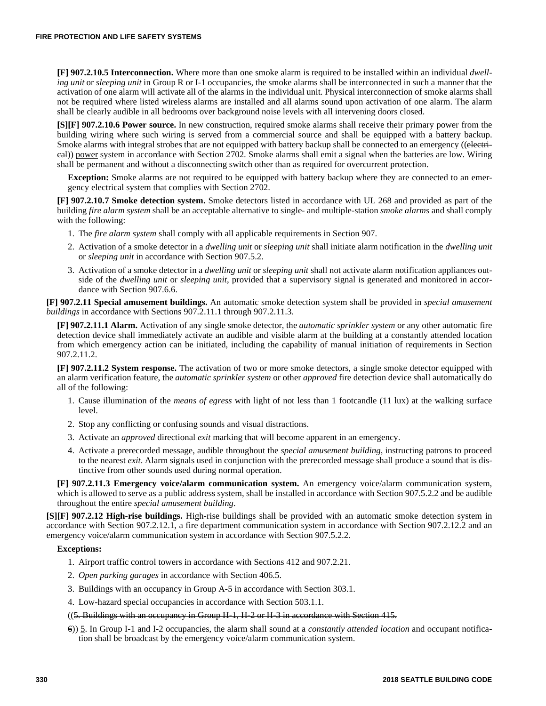**[F] 907.2.10.5 Interconnection.** Where more than one smoke alarm is required to be installed within an individual *dwelling unit or sleeping unit* in Group R or I-1 occupancies, the smoke alarms shall be interconnected in such a manner that the activation of one alarm will activate all of the alarms in the individual unit. Physical interconnection of smoke alarms shall not be required where listed wireless alarms are installed and all alarms sound upon activation of one alarm. The alarm shall be clearly audible in all bedrooms over background noise levels with all intervening doors closed.

**[S][F] 907.2.10.6 Power source.** In new construction, required smoke alarms shall receive their primary power from the building wiring where such wiring is served from a commercial source and shall be equipped with a battery backup. Smoke alarms with integral strobes that are not equipped with battery backup shall be connected to an emergency ((electrieal)) power system in accordance with Section 2702. Smoke alarms shall emit a signal when the batteries are low. Wiring shall be permanent and without a disconnecting switch other than as required for overcurrent protection.

**Exception:** Smoke alarms are not required to be equipped with battery backup where they are connected to an emergency electrical system that complies with Section 2702.

**[F] 907.2.10.7 Smoke detection system.** Smoke detectors listed in accordance with UL 268 and provided as part of the building *fire alarm system* shall be an acceptable alternative to single- and multiple-station *smoke alarms* and shall comply with the following:

- 1. The *fire alarm system* shall comply with all applicable requirements in Section 907.
- 2. Activation of a smoke detector in a *dwelling unit* or *sleeping unit* shall initiate alarm notification in the *dwelling unit* or *sleeping unit* in accordance with Section 907.5.2.
- 3. Activation of a smoke detector in a *dwelling unit* or *sleeping unit* shall not activate alarm notification appliances outside of the *dwelling unit* or *sleeping unit*, provided that a supervisory signal is generated and monitored in accordance with Section 907.6.6.

**[F] 907.2.11 Special amusement buildings.** An automatic smoke detection system shall be provided in *special amusement buildings* in accordance with Sections 907.2.11.1 through 907.2.11.3.

**[F] 907.2.11.1 Alarm.** Activation of any single smoke detector, the *automatic sprinkler system* or any other automatic fire detection device shall immediately activate an audible and visible alarm at the building at a constantly attended location from which emergency action can be initiated, including the capability of manual initiation of requirements in Section 907.2.11.2.

**[F] 907.2.11.2 System response.** The activation of two or more smoke detectors, a single smoke detector equipped with an alarm verification feature, the *automatic sprinkler system* or other *approved* fire detection device shall automatically do all of the following:

- 1. Cause illumination of the *means of egress* with light of not less than 1 footcandle (11 lux) at the walking surface level.
- 2. Stop any conflicting or confusing sounds and visual distractions.
- 3. Activate an *approved* directional *exit* marking that will become apparent in an emergency.
- 4. Activate a prerecorded message, audible throughout the *special amusement building*, instructing patrons to proceed to the nearest *exit*. Alarm signals used in conjunction with the prerecorded message shall produce a sound that is distinctive from other sounds used during normal operation.

**[F] 907.2.11.3 Emergency voice/alarm communication system.** An emergency voice/alarm communication system, which is allowed to serve as a public address system, shall be installed in accordance with Section 907.5.2.2 and be audible throughout the entire *special amusement building*.

**[S][F] 907.2.12 High-rise buildings.** High-rise buildings shall be provided with an automatic smoke detection system in accordance with Section 907.2.12.1, a fire department communication system in accordance with Section 907.2.12.2 and an emergency voice/alarm communication system in accordance with Section 907.5.2.2.

## **Exceptions:**

- 1. Airport traffic control towers in accordance with Sections 412 and 907.2.21.
- 2. *Open parking garages* in accordance with Section 406.5.
- 3. Buildings with an occupancy in Group A-5 in accordance with Section 303.1.
- 4. Low-hazard special occupancies in accordance with Section 503.1.1.

#### ((5. Buildings with an occupancy in Group H-1, H-2 or H-3 in accordance with Section 415.

6)) 5. In Group I-1 and I-2 occupancies, the alarm shall sound at a *constantly attended location* and occupant notification shall be broadcast by the emergency voice/alarm communication system.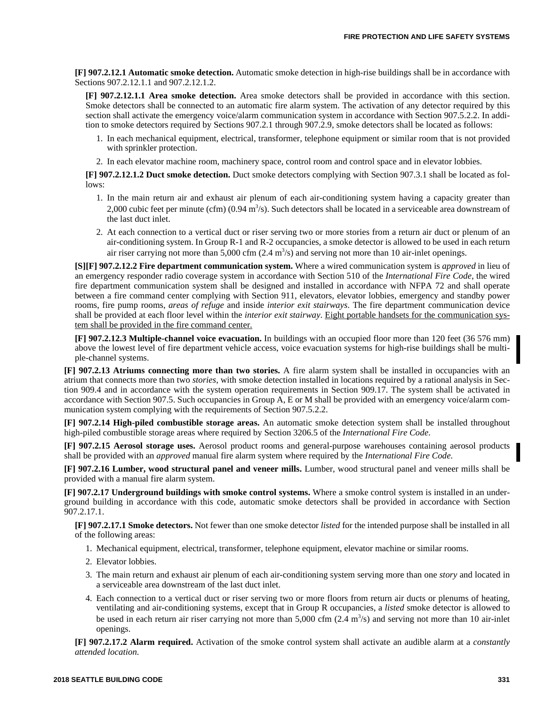**[F] 907.2.12.1 Automatic smoke detection.** Automatic smoke detection in high-rise buildings shall be in accordance with Sections 907.2.12.1.1 and 907.2.12.1.2.

**[F] 907.2.12.1.1 Area smoke detection.** Area smoke detectors shall be provided in accordance with this section. Smoke detectors shall be connected to an automatic fire alarm system. The activation of any detector required by this section shall activate the emergency voice/alarm communication system in accordance with Section 907.5.2.2. In addition to smoke detectors required by Sections 907.2.1 through 907.2.9, smoke detectors shall be located as follows:

- 1. In each mechanical equipment, electrical, transformer, telephone equipment or similar room that is not provided with sprinkler protection.
- 2. In each elevator machine room, machinery space, control room and control space and in elevator lobbies.

**[F] 907.2.12.1.2 Duct smoke detection.** Duct smoke detectors complying with Section 907.3.1 shall be located as follows:

- 1. In the main return air and exhaust air plenum of each air-conditioning system having a capacity greater than 2,000 cubic feet per minute (cfm)  $(0.94 \text{ m}^3/\text{s})$ . Such detectors shall be located in a serviceable area downstream of the last duct inlet.
- 2. At each connection to a vertical duct or riser serving two or more stories from a return air duct or plenum of an air-conditioning system. In Group R-1 and R-2 occupancies, a smoke detector is allowed to be used in each return air riser carrying not more than  $5,000$  cfm  $(2.4 \text{ m}^3/\text{s})$  and serving not more than 10 air-inlet openings.

**[S][F] 907.2.12.2 Fire department communication system.** Where a wired communication system is *approved* in lieu of an emergency responder radio coverage system in accordance with Section 510 of the *International Fire Code*, the wired fire department communication system shall be designed and installed in accordance with NFPA 72 and shall operate between a fire command center complying with Section 911, elevators, elevator lobbies, emergency and standby power rooms, fire pump rooms, *areas of refuge* and inside *interior exit stairways*. The fire department communication device shall be provided at each floor level within the *interior exit stairway*. Eight portable handsets for the communication system shall be provided in the fire command center.

**[F] 907.2.12.3 Multiple-channel voice evacuation.** In buildings with an occupied floor more than 120 feet (36 576 mm) above the lowest level of fire department vehicle access, voice evacuation systems for high-rise buildings shall be multiple-channel systems.

**[F] 907.2.13 Atriums connecting more than two stories.** A fire alarm system shall be installed in occupancies with an atrium that connects more than two *stories*, with smoke detection installed in locations required by a rational analysis in Section 909.4 and in accordance with the system operation requirements in Section 909.17. The system shall be activated in accordance with Section 907.5. Such occupancies in Group A, E or M shall be provided with an emergency voice/alarm communication system complying with the requirements of Section 907.5.2.2.

**[F] 907.2.14 High-piled combustible storage areas.** An automatic smoke detection system shall be installed throughout high-piled combustible storage areas where required by Section 3206.5 of the *International Fire Code*.

**[F] 907.2.15 Aerosol storage uses.** Aerosol product rooms and general-purpose warehouses containing aerosol products shall be provided with an *approved* manual fire alarm system where required by the *International Fire Code*.

**[F] 907.2.16 Lumber, wood structural panel and veneer mills.** Lumber, wood structural panel and veneer mills shall be provided with a manual fire alarm system.

**[F] 907.2.17 Underground buildings with smoke control systems.** Where a smoke control system is installed in an underground building in accordance with this code, automatic smoke detectors shall be provided in accordance with Section 907.2.17.1.

**[F] 907.2.17.1 Smoke detectors.** Not fewer than one smoke detector *listed* for the intended purpose shall be installed in all of the following areas:

- 1. Mechanical equipment, electrical, transformer, telephone equipment, elevator machine or similar rooms.
- 2. Elevator lobbies.
- 3. The main return and exhaust air plenum of each air-conditioning system serving more than one *story* and located in a serviceable area downstream of the last duct inlet.
- 4. Each connection to a vertical duct or riser serving two or more floors from return air ducts or plenums of heating, ventilating and air-conditioning systems, except that in Group R occupancies, a *listed* smoke detector is allowed to be used in each return air riser carrying not more than  $5,000$  cfm  $(2.4 \text{ m}^3/\text{s})$  and serving not more than 10 air-inlet openings.

**[F] 907.2.17.2 Alarm required.** Activation of the smoke control system shall activate an audible alarm at a *constantly attended location*.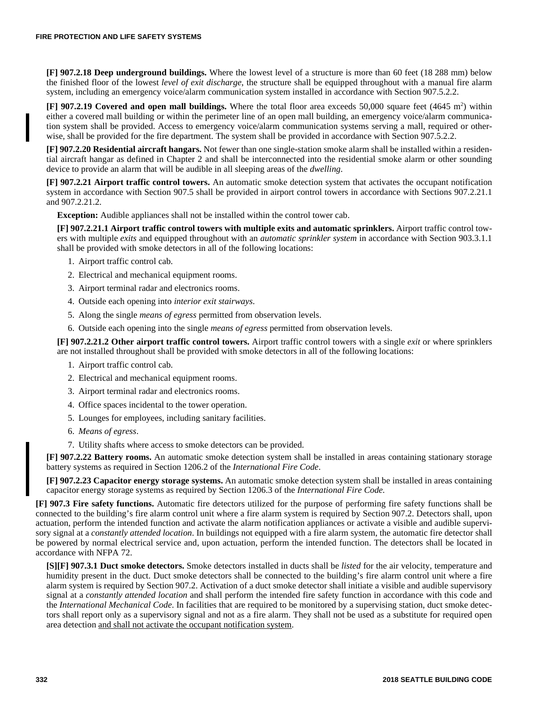**[F] 907.2.18 Deep underground buildings.** Where the lowest level of a structure is more than 60 feet (18 288 mm) below the finished floor of the lowest *level of exit discharge*, the structure shall be equipped throughout with a manual fire alarm system, including an emergency voice/alarm communication system installed in accordance with Section 907.5.2.2.

**[F] 907.2.19 Covered and open mall buildings.** Where the total floor area exceeds  $50,000$  square feet  $(4645 \text{ m}^2)$  within either a covered mall building or within the perimeter line of an open mall building, an emergency voice/alarm communication system shall be provided. Access to emergency voice/alarm communication systems serving a mall, required or otherwise, shall be provided for the fire department. The system shall be provided in accordance with Section 907.5.2.2.

**[F] 907.2.20 Residential aircraft hangars.** Not fewer than one single-station smoke alarm shall be installed within a residential aircraft hangar as defined in Chapter 2 and shall be interconnected into the residential smoke alarm or other sounding device to provide an alarm that will be audible in all sleeping areas of the *dwelling*.

**[F] 907.2.21 Airport traffic control towers.** An automatic smoke detection system that activates the occupant notification system in accordance with Section 907.5 shall be provided in airport control towers in accordance with Sections 907.2.21.1 and 907.2.21.2.

**Exception:** Audible appliances shall not be installed within the control tower cab.

**[F] 907.2.21.1 Airport traffic control towers with multiple exits and automatic sprinklers.** Airport traffic control towers with multiple *exits* and equipped throughout with an *automatic sprinkler system* in accordance with Section 903.3.1.1 shall be provided with smoke detectors in all of the following locations:

- 1. Airport traffic control cab.
- 2. Electrical and mechanical equipment rooms.
- 3. Airport terminal radar and electronics rooms.
- 4. Outside each opening into *interior exit stairways*.
- 5. Along the single *means of egress* permitted from observation levels.
- 6. Outside each opening into the single *means of egress* permitted from observation levels.

**[F] 907.2.21.2 Other airport traffic control towers.** Airport traffic control towers with a single *exit* or where sprinklers are not installed throughout shall be provided with smoke detectors in all of the following locations:

- 1. Airport traffic control cab.
- 2. Electrical and mechanical equipment rooms.
- 3. Airport terminal radar and electronics rooms.
- 4. Office spaces incidental to the tower operation.
- 5. Lounges for employees, including sanitary facilities.
- 6. *Means of egress*.
- 7. Utility shafts where access to smoke detectors can be provided.

**[F] 907.2.22 Battery rooms.** An automatic smoke detection system shall be installed in areas containing stationary storage battery systems as required in Section 1206.2 of the *International Fire Code*.

**[F] 907.2.23 Capacitor energy storage systems.** An automatic smoke detection system shall be installed in areas containing capacitor energy storage systems as required by Section 1206.3 of the *International Fire Code.*

**[F] 907.3 Fire safety functions.** Automatic fire detectors utilized for the purpose of performing fire safety functions shall be connected to the building's fire alarm control unit where a fire alarm system is required by Section 907.2. Detectors shall, upon actuation, perform the intended function and activate the alarm notification appliances or activate a visible and audible supervisory signal at a *constantly attended location*. In buildings not equipped with a fire alarm system, the automatic fire detector shall be powered by normal electrical service and, upon actuation, perform the intended function. The detectors shall be located in accordance with NFPA 72.

**[S][F] 907.3.1 Duct smoke detectors.** Smoke detectors installed in ducts shall be *listed* for the air velocity, temperature and humidity present in the duct. Duct smoke detectors shall be connected to the building's fire alarm control unit where a fire alarm system is required by Section 907.2. Activation of a duct smoke detector shall initiate a visible and audible supervisory signal at a *constantly attended location* and shall perform the intended fire safety function in accordance with this code and the *International Mechanical Code*. In facilities that are required to be monitored by a supervising station, duct smoke detectors shall report only as a supervisory signal and not as a fire alarm. They shall not be used as a substitute for required open area detection and shall not activate the occupant notification system.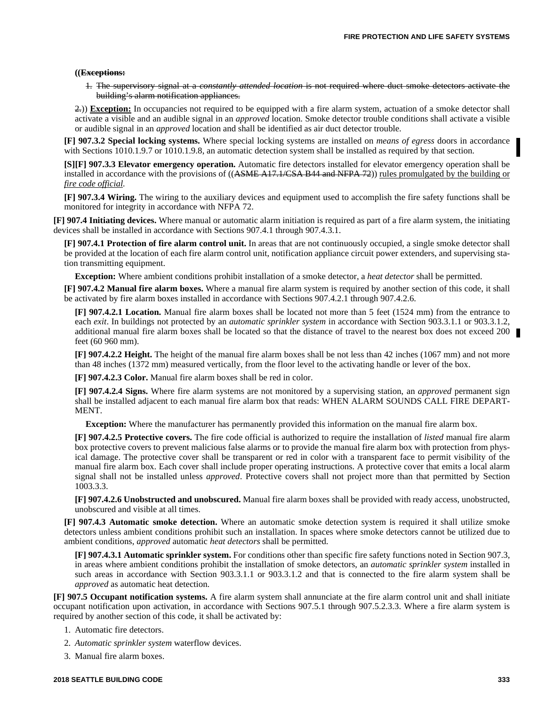#### **((Exceptions:**

1. The supervisory signal at a *constantly attended location* is not required where duct smoke detectors activate the building's alarm notification appliances.

2.)) **Exception:** In occupancies not required to be equipped with a fire alarm system, actuation of a smoke detector shall activate a visible and an audible signal in an *approved* location. Smoke detector trouble conditions shall activate a visible or audible signal in an *approved* location and shall be identified as air duct detector trouble.

**[F] 907.3.2 Special locking systems.** Where special locking systems are installed on *means of egress* doors in accordance with Sections 1010.1.9.7 or 1010.1.9.8, an automatic detection system shall be installed as required by that section.

**[S][F] 907.3.3 Elevator emergency operation.** Automatic fire detectors installed for elevator emergency operation shall be installed in accordance with the provisions of ((ASME A17.1/CSA B44 and NFPA 72)) rules promulgated by the building or *fire code official.*

**[F] 907.3.4 Wiring.** The wiring to the auxiliary devices and equipment used to accomplish the fire safety functions shall be monitored for integrity in accordance with NFPA 72.

**[F] 907.4 Initiating devices.** Where manual or automatic alarm initiation is required as part of a fire alarm system, the initiating devices shall be installed in accordance with Sections 907.4.1 through 907.4.3.1.

**[F] 907.4.1 Protection of fire alarm control unit.** In areas that are not continuously occupied, a single smoke detector shall be provided at the location of each fire alarm control unit, notification appliance circuit power extenders, and supervising station transmitting equipment.

**Exception:** Where ambient conditions prohibit installation of a smoke detector, a *heat detector* shall be permitted.

**[F] 907.4.2 Manual fire alarm boxes.** Where a manual fire alarm system is required by another section of this code, it shall be activated by fire alarm boxes installed in accordance with Sections 907.4.2.1 through 907.4.2.6.

**[F] 907.4.2.1 Location.** Manual fire alarm boxes shall be located not more than 5 feet (1524 mm) from the entrance to each *exit*. In buildings not protected by an *automatic sprinkler system* in accordance with Section 903.3.1.1 or 903.3.1.2, additional manual fire alarm boxes shall be located so that the distance of travel to the nearest box does not exceed 200 feet (60 960 mm).

**[F] 907.4.2.2 Height.** The height of the manual fire alarm boxes shall be not less than 42 inches (1067 mm) and not more than 48 inches (1372 mm) measured vertically, from the floor level to the activating handle or lever of the box.

**[F] 907.4.2.3 Color.** Manual fire alarm boxes shall be red in color.

**[F] 907.4.2.4 Signs.** Where fire alarm systems are not monitored by a supervising station, an *approved* permanent sign shall be installed adjacent to each manual fire alarm box that reads: WHEN ALARM SOUNDS CALL FIRE DEPART-MENT.

**Exception:** Where the manufacturer has permanently provided this information on the manual fire alarm box.

**[F] 907.4.2.5 Protective covers.** The fire code official is authorized to require the installation of *listed* manual fire alarm box protective covers to prevent malicious false alarms or to provide the manual fire alarm box with protection from physical damage. The protective cover shall be transparent or red in color with a transparent face to permit visibility of the manual fire alarm box. Each cover shall include proper operating instructions. A protective cover that emits a local alarm signal shall not be installed unless *approved*. Protective covers shall not project more than that permitted by Section 1003.3.3.

**[F] 907.4.2.6 Unobstructed and unobscured.** Manual fire alarm boxes shall be provided with ready access, unobstructed, unobscured and visible at all times.

**[F] 907.4.3 Automatic smoke detection.** Where an automatic smoke detection system is required it shall utilize smoke detectors unless ambient conditions prohibit such an installation. In spaces where smoke detectors cannot be utilized due to ambient conditions, *approved* automatic *heat detectors* shall be permitted.

**[F] 907.4.3.1 Automatic sprinkler system.** For conditions other than specific fire safety functions noted in Section 907.3, in areas where ambient conditions prohibit the installation of smoke detectors, an *automatic sprinkler system* installed in such areas in accordance with Section 903.3.1.1 or 903.3.1.2 and that is connected to the fire alarm system shall be *approved* as automatic heat detection.

**[F] 907.5 Occupant notification systems.** A fire alarm system shall annunciate at the fire alarm control unit and shall initiate occupant notification upon activation, in accordance with Sections 907.5.1 through 907.5.2.3.3. Where a fire alarm system is required by another section of this code, it shall be activated by:

- 1. Automatic fire detectors.
- 2. *Automatic sprinkler system* waterflow devices.
- 3. Manual fire alarm boxes.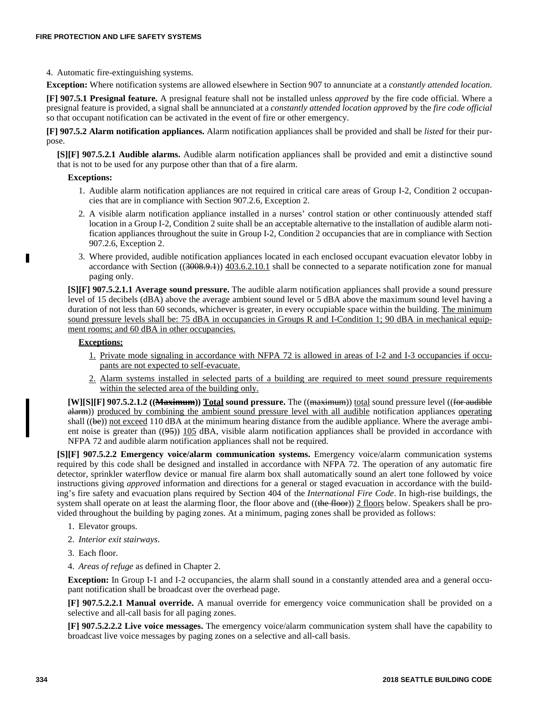4. Automatic fire-extinguishing systems.

**Exception:** Where notification systems are allowed elsewhere in Section 907 to annunciate at a *constantly attended location*.

**[F] 907.5.1 Presignal feature.** A presignal feature shall not be installed unless *approved* by the fire code official. Where a presignal feature is provided, a signal shall be annunciated at a *constantly attended location approved* by the *fire code official* so that occupant notification can be activated in the event of fire or other emergency.

**[F] 907.5.2 Alarm notification appliances.** Alarm notification appliances shall be provided and shall be *listed* for their purpose.

**[S][F] 907.5.2.1 Audible alarms.** Audible alarm notification appliances shall be provided and emit a distinctive sound that is not to be used for any purpose other than that of a fire alarm.

#### **Exceptions:**

- 1. Audible alarm notification appliances are not required in critical care areas of Group I-2, Condition 2 occupancies that are in compliance with Section 907.2.6, Exception 2.
- 2. A visible alarm notification appliance installed in a nurses' control station or other continuously attended staff location in a Group I-2, Condition 2 suite shall be an acceptable alternative to the installation of audible alarm notification appliances throughout the suite in Group I-2, Condition 2 occupancies that are in compliance with Section 907.2.6, Exception 2.
- 3. Where provided, audible notification appliances located in each enclosed occupant evacuation elevator lobby in accordance with Section  $((3008.9.1))$  403.6.2.10.1 shall be connected to a separate notification zone for manual paging only.

**[S][F] 907.5.2.1.1 Average sound pressure.** The audible alarm notification appliances shall provide a sound pressure level of 15 decibels (dBA) above the average ambient sound level or 5 dBA above the maximum sound level having a duration of not less than 60 seconds, whichever is greater, in every occupiable space within the building. The minimum sound pressure levels shall be: 75 dBA in occupancies in Groups R and I-Condition 1; 90 dBA in mechanical equipment rooms; and 60 dBA in other occupancies.

#### **Exceptions:**

- 1. Private mode signaling in accordance with NFPA 72 is allowed in areas of I-2 and I-3 occupancies if occupants are not expected to self-evacuate.
- 2. Alarm systems installed in selected parts of a building are required to meet sound pressure requirements within the selected area of the building only.

**[W][S][F] 907.5.2.1.2 ((Maximum)) Total sound pressure.** The ((maximum)) total sound pressure level ((for audible alarm)) produced by combining the ambient sound pressure level with all audible notification appliances operating shall  $((be))$  not exceed 110 dBA at the minimum hearing distance from the audible appliance. Where the average ambient noise is greater than  $((95))$  105 dBA, visible alarm notification appliances shall be provided in accordance with NFPA 72 and audible alarm notification appliances shall not be required.

**[S][F] 907.5.2.2 Emergency voice/alarm communication systems.** Emergency voice/alarm communication systems required by this code shall be designed and installed in accordance with NFPA 72. The operation of any automatic fire detector, sprinkler waterflow device or manual fire alarm box shall automatically sound an alert tone followed by voice instructions giving *approved* information and directions for a general or staged evacuation in accordance with the building's fire safety and evacuation plans required by Section 404 of the *International Fire Code*. In high-rise buildings, the system shall operate on at least the alarming floor, the floor above and ((the floor)) 2 floors below. Speakers shall be provided throughout the building by paging zones. At a minimum, paging zones shall be provided as follows:

- 1. Elevator groups.
- 2. *Interior exit stairways*.
- 3. Each floor.
- 4. *Areas of refuge* as defined in Chapter 2.

**Exception:** In Group I-1 and I-2 occupancies, the alarm shall sound in a constantly attended area and a general occupant notification shall be broadcast over the overhead page.

**[F] 907.5.2.2.1 Manual override.** A manual override for emergency voice communication shall be provided on a selective and all-call basis for all paging zones.

**[F] 907.5.2.2.2 Live voice messages.** The emergency voice/alarm communication system shall have the capability to broadcast live voice messages by paging zones on a selective and all-call basis.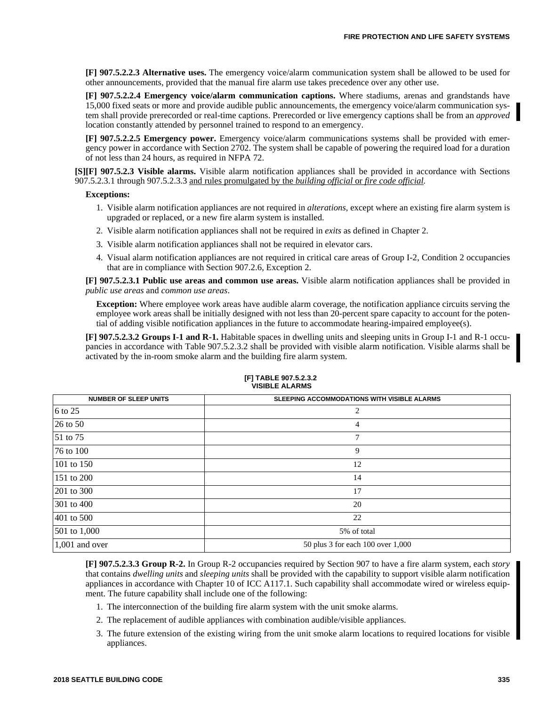**[F] 907.5.2.2.3 Alternative uses.** The emergency voice/alarm communication system shall be allowed to be used for other announcements, provided that the manual fire alarm use takes precedence over any other use.

**[F] 907.5.2.2.4 Emergency voice/alarm communication captions.** Where stadiums, arenas and grandstands have 15,000 fixed seats or more and provide audible public announcements, the emergency voice/alarm communication system shall provide prerecorded or real-time captions. Prerecorded or live emergency captions shall be from an *approved* location constantly attended by personnel trained to respond to an emergency.

**[F] 907.5.2.2.5 Emergency power.** Emergency voice/alarm communications systems shall be provided with emergency power in accordance with Section 2702. The system shall be capable of powering the required load for a duration of not less than 24 hours, as required in NFPA 72.

**[S][F] 907.5.2.3 Visible alarms.** Visible alarm notification appliances shall be provided in accordance with Sections 907.5.2.3.1 through 907.5.2.3.3 and rules promulgated by the *building official* or *fire code official.*

#### **Exceptions:**

- 1. Visible alarm notification appliances are not required in *alterations*, except where an existing fire alarm system is upgraded or replaced, or a new fire alarm system is installed.
- 2. Visible alarm notification appliances shall not be required in *exits* as defined in Chapter 2.
- 3. Visible alarm notification appliances shall not be required in elevator cars.
- 4. Visual alarm notification appliances are not required in critical care areas of Group I-2, Condition 2 occupancies that are in compliance with Section 907.2.6, Exception 2.

**[F] 907.5.2.3.1 Public use areas and common use areas.** Visible alarm notification appliances shall be provided in *public use areas* and *common use areas*.

**Exception:** Where employee work areas have audible alarm coverage, the notification appliance circuits serving the employee work areas shall be initially designed with not less than 20-percent spare capacity to account for the potential of adding visible notification appliances in the future to accommodate hearing-impaired employee(s).

**[F] 907.5.2.3.2 Groups I-1 and R-1.** Habitable spaces in dwelling units and sleeping units in Group I-1 and R-1 occupancies in accordance with Table 907.5.2.3.2 shall be provided with visible alarm notification. Visible alarms shall be activated by the in-room smoke alarm and the building fire alarm system.

| <b>NUMBER OF SLEEP UNITS</b> | <b>SLEEPING ACCOMMODATIONS WITH VISIBLE ALARMS</b> |
|------------------------------|----------------------------------------------------|
| 6 to 25                      | 2                                                  |
| $26$ to 50                   | 4                                                  |
| 51 to 75                     | 7                                                  |
| 76 to 100                    | 9                                                  |
| 101 to 150                   | 12                                                 |
| 151 to 200                   | 14                                                 |
| 201 to 300                   | 17                                                 |
| 301 to 400                   | 20                                                 |
| 401 to 500                   | 22                                                 |
| 501 to 1,000                 | 5% of total                                        |
| $1,001$ and over             | 50 plus 3 for each 100 over 1,000                  |

#### **[F] TABLE 907.5.2.3.2 VISIBLE ALARMS**

**[F] 907.5.2.3.3 Group R-2.** In Group R-2 occupancies required by Section 907 to have a fire alarm system, each *story* that contains *dwelling units* and *sleeping units* shall be provided with the capability to support visible alarm notification appliances in accordance with Chapter 10 of ICC A117.1. Such capability shall accommodate wired or wireless equipment. The future capability shall include one of the following:

- 1. The interconnection of the building fire alarm system with the unit smoke alarms.
- 2. The replacement of audible appliances with combination audible/visible appliances.
- 3. The future extension of the existing wiring from the unit smoke alarm locations to required locations for visible appliances.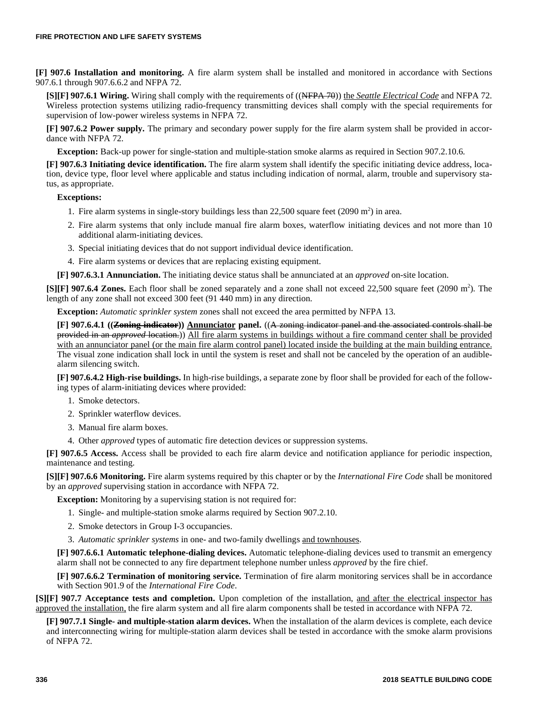**[F] 907.6 Installation and monitoring.** A fire alarm system shall be installed and monitored in accordance with Sections 907.6.1 through 907.6.6.2 and NFPA 72.

**[S][F] 907.6.1 Wiring.** Wiring shall comply with the requirements of ((NFPA 70)) the *Seattle Electrical Code* and NFPA 72. Wireless protection systems utilizing radio-frequency transmitting devices shall comply with the special requirements for supervision of low-power wireless systems in NFPA 72.

**[F] 907.6.2 Power supply.** The primary and secondary power supply for the fire alarm system shall be provided in accordance with NFPA 72.

**Exception:** Back-up power for single-station and multiple-station smoke alarms as required in Section 907.2.10.6.

**[F] 907.6.3 Initiating device identification.** The fire alarm system shall identify the specific initiating device address, location, device type, floor level where applicable and status including indication of normal, alarm, trouble and supervisory status, as appropriate.

**Exceptions:**

- 1. Fire alarm systems in single-story buildings less than  $22,500$  square feet (2090 m<sup>2</sup>) in area.
- 2. Fire alarm systems that only include manual fire alarm boxes, waterflow initiating devices and not more than 10 additional alarm-initiating devices.
- 3. Special initiating devices that do not support individual device identification.
- 4. Fire alarm systems or devices that are replacing existing equipment.

**[F] 907.6.3.1 Annunciation.** The initiating device status shall be annunciated at an *approved* on-site location.

[S][F] 907.6.4 Zones. Each floor shall be zoned separately and a zone shall not exceed 22,500 square feet (2090 m<sup>2</sup>). The length of any zone shall not exceed 300 feet (91 440 mm) in any direction.

**Exception:** *Automatic sprinkler system* zones shall not exceed the area permitted by NFPA 13.

**[F] 907.6.4.1 ((Zoning indicator)) Annunciator panel.** ((A zoning indicator panel and the associated controls shall be provided in an *approved* location.)) All fire alarm systems in buildings without a fire command center shall be provided with an annunciator panel (or the main fire alarm control panel) located inside the building at the main building entrance. The visual zone indication shall lock in until the system is reset and shall not be canceled by the operation of an audiblealarm silencing switch.

**[F] 907.6.4.2 High-rise buildings.** In high-rise buildings, a separate zone by floor shall be provided for each of the following types of alarm-initiating devices where provided:

- 1. Smoke detectors.
- 2. Sprinkler waterflow devices.
- 3. Manual fire alarm boxes.
- 4. Other *approved* types of automatic fire detection devices or suppression systems.

**[F] 907.6.5 Access.** Access shall be provided to each fire alarm device and notification appliance for periodic inspection, maintenance and testing.

**[S][F] 907.6.6 Monitoring.** Fire alarm systems required by this chapter or by the *International Fire Code* shall be monitored by an *approved* supervising station in accordance with NFPA 72.

**Exception:** Monitoring by a supervising station is not required for:

- 1. Single- and multiple-station smoke alarms required by Section 907.2.10.
- 2. Smoke detectors in Group I-3 occupancies.
- 3. *Automatic sprinkler systems* in one- and two-family dwellings and townhouses.

**[F] 907.6.6.1 Automatic telephone-dialing devices.** Automatic telephone-dialing devices used to transmit an emergency alarm shall not be connected to any fire department telephone number unless *approved* by the fire chief.

**[F] 907.6.6.2 Termination of monitoring service.** Termination of fire alarm monitoring services shall be in accordance with Section 901.9 of the *International Fire Code*.

**[S][F] 907.7 Acceptance tests and completion.** Upon completion of the installation, and after the electrical inspector has approved the installation, the fire alarm system and all fire alarm components shall be tested in accordance with NFPA 72.

**[F] 907.7.1 Single- and multiple-station alarm devices.** When the installation of the alarm devices is complete, each device and interconnecting wiring for multiple-station alarm devices shall be tested in accordance with the smoke alarm provisions of NFPA 72.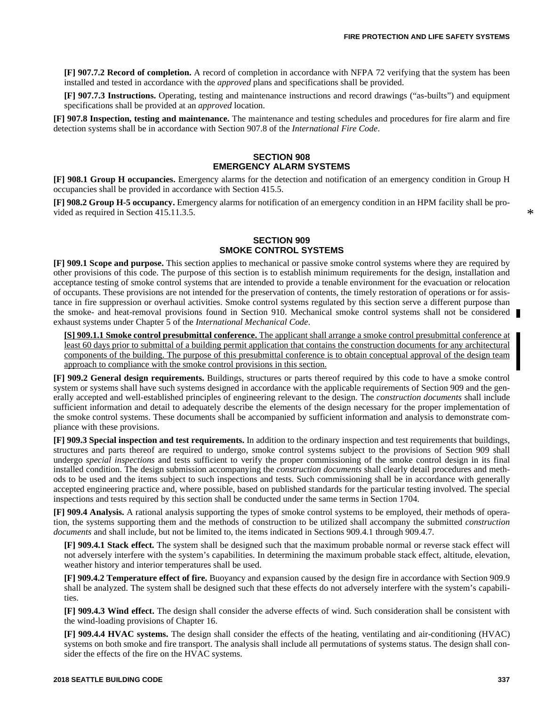**[F] 907.7.2 Record of completion.** A record of completion in accordance with NFPA 72 verifying that the system has been installed and tested in accordance with the *approved* plans and specifications shall be provided.

**[F] 907.7.3 Instructions.** Operating, testing and maintenance instructions and record drawings ("as-builts") and equipment specifications shall be provided at an *approved* location.

**[F] 907.8 Inspection, testing and maintenance.** The maintenance and testing schedules and procedures for fire alarm and fire detection systems shall be in accordance with Section 907.8 of the *International Fire Code*.

# **SECTION 908 EMERGENCY ALARM SYSTEMS**

**[F] 908.1 Group H occupancies.** Emergency alarms for the detection and notification of an emergency condition in Group H occupancies shall be provided in accordance with Section 415.5.

**[F] 908.2 Group H-5 occupancy.** Emergency alarms for notification of an emergency condition in an HPM facility shall be provided as required in Section 415.11.3.5.

## **SECTION 909 SMOKE CONTROL SYSTEMS**

**[F] 909.1 Scope and purpose.** This section applies to mechanical or passive smoke control systems where they are required by other provisions of this code. The purpose of this section is to establish minimum requirements for the design, installation and acceptance testing of smoke control systems that are intended to provide a tenable environment for the evacuation or relocation of occupants. These provisions are not intended for the preservation of contents, the timely restoration of operations or for assistance in fire suppression or overhaul activities. Smoke control systems regulated by this section serve a different purpose than the smoke- and heat-removal provisions found in Section 910. Mechanical smoke control systems shall not be considered exhaust systems under Chapter 5 of the *International Mechanical Code*.

**[S] 909.1.1 Smoke control presubmittal conference.** The applicant shall arrange a smoke control presubmittal conference at least 60 days prior to submittal of a building permit application that contains the construction documents for any architectural components of the building. The purpose of this presubmittal conference is to obtain conceptual approval of the design team approach to compliance with the smoke control provisions in this section.

**[F] 909.2 General design requirements.** Buildings, structures or parts thereof required by this code to have a smoke control system or systems shall have such systems designed in accordance with the applicable requirements of Section 909 and the generally accepted and well-established principles of engineering relevant to the design. The *construction documents* shall include sufficient information and detail to adequately describe the elements of the design necessary for the proper implementation of the smoke control systems. These documents shall be accompanied by sufficient information and analysis to demonstrate compliance with these provisions.

**[F] 909.3 Special inspection and test requirements.** In addition to the ordinary inspection and test requirements that buildings, structures and parts thereof are required to undergo, smoke control systems subject to the provisions of Section 909 shall undergo *special inspections* and tests sufficient to verify the proper commissioning of the smoke control design in its final installed condition. The design submission accompanying the *construction documents* shall clearly detail procedures and methods to be used and the items subject to such inspections and tests. Such commissioning shall be in accordance with generally accepted engineering practice and, where possible, based on published standards for the particular testing involved. The special inspections and tests required by this section shall be conducted under the same terms in Section 1704.

**[F] 909.4 Analysis.** A rational analysis supporting the types of smoke control systems to be employed, their methods of operation, the systems supporting them and the methods of construction to be utilized shall accompany the submitted *construction documents* and shall include, but not be limited to, the items indicated in Sections 909.4.1 through 909.4.7.

**[F] 909.4.1 Stack effect.** The system shall be designed such that the maximum probable normal or reverse stack effect will not adversely interfere with the system's capabilities. In determining the maximum probable stack effect, altitude, elevation, weather history and interior temperatures shall be used.

**[F] 909.4.2 Temperature effect of fire.** Buoyancy and expansion caused by the design fire in accordance with Section 909.9 shall be analyzed. The system shall be designed such that these effects do not adversely interfere with the system's capabilities.

**[F] 909.4.3 Wind effect.** The design shall consider the adverse effects of wind. Such consideration shall be consistent with the wind-loading provisions of Chapter 16.

**[F] 909.4.4 HVAC systems.** The design shall consider the effects of the heating, ventilating and air-conditioning (HVAC) systems on both smoke and fire transport. The analysis shall include all permutations of systems status. The design shall consider the effects of the fire on the HVAC systems.

\*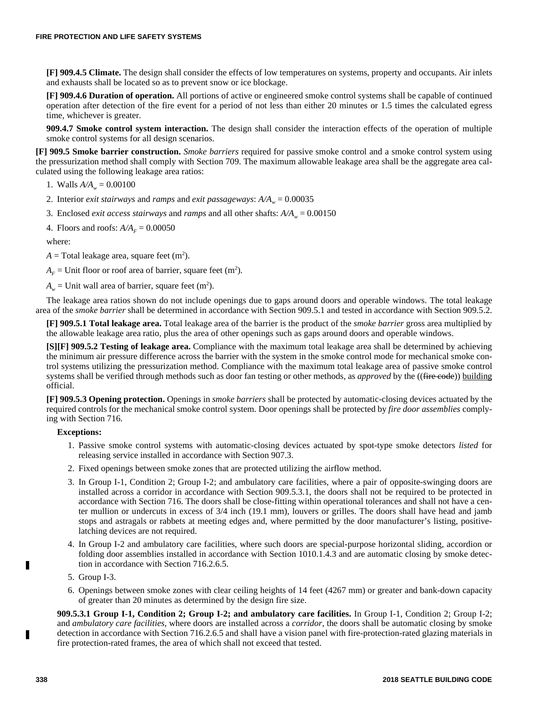**[F] 909.4.5 Climate.** The design shall consider the effects of low temperatures on systems, property and occupants. Air inlets and exhausts shall be located so as to prevent snow or ice blockage.

**[F] 909.4.6 Duration of operation.** All portions of active or engineered smoke control systems shall be capable of continued operation after detection of the fire event for a period of not less than either 20 minutes or 1.5 times the calculated egress time, whichever is greater.

**909.4.7 Smoke control system interaction.** The design shall consider the interaction effects of the operation of multiple smoke control systems for all design scenarios.

**[F] 909.5 Smoke barrier construction.** *Smoke barriers* required for passive smoke control and a smoke control system using the pressurization method shall comply with Section 709. The maximum allowable leakage area shall be the aggregate area calculated using the following leakage area ratios:

1. Walls  $A/A_w = 0.00100$ 

2. Interior *exit stairways* and *ramps* and *exit passageways*:  $A/A_w = 0.00035$ 

3. Enclosed *exit access stairways* and *ramps* and all other shafts:  $A/A_w = 0.00150$ 

4. Floors and roofs:  $A/A<sub>F</sub> = 0.00050$ 

where:

 $A = \text{Total leakage area}, \text{ square feet (m}^2).$ 

 $A_F$  = Unit floor or roof area of barrier, square feet (m<sup>2</sup>).

 $A_w$  = Unit wall area of barrier, square feet (m<sup>2</sup>).

The leakage area ratios shown do not include openings due to gaps around doors and operable windows. The total leakage area of the *smoke barrier* shall be determined in accordance with Section 909.5.1 and tested in accordance with Section 909.5.2.

**[F] 909.5.1 Total leakage area.** Total leakage area of the barrier is the product of the *smoke barrier* gross area multiplied by the allowable leakage area ratio, plus the area of other openings such as gaps around doors and operable windows.

**[S][F] 909.5.2 Testing of leakage area.** Compliance with the maximum total leakage area shall be determined by achieving the minimum air pressure difference across the barrier with the system in the smoke control mode for mechanical smoke control systems utilizing the pressurization method. Compliance with the maximum total leakage area of passive smoke control systems shall be verified through methods such as door fan testing or other methods, as *approved* by the ((<del>fire code</del>)) building official.

**[F] 909.5.3 Opening protection.** Openings in *smoke barriers* shall be protected by automatic-closing devices actuated by the required controls for the mechanical smoke control system. Door openings shall be protected by *fire door assemblies* complying with Section 716.

## **Exceptions:**

- 1. Passive smoke control systems with automatic-closing devices actuated by spot-type smoke detectors *listed* for releasing service installed in accordance with Section 907.3.
- 2. Fixed openings between smoke zones that are protected utilizing the airflow method.
- 3. In Group I-1, Condition 2; Group I-2; and ambulatory care facilities, where a pair of opposite-swinging doors are installed across a corridor in accordance with Section 909.5.3.1, the doors shall not be required to be protected in accordance with Section 716. The doors shall be close-fitting within operational tolerances and shall not have a center mullion or undercuts in excess of 3/4 inch (19.1 mm), louvers or grilles. The doors shall have head and jamb stops and astragals or rabbets at meeting edges and, where permitted by the door manufacturer's listing, positivelatching devices are not required.
- 4. In Group I-2 and ambulatory care facilities, where such doors are special-purpose horizontal sliding, accordion or folding door assemblies installed in accordance with Section 1010.1.4.3 and are automatic closing by smoke detection in accordance with Section 716.2.6.5.
- 5. Group I-3.
- 6. Openings between smoke zones with clear ceiling heights of 14 feet (4267 mm) or greater and bank-down capacity of greater than 20 minutes as determined by the design fire size.

**909.5.3.1 Group I-1, Condition 2; Group I-2; and ambulatory care facilities.** In Group I-1, Condition 2; Group I-2; and *ambulatory care facilities,* where doors are installed across a *corridor,* the doors shall be automatic closing by smoke detection in accordance with Section 716.2.6.5 and shall have a vision panel with fire-protection-rated glazing materials in fire protection-rated frames, the area of which shall not exceed that tested.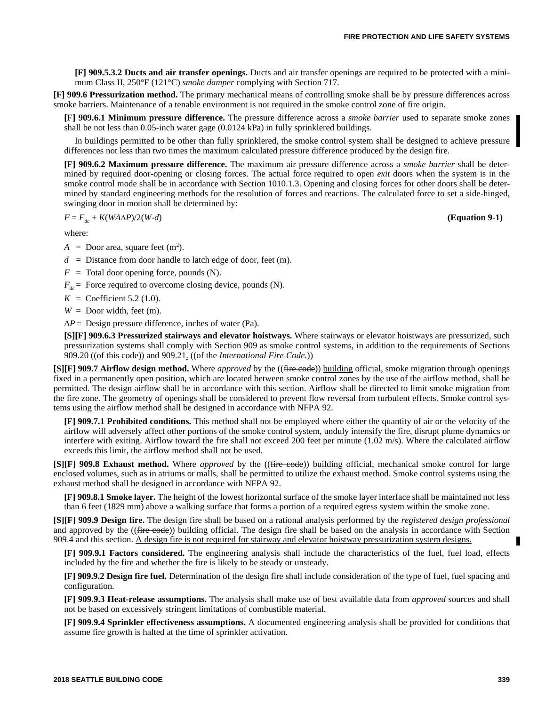**[F] 909.5.3.2 Ducts and air transfer openings.** Ducts and air transfer openings are required to be protected with a minimum Class II, 250°F (121°C) *smoke damper* complying with Section 717.

**[F] 909.6 Pressurization method.** The primary mechanical means of controlling smoke shall be by pressure differences across smoke barriers. Maintenance of a tenable environment is not required in the smoke control zone of fire origin.

**[F] 909.6.1 Minimum pressure difference.** The pressure difference across a *smoke barrier* used to separate smoke zones shall be not less than  $0.05$ -inch water gage  $(0.0124 \text{ kPa})$  in fully sprinklered buildings.

In buildings permitted to be other than fully sprinklered, the smoke control system shall be designed to achieve pressure differences not less than two times the maximum calculated pressure difference produced by the design fire.

**[F] 909.6.2 Maximum pressure difference.** The maximum air pressure difference across a *smoke barrier* shall be determined by required door-opening or closing forces. The actual force required to open *exit* doors when the system is in the smoke control mode shall be in accordance with Section 1010.1.3. Opening and closing forces for other doors shall be determined by standard engineering methods for the resolution of forces and reactions. The calculated force to set a side-hinged, swinging door in motion shall be determined by:

$$
F = F_{dc} + K(WA\Delta P)/2(W-d)
$$
 (Equation 9-1)

where:

 $A =$  Door area, square feet  $(m^2)$ .

 $d =$  Distance from door handle to latch edge of door, feet (m).

 $F =$  Total door opening force, pounds (N).

 $F_{d\sigma}$  = Force required to overcome closing device, pounds (N).

 $K = \text{Coefficient } 5.2 (1.0).$ 

 $W =$  Door width, feet (m).

Δ*P=* Design pressure difference, inches of water (Pa).

**[S][F] 909.6.3 Pressurized stairways and elevator hoistways.** Where stairways or elevator hoistways are pressurized, such pressurization systems shall comply with Section 909 as smoke control systems, in addition to the requirements of Sections 909.20 ((of this code)) and 909.21. ((of the *International Fire Code.*))

**[S][F] 909.7 Airflow design method.** Where *approved* by the ((fire eode)) building official, smoke migration through openings fixed in a permanently open position, which are located between smoke control zones by the use of the airflow method, shall be permitted. The design airflow shall be in accordance with this section. Airflow shall be directed to limit smoke migration from the fire zone. The geometry of openings shall be considered to prevent flow reversal from turbulent effects. Smoke control systems using the airflow method shall be designed in accordance with NFPA 92.

**[F] 909.7.1 Prohibited conditions.** This method shall not be employed where either the quantity of air or the velocity of the airflow will adversely affect other portions of the smoke control system, unduly intensify the fire, disrupt plume dynamics or interfere with exiting. Airflow toward the fire shall not exceed 200 feet per minute (1.02 m/s). Where the calculated airflow exceeds this limit, the airflow method shall not be used.

**[S][F] 909.8 Exhaust method.** Where *approved* by the ((<del>fire code</del>)) building official, mechanical smoke control for large enclosed volumes, such as in atriums or malls, shall be permitted to utilize the exhaust method. Smoke control systems using the exhaust method shall be designed in accordance with NFPA 92.

**[F] 909.8.1 Smoke layer.** The height of the lowest horizontal surface of the smoke layer interface shall be maintained not less than 6 feet (1829 mm) above a walking surface that forms a portion of a required egress system within the smoke zone.

**[S][F] 909.9 Design fire.** The design fire shall be based on a rational analysis performed by the *registered design professional* and approved by the ((fire eode)) building official. The design fire shall be based on the analysis in accordance with Section 909.4 and this section. A design fire is not required for stairway and elevator hoistway pressurization system designs.

**[F] 909.9.1 Factors considered.** The engineering analysis shall include the characteristics of the fuel, fuel load, effects included by the fire and whether the fire is likely to be steady or unsteady.

**[F] 909.9.2 Design fire fuel.** Determination of the design fire shall include consideration of the type of fuel, fuel spacing and configuration.

**[F] 909.9.3 Heat-release assumptions.** The analysis shall make use of best available data from *approved* sources and shall not be based on excessively stringent limitations of combustible material.

**[F] 909.9.4 Sprinkler effectiveness assumptions.** A documented engineering analysis shall be provided for conditions that assume fire growth is halted at the time of sprinkler activation.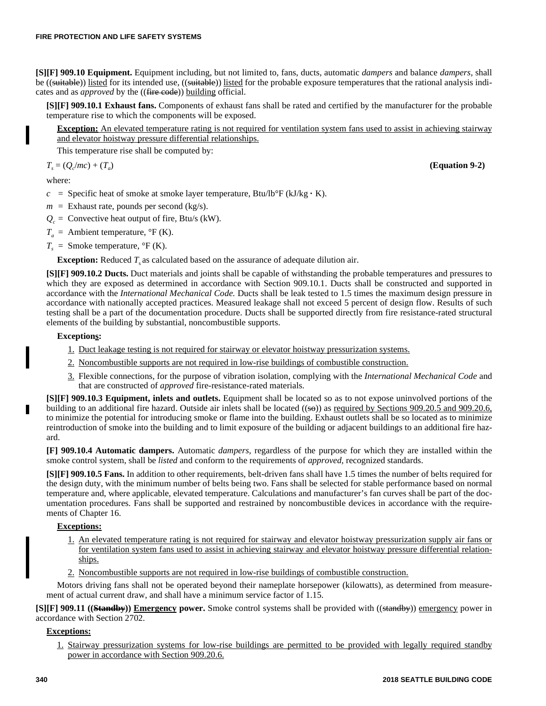**[S][F] 909.10 Equipment.** Equipment including, but not limited to, fans, ducts, automatic *dampers* and balance *dampers,* shall be ((suitable)) listed for its intended use, ((suitable)) listed for the probable exposure temperatures that the rational analysis indicates and as *approved* by the ((fire code)) building official.

**[S][F] 909.10.1 Exhaust fans.** Components of exhaust fans shall be rated and certified by the manufacturer for the probable temperature rise to which the components will be exposed.

**Exception:** An elevated temperature rating is not required for ventilation system fans used to assist in achieving stairway and elevator hoistway pressure differential relationships.

This temperature rise shall be computed by:

 $T_s = (Q_c/mc) + (T_a)$ 

where:

 $c$  = Specific heat of smoke at smoke layer temperature, Btu/lb°F (kJ/kg  $\cdot$  K).

 $m =$  Exhaust rate, pounds per second (kg/s).

 $Q_c$  = Convective heat output of fire, Btu/s (kW).

 $T_a$  = Ambient temperature,  ${}^{\circ}$ F (K).

 $T_s$  = Smoke temperature,  ${}^{\circ}$ F (K).

**Exception:** Reduced  $T_s$  as calculated based on the assurance of adequate dilution air.

**[S][F] 909.10.2 Ducts.** Duct materials and joints shall be capable of withstanding the probable temperatures and pressures to which they are exposed as determined in accordance with Section 909.10.1. Ducts shall be constructed and supported in accordance with the *International Mechanical Code.* Ducts shall be leak tested to 1.5 times the maximum design pressure in accordance with nationally accepted practices. Measured leakage shall not exceed 5 percent of design flow. Results of such testing shall be a part of the documentation procedure. Ducts shall be supported directly from fire resistance-rated structural elements of the building by substantial, noncombustible supports.

## **Exceptions:**

- 1. Duct leakage testing is not required for stairway or elevator hoistway pressurization systems.
- 2. Noncombustible supports are not required in low-rise buildings of combustible construction.
- 3. Flexible connections, for the purpose of vibration isolation, complying with the *International Mechanical Code* and that are constructed of *approved* fire-resistance-rated materials.

**[S][F] 909.10.3 Equipment, inlets and outlets.** Equipment shall be located so as to not expose uninvolved portions of the building to an additional fire hazard. Outside air inlets shall be located ((so)) as required by Sections 909.20.5 and 909.20.6, to minimize the potential for introducing smoke or flame into the building. Exhaust outlets shall be so located as to minimize reintroduction of smoke into the building and to limit exposure of the building or adjacent buildings to an additional fire hazard.

**[F] 909.10.4 Automatic dampers.** Automatic *dampers,* regardless of the purpose for which they are installed within the smoke control system, shall be *listed* and conform to the requirements of *approved,* recognized standards.

**[S][F] 909.10.5 Fans.** In addition to other requirements, belt-driven fans shall have 1.5 times the number of belts required for the design duty, with the minimum number of belts being two. Fans shall be selected for stable performance based on normal temperature and, where applicable, elevated temperature. Calculations and manufacturer's fan curves shall be part of the documentation procedures. Fans shall be supported and restrained by noncombustible devices in accordance with the requirements of Chapter 16.

## **Exceptions:**

- 1. An elevated temperature rating is not required for stairway and elevator hoistway pressurization supply air fans or for ventilation system fans used to assist in achieving stairway and elevator hoistway pressure differential relationships.
- 2. Noncombustible supports are not required in low-rise buildings of combustible construction.

Motors driving fans shall not be operated beyond their nameplate horsepower (kilowatts), as determined from measurement of actual current draw, and shall have a minimum service factor of 1.15.

**[S][F] 909.11 ((Standby)) Emergency power.** Smoke control systems shall be provided with ((standby)) emergency power in accordance with Section 2702.

## **Exceptions:**

1. Stairway pressurization systems for low-rise buildings are permitted to be provided with legally required standby power in accordance with Section 909.20.6.

) **(Equation 9-2)**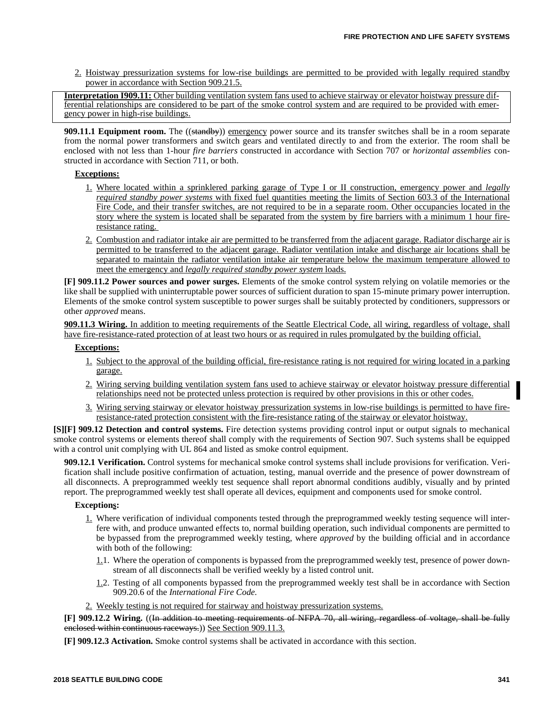2. Hoistway pressurization systems for low-rise buildings are permitted to be provided with legally required standby power in accordance with Section 909.21.5.

**Interpretation I909.11:** Other building ventilation system fans used to achieve stairway or elevator hoistway pressure differential relationships are considered to be part of the smoke control system and are required to be provided with emergency power in high-rise buildings.

**909.11.1 Equipment room.** The ((standby)) emergency power source and its transfer switches shall be in a room separate from the normal power transformers and switch gears and ventilated directly to and from the exterior. The room shall be enclosed with not less than 1-hour *fire barriers* constructed in accordance with Section 707 or *horizontal assemblies* constructed in accordance with Section 711, or both.

## **Exceptions:**

- 1. Where located within a sprinklered parking garage of Type I or II construction, emergency power and *legally required standby power systems* with fixed fuel quantities meeting the limits of Section 603.3 of the International Fire Code, and their transfer switches, are not required to be in a separate room. Other occupancies located in the story where the system is located shall be separated from the system by fire barriers with a minimum 1 hour fireresistance rating.
- 2. Combustion and radiator intake air are permitted to be transferred from the adjacent garage. Radiator discharge air is permitted to be transferred to the adjacent garage. Radiator ventilation intake and discharge air locations shall be separated to maintain the radiator ventilation intake air temperature below the maximum temperature allowed to meet the emergency and *legally required standby power system* loads.

**[F] 909.11.2 Power sources and power surges.** Elements of the smoke control system relying on volatile memories or the like shall be supplied with uninterruptable power sources of sufficient duration to span 15-minute primary power interruption. Elements of the smoke control system susceptible to power surges shall be suitably protected by conditioners, suppressors or other *approved* means.

**909.11.3 Wiring.** In addition to meeting requirements of the Seattle Electrical Code, all wiring, regardless of voltage, shall have fire-resistance-rated protection of at least two hours or as required in rules promulgated by the building official.

#### **Exceptions:**

- 1. Subject to the approval of the building official, fire-resistance rating is not required for wiring located in a parking garage.
- 2. Wiring serving building ventilation system fans used to achieve stairway or elevator hoistway pressure differential relationships need not be protected unless protection is required by other provisions in this or other codes.
- 3. Wiring serving stairway or elevator hoistway pressurization systems in low-rise buildings is permitted to have fireresistance-rated protection consistent with the fire-resistance rating of the stairway or elevator hoistway.

**[S][F] 909.12 Detection and control systems.** Fire detection systems providing control input or output signals to mechanical smoke control systems or elements thereof shall comply with the requirements of Section 907. Such systems shall be equipped with a control unit complying with UL 864 and listed as smoke control equipment.

**909.12.1 Verification.** Control systems for mechanical smoke control systems shall include provisions for verification. Verification shall include positive confirmation of actuation, testing, manual override and the presence of power downstream of all disconnects. A preprogrammed weekly test sequence shall report abnormal conditions audibly, visually and by printed report. The preprogrammed weekly test shall operate all devices, equipment and components used for smoke control.

## **Exceptions:**

- 1. Where verification of individual components tested through the preprogrammed weekly testing sequence will interfere with, and produce unwanted effects to, normal building operation, such individual components are permitted to be bypassed from the preprogrammed weekly testing, where *approved* by the building official and in accordance with both of the following:
	- 1.1. Where the operation of components is bypassed from the preprogrammed weekly test, presence of power downstream of all disconnects shall be verified weekly by a listed control unit.
	- 1.2. Testing of all components bypassed from the preprogrammed weekly test shall be in accordance with Section 909.20.6 of the *International Fire Code.*
- 2. Weekly testing is not required for stairway and hoistway pressurization systems.

**[F] 909.12.2 Wiring.** ((In addition to meeting requirements of NFPA 70, all wiring, regardless of voltage, shall be fully enclosed within continuous raceways.)) See Section 909.11.3.

**[F] 909.12.3 Activation.** Smoke control systems shall be activated in accordance with this section.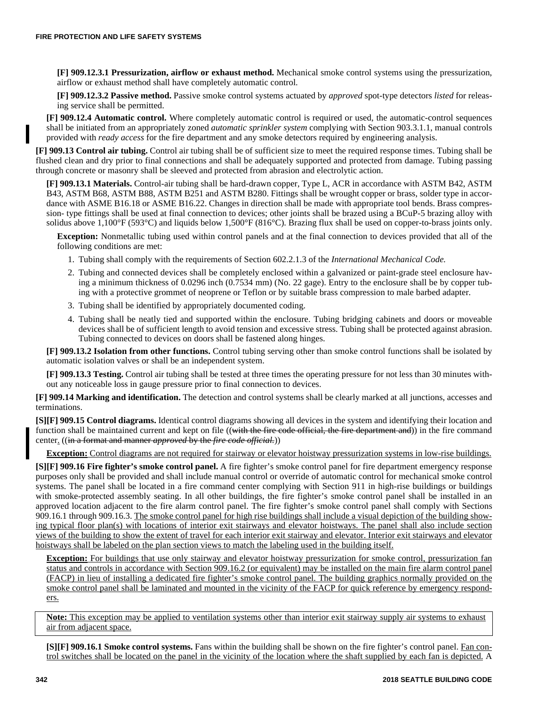**[F] 909.12.3.1 Pressurization, airflow or exhaust method.** Mechanical smoke control systems using the pressurization, airflow or exhaust method shall have completely automatic control.

**[F] 909.12.3.2 Passive method.** Passive smoke control systems actuated by *approved* spot-type detectors *listed* for releasing service shall be permitted.

**[F] 909.12.4 Automatic control.** Where completely automatic control is required or used, the automatic-control sequences shall be initiated from an appropriately zoned *automatic sprinkler system* complying with Section 903.3.1.1, manual controls provided with *ready access* for the fire department and any smoke detectors required by engineering analysis.

**[F] 909.13 Control air tubing.** Control air tubing shall be of sufficient size to meet the required response times. Tubing shall be flushed clean and dry prior to final connections and shall be adequately supported and protected from damage. Tubing passing through concrete or masonry shall be sleeved and protected from abrasion and electrolytic action.

**[F] 909.13.1 Materials.** Control-air tubing shall be hard-drawn copper, Type L, ACR in accordance with ASTM B42, ASTM B43, ASTM B68, ASTM B88, ASTM B251 and ASTM B280. Fittings shall be wrought copper or brass, solder type in accordance with ASME B16.18 or ASME B16.22. Changes in direction shall be made with appropriate tool bends. Brass compression- type fittings shall be used at final connection to devices; other joints shall be brazed using a BCuP-5 brazing alloy with solidus above  $1,100^{\circ}F(593^{\circ}C)$  and liquids below  $1,500^{\circ}F(816^{\circ}C)$ . Brazing flux shall be used on copper-to-brass joints only.

**Exception:** Nonmetallic tubing used within control panels and at the final connection to devices provided that all of the following conditions are met:

- 1. Tubing shall comply with the requirements of Section 602.2.1.3 of the *International Mechanical Code.*
- 2. Tubing and connected devices shall be completely enclosed within a galvanized or paint-grade steel enclosure having a minimum thickness of 0.0296 inch (0.7534 mm) (No. 22 gage). Entry to the enclosure shall be by copper tubing with a protective grommet of neoprene or Teflon or by suitable brass compression to male barbed adapter.
- 3. Tubing shall be identified by appropriately documented coding.
- 4. Tubing shall be neatly tied and supported within the enclosure. Tubing bridging cabinets and doors or moveable devices shall be of sufficient length to avoid tension and excessive stress. Tubing shall be protected against abrasion. Tubing connected to devices on doors shall be fastened along hinges.

**[F] 909.13.2 Isolation from other functions.** Control tubing serving other than smoke control functions shall be isolated by automatic isolation valves or shall be an independent system.

**[F] 909.13.3 Testing.** Control air tubing shall be tested at three times the operating pressure for not less than 30 minutes without any noticeable loss in gauge pressure prior to final connection to devices.

**[F] 909.14 Marking and identification.** The detection and control systems shall be clearly marked at all junctions, accesses and terminations.

**[S][F] 909.15 Control diagrams.** Identical control diagrams showing all devices in the system and identifying their location and function shall be maintained current and kept on file ((with the fire eode official, the fire department and)) in the fire command center. ((in a format and manner *approved* by the *fire code official.*))

**Exception:** Control diagrams are not required for stairway or elevator hoistway pressurization systems in low-rise buildings.

**[S][F] 909.16 Fire fighter's smoke control panel.** A fire fighter's smoke control panel for fire department emergency response purposes only shall be provided and shall include manual control or override of automatic control for mechanical smoke control systems. The panel shall be located in a fire command center complying with Section 911 in high-rise buildings or buildings with smoke-protected assembly seating. In all other buildings, the fire fighter's smoke control panel shall be installed in an approved location adjacent to the fire alarm control panel. The fire fighter's smoke control panel shall comply with Sections 909.16.1 through 909.16.3. The smoke control panel for high rise buildings shall include a visual depiction of the building showing typical floor plan(s) with locations of interior exit stairways and elevator hoistways. The panel shall also include section views of the building to show the extent of travel for each interior exit stairway and elevator. Interior exit stairways and elevator hoistways shall be labeled on the plan section views to match the labeling used in the building itself.

**Exception:** For buildings that use only stairway and elevator hoistway pressurization for smoke control, pressurization fan status and controls in accordance with Section 909.16.2 (or equivalent) may be installed on the main fire alarm control panel (FACP) in lieu of installing a dedicated fire fighter's smoke control panel. The building graphics normally provided on the smoke control panel shall be laminated and mounted in the vicinity of the FACP for quick reference by emergency responders.

**Note:** This exception may be applied to ventilation systems other than interior exit stairway supply air systems to exhaust air from adjacent space.

**[S][F] 909.16.1 Smoke control systems.** Fans within the building shall be shown on the fire fighter's control panel. Fan control switches shall be located on the panel in the vicinity of the location where the shaft supplied by each fan is depicted. A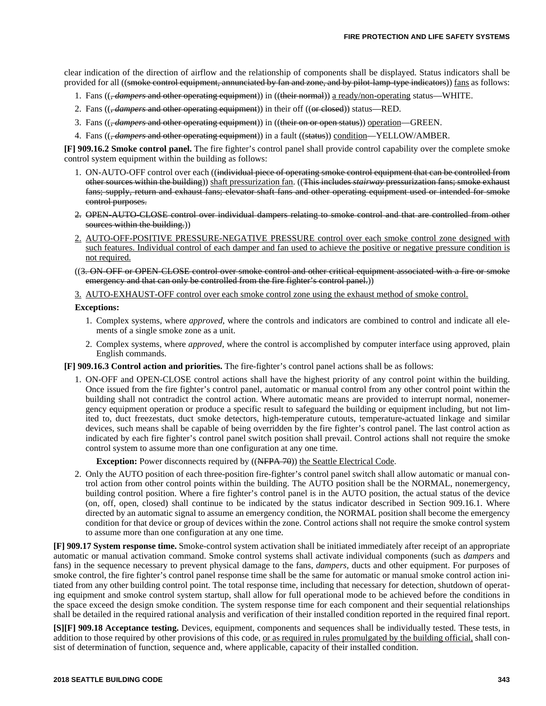clear indication of the direction of airflow and the relationship of components shall be displayed. Status indicators shall be provided for all ((smoke control equipment, annunciated by fan and zone, and by pilot-lamp-type indicators)) fans as follows:

- 1. Fans ((, *dampers* and other operating equipment)) in ((their normal)) a ready/non-operating status—WHITE.
- 2. Fans ((<del>, *dampers* and other operating equipment</del>)) in their off ((or closed)) status—RED.
- 3. Fans ((, *dampers* and other operating equipment)) in ((their on or open status)) operation—GREEN.
- 4. Fans ((, *dampers* and other operating equipment)) in a fault ((status)) condition—YELLOW/AMBER.

**[F] 909.16.2 Smoke control panel.** The fire fighter's control panel shall provide control capability over the complete smoke control system equipment within the building as follows:

- 1. ON-AUTO-OFF control over each ((individual piece of operating smoke control equipment that can be controlled from other sources within the building)) shaft pressurization fan. ((This includes *stairway* pressurization fans; smoke exhaust fans; supply, return and exhaust fans; elevator shaft fans and other operating equipment used or intended for smoke control purposes.
- 2. OPEN-AUTO-CLOSE control over individual dampers relating to smoke control and that are controlled from other sources within the building.)
- 2. AUTO-OFF-POSITIVE PRESSURE-NEGATIVE PRESSURE control over each smoke control zone designed with such features. Individual control of each damper and fan used to achieve the positive or negative pressure condition is not required.
- ((3. ON-OFF or OPEN-CLOSE control over smoke control and other critical equipment associated with a fire or smoke emergency and that can only be controlled from the fire fighter's control panel.)

3. AUTO-EXHAUST-OFF control over each smoke control zone using the exhaust method of smoke control.

#### **Exceptions:**

- 1. Complex systems, where *approved,* where the controls and indicators are combined to control and indicate all elements of a single smoke zone as a unit.
- 2. Complex systems, where *approved,* where the control is accomplished by computer interface using approved, plain English commands.
- **[F] 909.16.3 Control action and priorities.** The fire-fighter's control panel actions shall be as follows:
	- 1. ON-OFF and OPEN-CLOSE control actions shall have the highest priority of any control point within the building. Once issued from the fire fighter's control panel, automatic or manual control from any other control point within the building shall not contradict the control action. Where automatic means are provided to interrupt normal, nonemergency equipment operation or produce a specific result to safeguard the building or equipment including, but not limited to, duct freezestats, duct smoke detectors, high-temperature cutouts, temperature-actuated linkage and similar devices, such means shall be capable of being overridden by the fire fighter's control panel. The last control action as indicated by each fire fighter's control panel switch position shall prevail. Control actions shall not require the smoke control system to assume more than one configuration at any one time.

**Exception:** Power disconnects required by ((NFPA 70)) the Seattle Electrical Code.

2. Only the AUTO position of each three-position fire-fighter's control panel switch shall allow automatic or manual control action from other control points within the building. The AUTO position shall be the NORMAL, nonemergency, building control position. Where a fire fighter's control panel is in the AUTO position, the actual status of the device (on, off, open, closed) shall continue to be indicated by the status indicator described in Section 909.16.1. Where directed by an automatic signal to assume an emergency condition, the NORMAL position shall become the emergency condition for that device or group of devices within the zone. Control actions shall not require the smoke control system to assume more than one configuration at any one time.

**[F] 909.17 System response time.** Smoke-control system activation shall be initiated immediately after receipt of an appropriate automatic or manual activation command. Smoke control systems shall activate individual components (such as *dampers* and fans) in the sequence necessary to prevent physical damage to the fans, *dampers,* ducts and other equipment. For purposes of smoke control, the fire fighter's control panel response time shall be the same for automatic or manual smoke control action initiated from any other building control point. The total response time, including that necessary for detection, shutdown of operating equipment and smoke control system startup, shall allow for full operational mode to be achieved before the conditions in the space exceed the design smoke condition. The system response time for each component and their sequential relationships shall be detailed in the required rational analysis and verification of their installed condition reported in the required final report.

**[S][F] 909.18 Acceptance testing.** Devices, equipment, components and sequences shall be individually tested. These tests, in addition to those required by other provisions of this code, <u>or as required in rules promulgated by the building official</u>, shall consist of determination of function, sequence and, where applicable, capacity of their installed condition.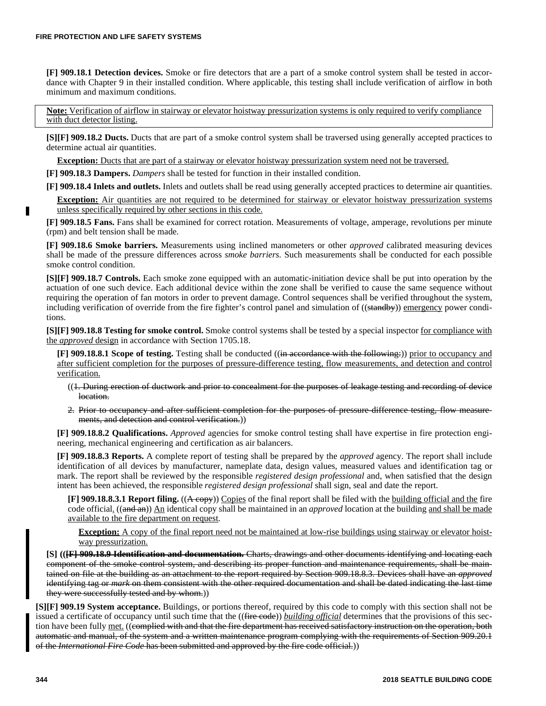**[F] 909.18.1 Detection devices.** Smoke or fire detectors that are a part of a smoke control system shall be tested in accordance with Chapter 9 in their installed condition. Where applicable, this testing shall include verification of airflow in both minimum and maximum conditions.

**Note:** Verification of airflow in stairway or elevator hoistway pressurization systems is only required to verify compliance with duct detector listing.

**[S][F] 909.18.2 Ducts.** Ducts that are part of a smoke control system shall be traversed using generally accepted practices to determine actual air quantities.

**Exception:** Ducts that are part of a stairway or elevator hoistway pressurization system need not be traversed.

**[F] 909.18.3 Dampers.** *Dampers* shall be tested for function in their installed condition.

**[F] 909.18.4 Inlets and outlets.** Inlets and outlets shall be read using generally accepted practices to determine air quantities.

**Exception:** Air quantities are not required to be determined for stairway or elevator hoistway pressurization systems unless specifically required by other sections in this code.

**[F] 909.18.5 Fans.** Fans shall be examined for correct rotation. Measurements of voltage, amperage, revolutions per minute (rpm) and belt tension shall be made.

**[F] 909.18.6 Smoke barriers.** Measurements using inclined manometers or other *approved* calibrated measuring devices shall be made of the pressure differences across *smoke barriers.* Such measurements shall be conducted for each possible smoke control condition.

**[S][F] 909.18.7 Controls.** Each smoke zone equipped with an automatic-initiation device shall be put into operation by the actuation of one such device. Each additional device within the zone shall be verified to cause the same sequence without requiring the operation of fan motors in order to prevent damage. Control sequences shall be verified throughout the system, including verification of override from the fire fighter's control panel and simulation of ((standby)) emergency power conditions.

**[S][F] 909.18.8 Testing for smoke control.** Smoke control systems shall be tested by a special inspector for compliance with the *approved* design in accordance with Section 1705.18.

**[F] 909.18.8.1 Scope of testing.** Testing shall be conducted ((in accordance with the following:)) prior to occupancy and after sufficient completion for the purposes of pressure-difference testing, flow measurements, and detection and control verification.

- ((1. During erection of ductwork and prior to concealment for the purposes of leakage testing and recording of device location.
- 2. Prior to occupancy and after sufficient completion for the purposes of pressure-difference testing, flow measurements, and detection and control verification.))

**[F] 909.18.8.2 Qualifications.** *Approved* agencies for smoke control testing shall have expertise in fire protection engineering, mechanical engineering and certification as air balancers.

**[F] 909.18.8.3 Reports.** A complete report of testing shall be prepared by the *approved* agency. The report shall include identification of all devices by manufacturer, nameplate data, design values, measured values and identification tag or mark. The report shall be reviewed by the responsible *registered design professional* and, when satisfied that the design intent has been achieved, the responsible *registered design professional* shall sign, seal and date the report.

**[F] 909.18.8.3.1 Report filing.** ((A copy)) Copies of the final report shall be filed with the building official and the fire code official. ((and an)) An identical copy shall be maintained in an *approved* location at the building and shall be made available to the fire department on request.

**Exception:** A copy of the final report need not be maintained at low-rise buildings using stairway or elevator hoistway pressurization.

**[S] (([F] 909.18.9 Identification and documentation.** Charts, drawings and other documents identifying and locating each component of the smoke control system, and describing its proper function and maintenance requirements, shall be maintained on file at the building as an attachment to the report required by Section 909.18.8.3. Devices shall have an *approved* identifying tag or *mark* on them consistent with the other required documentation and shall be dated indicating the last time they were successfully tested and by whom.))

**[S][F] 909.19 System acceptance.** Buildings, or portions thereof, required by this code to comply with this section shall not be issued a certificate of occupancy until such time that the ((fire eode)) *building official* determines that the provisions of this section have been fully met. ((<del>complied with and that the fire department has received satisfactory instruction on the operation, both</del> automatic and manual, of the system and a written maintenance program complying with the requirements of Section 909.20.1 of the *International Fire Code* has been submitted and approved by the fire code official.))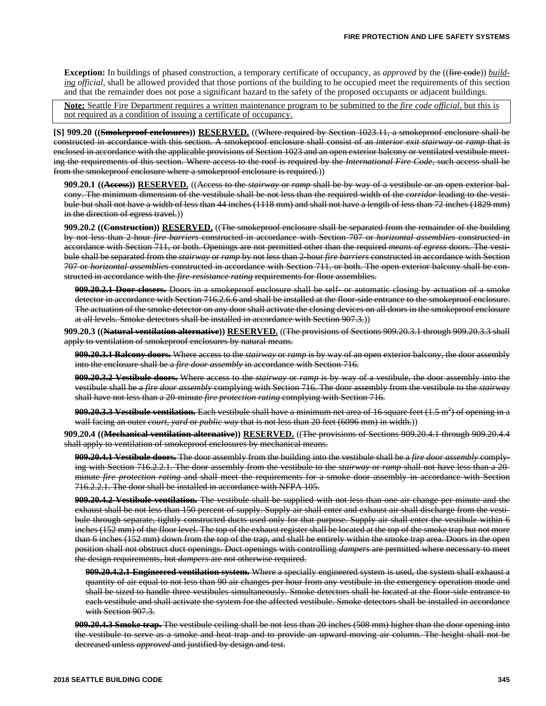**Exception:** In buildings of phased construction, a temporary certificate of occupancy, as *approved* by the ((fire eode)) *building official,* shall be allowed provided that those portions of the building to be occupied meet the requirements of this section and that the remainder does not pose a significant hazard to the safety of the proposed occupants or adjacent buildings.

**Note:** Seattle Fire Department requires a written maintenance program to be submitted to the *fire code official,* but this is not required as a condition of issuing a certificate of occupancy.

**[S] 909.20 ((Smokeproof enclosures)) RESERVED.** ((Where required by Section 1023.11, a smokeproof enclosure shall be constructed in accordance with this section. A smokeproof enclosure shall consist of an *interior exit stairway* or *ramp* that is enclosed in accordance with the applicable provisions of Section 1023 and an open exterior balcony or ventilated vestibule meeting the requirements of this section. Where access to the roof is required by the *International Fire Code*, such access shall be from the smokeproof enclosure where a smokeproof enclosure is required.))

**909.20.1 ((Access)) RESERVED.** ((Access to the *stairway* or *ramp* shall be by way of a vestibule or an open exterior balcony. The minimum dimension of the vestibule shall be not less than the required width of the *corridor* leading to the vestibule but shall not have a width of less than 44 inches (1118 mm) and shall not have a length of less than 72 inches (1829 mm) in the direction of egress travel.)

**909.20.2 ((Construction)) RESERVED.** ((The smokeproof enclosure shall be separated from the remainder of the building by not less than 2-hour *fire barriers* constructed in accordance with Section 707 or *horizontal assemblies* constructed in accordance with Section 711, or both. Openings are not permitted other than the required *means of egress* doors. The vestibule shall be separated from the *stairway* or *ramp* by not less than 2-hour *fire barriers* constructed in accordance with Section 707 or *horizontal assemblies* constructed in accordance with Section 711, or both. The open exterior balcony shall be constructed in accordance with the *fire-resistance rating* requirements for floor assemblies.

**909.20.2.1 Door closers.** Doors in a smokeproof enclosure shall be self- or automatic closing by actuation of a smoke detector in accordance with Section 716.2.6.6 and shall be installed at the floor-side entrance to the smokeproof enclosure. The actuation of the smoke detector on any door shall activate the closing devices on all doors in the smokeproof enclosure at all levels. Smoke detectors shall be installed in accordance with Section 907.3.))

**909.20.3 ((Natural ventilation alternative)) RESERVED.** ((The provisions of Sections 909.20.3.1 through 909.20.3.3 shall apply to ventilation of smokeproof enclosures by natural means.

**909.20.3.1 Balcony doors.** Where access to the *stairway* or *ramp* is by way of an open exterior balcony, the door assembly into the enclosure shall be a *fire door assembly* in accordance with Section 716.

**909.20.3.2 Vestibule doors.** Where access to the *stairway* or *ramp* is by way of a vestibule, the door assembly into the vestibule shall be a *fire door assembly* complying with Section 716. The door assembly from the vestibule to the *stairway* shall have not less than a 20-minute *fire protection rating* complying with Section 716.

**909.20.3.3 Vestibule ventilation.** Each vestibule shall have a minimum net area of 16 square feet (1.5 m<sup>2</sup>) of opening in a wall facing an outer *court*, *yard* or *public way* that is not less than 20 feet (6096 mm) in width.))

**909.20.4 ((Mechanical ventilation alternative)) RESERVED.** ((The provisions of Sections 909.20.4.1 through 909.20.4.4 shall apply to ventilation of smokeproof enclosures by mechanical means.

**909.20.4.1 Vestibule doors.** The door assembly from the building into the vestibule shall be a *fire door assembly* complying with Section 716.2.2.1. The door assembly from the vestibule to the *stairway* or *ramp* shall not have less than a 20 minute *fire protection rating* and shall meet the requirements for a smoke door assembly in accordance with Section 716.2.2.1. The door shall be installed in accordance with NFPA 105.

**909.20.4.2 Vestibule ventilation.** The vestibule shall be supplied with not less than one air change per minute and the exhaust shall be not less than 150 percent of supply. Supply air shall enter and exhaust air shall discharge from the vestibule through separate, tightly constructed ducts used only for that purpose. Supply air shall enter the vestibule within 6 inches (152 mm) of the floor level. The top of the exhaust register shall be located at the top of the smoke trap but not more than 6 inches (152 mm) down from the top of the trap, and shall be entirely within the smoke trap area. Doors in the open position shall not obstruct duct openings. Duct openings with controlling *dampers* are permitted where necessary to meet the design requirements, but *dampers* are not otherwise required.

**909.20.4.2.1 Engineered ventilation system.** Where a specially engineered system is used, the system shall exhaust a quantity of air equal to not less than 90 air changes per hour from any vestibule in the emergency operation mode and shall be sized to handle three vestibules simultaneously. Smoke detectors shall be located at the floor-side entrance to each vestibule and shall activate the system for the affected vestibule. Smoke detectors shall be installed in accordance with Section 907.3.

**909.20.4.3 Smoke trap.** The vestibule ceiling shall be not less than 20 inches (508 mm) higher than the door opening into the vestibule to serve as a smoke and heat trap and to provide an upward-moving air column. The height shall not be decreased unless *approved* and justified by design and test.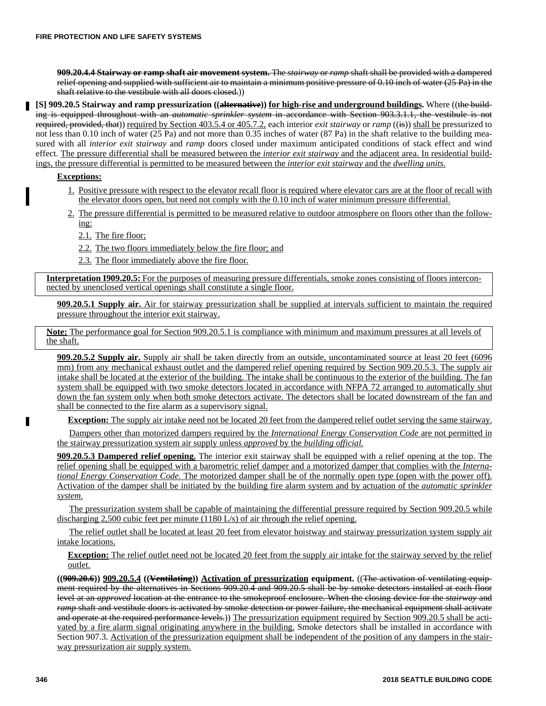**909.20.4.4 Stairway or ramp shaft air movement system.** The *stairway* or *ramp* shaft shall be provided with a dampered relief opening and supplied with sufficient air to maintain a minimum positive pressure of 0.10 inch of water (25 Pa) in the shaft relative to the vestibule with all doors closed.)

**[S] 909.20.5 Stairway and ramp pressurization ((alternative)) for high-rise and underground buildings.** Where ((the building is equipped throughout with an *automatic sprinkler system* in accordance with Section 903.3.1.1, the vestibule is not required, provided, that)) required by Section 403.5.4 or 405.7.2, each interior *exit stairway* or *ramp* ((is)) shall be pressurized to not less than 0.10 inch of water (25 Pa) and not more than 0.35 inches of water (87 Pa) in the shaft relative to the building measured with all *interior exit stairway* and *ramp* doors closed under maximum anticipated conditions of stack effect and wind effect. The pressure differential shall be measured between the *interior exit stairway* and the adjacent area. In residential buildings, the pressure differential is permitted to be measured between the *interior exit stairway* and the *dwelling units.*

# **Exceptions:**

- 1. Positive pressure with respect to the elevator recall floor is required where elevator cars are at the floor of recall with the elevator doors open, but need not comply with the 0.10 inch of water minimum pressure differential.
- 2. The pressure differential is permitted to be measured relative to outdoor atmosphere on floors other than the following:
	- 2.1. The fire floor;
	- 2.2. The two floors immediately below the fire floor; and
	- 2.3. The floor immediately above the fire floor.

**Interpretation I909.20.5:** For the purposes of measuring pressure differentials, smoke zones consisting of floors interconnected by unenclosed vertical openings shall constitute a single floor.

**909.20.5.1 Supply air.** Air for stairway pressurization shall be supplied at intervals sufficient to maintain the required pressure throughout the interior exit stairway.

**Note:** The performance goal for Section 909.20.5.1 is compliance with minimum and maximum pressures at all levels of the shaft.

**909.20.5.2 Supply air.** Supply air shall be taken directly from an outside, uncontaminated source at least 20 feet (6096 mm) from any mechanical exhaust outlet and the dampered relief opening required by Section 909.20.5.3. The supply air intake shall be located at the exterior of the building. The intake shall be continuous to the exterior of the building. The fan system shall be equipped with two smoke detectors located in accordance with NFPA 72 arranged to automatically shut down the fan system only when both smoke detectors activate. The detectors shall be located downstream of the fan and shall be connected to the fire alarm as a supervisory signal.

**Exception:** The supply air intake need not be located 20 feet from the dampered relief outlet serving the same stairway.

Dampers other than motorized dampers required by the *International Energy Conservation Code* are not permitted in the stairway pressurization system air supply unless *approved* by the *building official.*

**909.20.5.3 Dampered relief opening.** The interior exit stairway shall be equipped with a relief opening at the top. The relief opening shall be equipped with a barometric relief damper and a motorized damper that complies with the *International Energy Conservation Code.* The motorized damper shall be of the normally open type (open with the power off). Activation of the damper shall be initiated by the building fire alarm system and by actuation of the *automatic sprinkler system.*

The pressurization system shall be capable of maintaining the differential pressure required by Section 909.20.5 while discharging 2,500 cubic feet per minute (1180 L/s) of air through the relief opening.

The relief outlet shall be located at least 20 feet from elevator hoistway and stairway pressurization system supply air intake locations.

**Exception:** The relief outlet need not be located 20 feet from the supply air intake for the stairway served by the relief outlet.

**((909.20.6)) 909.20.5.4 ((Ventilating)) Activation of pressurization equipment.** ((The activation of ventilating equipment required by the alternatives in Sections 909.20.4 and 909.20.5 shall be by smoke detectors installed at each floor level at an *approved* location at the entrance to the smokeproof enclosure. When the closing device for the *stairway* and *ramp* shaft and vestibule doors is activated by smoke detection or power failure, the mechanical equipment shall activate and operate at the required performance levels.)) The pressurization equipment required by Section 909.20.5 shall be activated by a fire alarm signal originating anywhere in the building. Smoke detectors shall be installed in accordance with Section 907.3. Activation of the pressurization equipment shall be independent of the position of any dampers in the stairway pressurization air supply system.

Г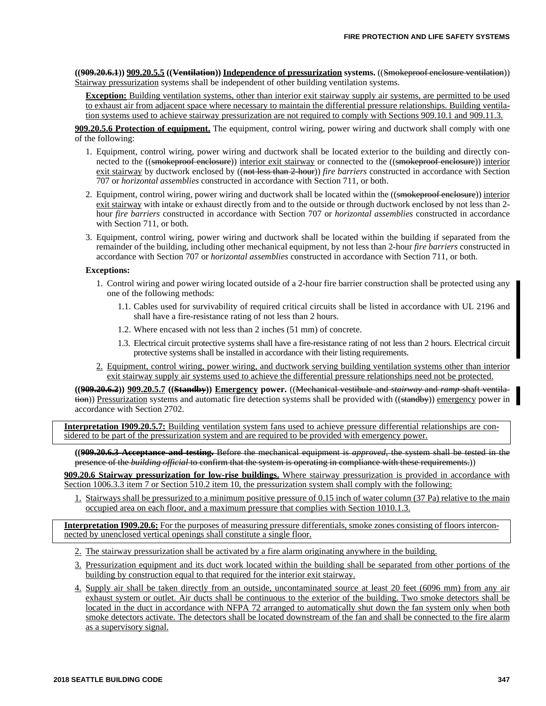**((909.20.6.1)) 909.20.5.5 ((Ventilation)) Independence of pressurization systems.** ((Smokeproof enclosure ventilation)) Stairway pressurization systems shall be independent of other building ventilation systems.

**Exception:** Building ventilation systems, other than interior exit stairway supply air systems, are permitted to be used to exhaust air from adjacent space where necessary to maintain the differential pressure relationships. Building ventilation systems used to achieve stairway pressurization are not required to comply with Sections 909.10.1 and 909.11.3.

**909.20.5.6 Protection of equipment.** The equipment, control wiring, power wiring and ductwork shall comply with one of the following:

- 1. Equipment, control wiring, power wiring and ductwork shall be located exterior to the building and directly connected to the ((smokeproof enclosure)) interior exit stairway or connected to the ((smokeproof enclosure)) interior exit stairway by ductwork enclosed by ((not less than 2-hour)) *fire barriers* constructed in accordance with Section 707 or *horizontal assemblies* constructed in accordance with Section 711, or both.
- 2. Equipment, control wiring, power wiring and ductwork shall be located within the ((smokeproof enclosure)) interior exit stairway with intake or exhaust directly from and to the outside or through ductwork enclosed by not less than 2 hour *fire barriers* constructed in accordance with Section 707 or *horizontal assemblies* constructed in accordance with Section 711, or both.
- 3. Equipment, control wiring, power wiring and ductwork shall be located within the building if separated from the remainder of the building, including other mechanical equipment, by not less than 2-hour *fire barriers* constructed in accordance with Section 707 or *horizontal assemblies* constructed in accordance with Section 711, or both.

#### **Exceptions:**

- 1. Control wiring and power wiring located outside of a 2-hour fire barrier construction shall be protected using any one of the following methods:
	- 1.1. Cables used for survivability of required critical circuits shall be listed in accordance with UL 2196 and shall have a fire-resistance rating of not less than 2 hours.
	- 1.2. Where encased with not less than 2 inches (51 mm) of concrete.
	- 1.3. Electrical circuit protective systems shall have a fire-resistance rating of not less than 2 hours. Electrical circuit protective systems shall be installed in accordance with their listing requirements.
- 2. Equipment, control wiring, power wiring, and ductwork serving building ventilation systems other than interior exit stairway supply air systems used to achieve the differential pressure relationships need not be protected.

**((909.20.6.2)) 909.20.5.7 ((Standby)) Emergency power.** ((Mechanical vestibule and *stairway* and *ramp* shaft ventilation)) Pressurization systems and automatic fire detection systems shall be provided with ((standby)) emergency power in accordance with Section 2702.

**Interpretation I909.20.5.7:** Building ventilation system fans used to achieve pressure differential relationships are considered to be part of the pressurization system and are required to be provided with emergency power.

**((909.20.6.3 Acceptance and testing.** Before the mechanical equipment is *approved*, the system shall be tested in the presence of the *building official* to confirm that the system is operating in compliance with these requirements.))

**909.20.6 Stairway pressurization for low-rise buildings.** Where stairway pressurization is provided in accordance with Section 1006.3.3 item 7 or Section 510.2 item 10, the pressurization system shall comply with the following:

1. Stairways shall be pressurized to a minimum positive pressure of 0.15 inch of water column (37 Pa) relative to the main occupied area on each floor, and a maximum pressure that complies with Section 1010.1.3.

**Interpretation I909.20.6:** For the purposes of measuring pressure differentials, smoke zones consisting of floors interconnected by unenclosed vertical openings shall constitute a single floor.

- 2. The stairway pressurization shall be activated by a fire alarm originating anywhere in the building.
- 3. Pressurization equipment and its duct work located within the building shall be separated from other portions of the building by construction equal to that required for the interior exit stairway.
- 4. Supply air shall be taken directly from an outside, uncontaminated source at least 20 feet (6096 mm) from any air exhaust system or outlet. Air ducts shall be continuous to the exterior of the building. Two smoke detectors shall be located in the duct in accordance with NFPA 72 arranged to automatically shut down the fan system only when both smoke detectors activate. The detectors shall be located downstream of the fan and shall be connected to the fire alarm as a supervisory signal.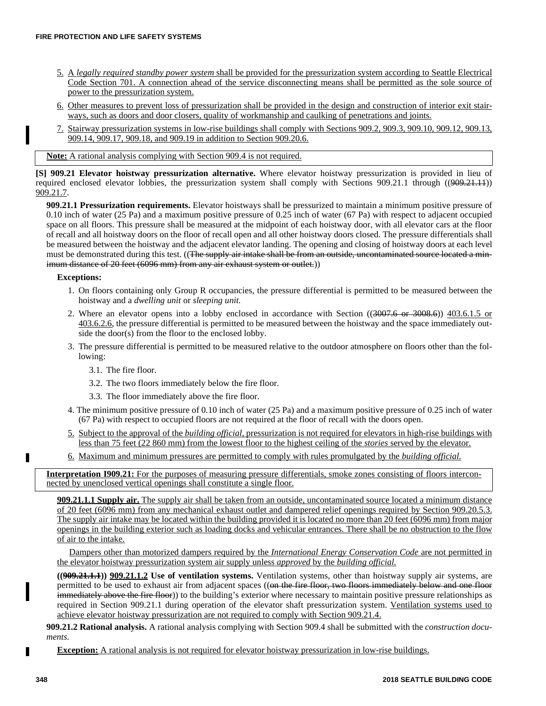- 5. A *legally required standby power system* shall be provided for the pressurization system according to Seattle Electrical Code Section 701. A connection ahead of the service disconnecting means shall be permitted as the sole source of power to the pressurization system.
- 6. Other measures to prevent loss of pressurization shall be provided in the design and construction of interior exit stairways, such as doors and door closers, quality of workmanship and caulking of penetrations and joints.
- 7. Stairway pressurization systems in low-rise buildings shall comply with Sections 909.2, 909.3, 909.10, 909.12, 909.13, 909.14, 909.17, 909.18, and 909.19 in addition to Section 909.20.6.

**Note:** A rational analysis complying with Section 909.4 is not required.

**[S] 909.21 Elevator hoistway pressurization alternative.** Where elevator hoistway pressurization is provided in lieu of required enclosed elevator lobbies, the pressurization system shall comply with Sections  $909.21.1$  through  $((909.21.11))$ 909.21.7.

**909.21.1 Pressurization requirements.** Elevator hoistways shall be pressurized to maintain a minimum positive pressure of 0.10 inch of water (25 Pa) and a maximum positive pressure of 0.25 inch of water (67 Pa) with respect to adjacent occupied space on all floors. This pressure shall be measured at the midpoint of each hoistway door, with all elevator cars at the floor of recall and all hoistway doors on the floor of recall open and all other hoistway doors closed. The pressure differentials shall be measured between the hoistway and the adjacent elevator landing. The opening and closing of hoistway doors at each level must be demonstrated during this test. ((The supply air intake shall be from an outside, uncontaminated source located a minimum distance of 20 feet (6096 mm) from any air exhaust system or outlet.))

#### **Exceptions:**

- 1. On floors containing only Group R occupancies, the pressure differential is permitted to be measured between the hoistway and a *dwelling unit* or *sleeping unit.*
- 2. Where an elevator opens into a lobby enclosed in accordance with Section ((3007.6 or 3008.6)) 403.6.1.5 or 403.6.2.6, the pressure differential is permitted to be measured between the hoistway and the space immediately outside the door(s) from the floor to the enclosed lobby.
- 3. The pressure differential is permitted to be measured relative to the outdoor atmosphere on floors other than the following:
	- 3.1. The fire floor.
	- 3.2. The two floors immediately below the fire floor.
	- 3.3. The floor immediately above the fire floor.
- 4. The minimum positive pressure of 0.10 inch of water (25 Pa) and a maximum positive pressure of 0.25 inch of water (67 Pa) with respect to occupied floors are not required at the floor of recall with the doors open.
- 5. Subject to the approval of the *building official,* pressurization is not required for elevators in high-rise buildings with less than 75 feet (22 860 mm) from the lowest floor to the highest ceiling of the *stories* served by the elevator.
- 6. Maximum and minimum pressures are permitted to comply with rules promulgated by the *building official.*

**Interpretation I909.21:** For the purposes of measuring pressure differentials, smoke zones consisting of floors interconnected by unenclosed vertical openings shall constitute a single floor.

**909.21.1.1 Supply air.** The supply air shall be taken from an outside, uncontaminated source located a minimum distance of 20 feet (6096 mm) from any mechanical exhaust outlet and dampered relief openings required by Section 909.20.5.3. The supply air intake may be located within the building provided it is located no more than 20 feet (6096 mm) from major openings in the building exterior such as loading docks and vehicular entrances. There shall be no obstruction to the flow of air to the intake.

Dampers other than motorized dampers required by the *International Energy Conservation Code* are not permitted in the elevator hoistway pressurization system air supply unless *approved* by the *building official.*

**((909.21.1.1)) 909.21.1.2 Use of ventilation systems.** Ventilation systems, other than hoistway supply air systems, are permitted to be used to exhaust air from adjacent spaces ((on the fire floor, two floors immediately below and one floor immediately above the fire floor)) to the building's exterior where necessary to maintain positive pressure relationships as required in Section 909.21.1 during operation of the elevator shaft pressurization system. Ventilation systems used to achieve elevator hoistway pressurization are not required to comply with Section 909.21.4.

**909.21.2 Rational analysis.** A rational analysis complying with Section 909.4 shall be submitted with the *construction documents.*

**Exception:** A rational analysis is not required for elevator hoistway pressurization in low-rise buildings.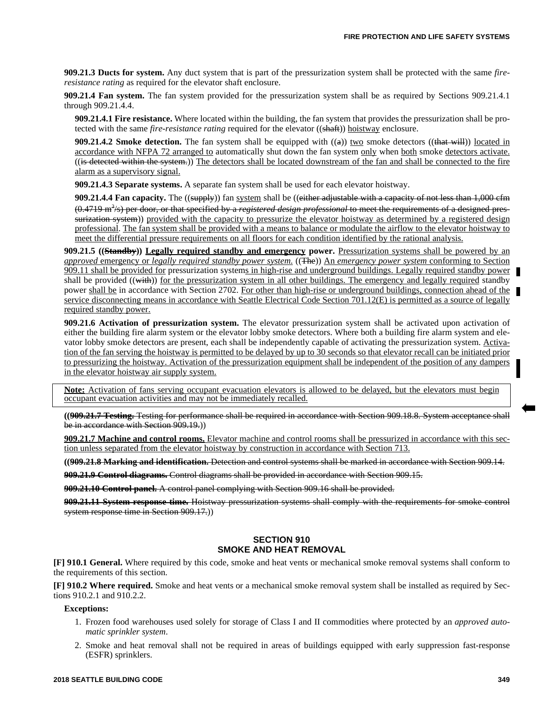**909.21.3 Ducts for system.** Any duct system that is part of the pressurization system shall be protected with the same *fireresistance rating* as required for the elevator shaft enclosure.

**909.21.4 Fan system.** The fan system provided for the pressurization system shall be as required by Sections 909.21.4.1 through 909.21.4.4.

**909.21.4.1 Fire resistance.** Where located within the building, the fan system that provides the pressurization shall be protected with the same *fire-resistance rating* required for the elevator ((shaft)) hoistway enclosure.

**909.21.4.2 Smoke detection.** The fan system shall be equipped with ((a)) two smoke detectors ((that will)) located in accordance with NFPA 72 arranged to automatically shut down the fan system only when both smoke detectors activate. ((is detected within the system.)) The detectors shall be located downstream of the fan and shall be connected to the fire alarm as a supervisory signal.

**909.21.4.3 Separate systems.** A separate fan system shall be used for each elevator hoistway.

**909.21.4.4 Fan capacity.** The ((supply)) fan system shall be ((either adjustable with a capacity of not less than 1,000 cfm (0.4719 m<sup>3</sup>/s) per door, or that specified by a *registered design professional* to meet the requirements of a designed pressurization system)) provided with the capacity to pressurize the elevator hoistway as determined by a registered design professional. The fan system shall be provided with a means to balance or modulate the airflow to the elevator hoistway to meet the differential pressure requirements on all floors for each condition identified by the rational analysis.

**909.21.5 ((Standby)) Legally required standby and emergency power.** Pressurization systems shall be powered by an *approved* emergency or *legally required standby power system.* ((The)) An *emergency power system* conforming to Section 909.11 shall be provided for pressurization systems in high-rise and underground buildings. Legally required standby power shall be provided  $((with))$  for the pressurization system in all other buildings. The emergency and legally required standby power shall be in accordance with Section 2702. For other than high-rise or underground buildings, connection ahead of the service disconnecting means in accordance with Seattle Electrical Code Section 701.12(E) is permitted as a source of legally required standby power.

**909.21.6 Activation of pressurization system.** The elevator pressurization system shall be activated upon activation of either the building fire alarm system or the elevator lobby smoke detectors. Where both a building fire alarm system and elevator lobby smoke detectors are present, each shall be independently capable of activating the pressurization system. Activation of the fan serving the hoistway is permitted to be delayed by up to 30 seconds so that elevator recall can be initiated prior to pressurizing the hoistway. Activation of the pressurization equipment shall be independent of the position of any dampers in the elevator hoistway air supply system.

**Note:** Activation of fans serving occupant evacuation elevators is allowed to be delayed, but the elevators must begin occupant evacuation activities and may not be immediately recalled.

**((909.21.7 Testing.** Testing for performance shall be required in accordance with Section 909.18.8. System acceptance shall be in accordance with Section 909.19.))

**909.21.7 Machine and control rooms.** Elevator machine and control rooms shall be pressurized in accordance with this section unless separated from the elevator hoistway by construction in accordance with Section 713.

**((909.21.8 Marking and identification.** Detection and control systems shall be marked in accordance with Section 909.14.

**909.21.9 Control diagrams.** Control diagrams shall be provided in accordance with Section 909.15.

**909.21.10 Control panel.** A control panel complying with Section 909.16 shall be provided.

**909.21.11 System response time.** Hoistway pressurization systems shall comply with the requirements for smoke control system response time in Section 909.17.)

## **SECTION 910 SMOKE AND HEAT REMOVAL**

**[F] 910.1 General.** Where required by this code, smoke and heat vents or mechanical smoke removal systems shall conform to the requirements of this section.

**[F] 910.2 Where required.** Smoke and heat vents or a mechanical smoke removal system shall be installed as required by Sections 910.2.1 and 910.2.2.

## **Exceptions:**

- 1. Frozen food warehouses used solely for storage of Class I and II commodities where protected by an *approved automatic sprinkler system*.
- 2. Smoke and heat removal shall not be required in areas of buildings equipped with early suppression fast-response (ESFR) sprinklers.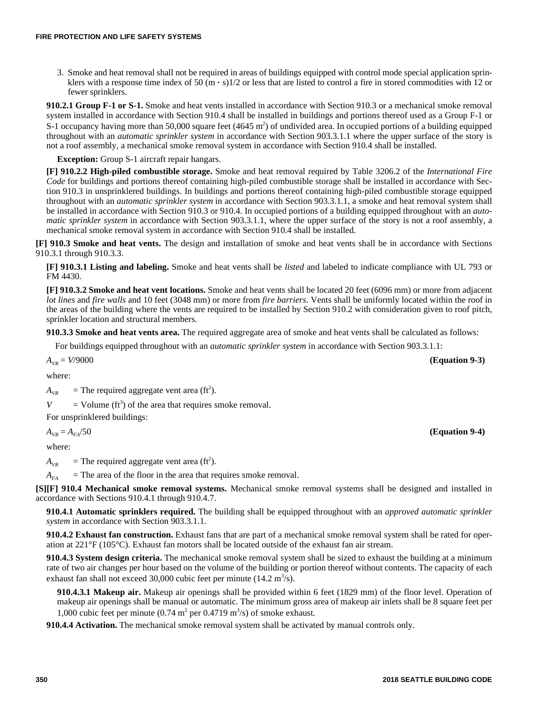3. Smoke and heat removal shall not be required in areas of buildings equipped with control mode special application sprinklers with a response time index of 50  $(m \cdot s)/2$  or less that are listed to control a fire in stored commodities with 12 or fewer sprinklers.

**910.2.1 Group F-1 or S-1.** Smoke and heat vents installed in accordance with Section 910.3 or a mechanical smoke removal system installed in accordance with Section 910.4 shall be installed in buildings and portions thereof used as a Group F-1 or S-1 occupancy having more than 50,000 square feet  $(4645 \text{ m}^2)$  of undivided area. In occupied portions of a building equipped throughout with an *automatic sprinkler system* in accordance with Section 903.3.1.1 where the upper surface of the story is not a roof assembly, a mechanical smoke removal system in accordance with Section 910.4 shall be installed.

**Exception:** Group S-1 aircraft repair hangars.

**[F] 910.2.2 High-piled combustible storage.** Smoke and heat removal required by Table 3206.2 of the *International Fire Code* for buildings and portions thereof containing high-piled combustible storage shall be installed in accordance with Section 910.3 in unsprinklered buildings. In buildings and portions thereof containing high-piled combustible storage equipped throughout with an *automatic sprinkler system* in accordance with Section 903.3.1.1, a smoke and heat removal system shall be installed in accordance with Section 910.3 or 910.4. In occupied portions of a building equipped throughout with an *automatic sprinkler system* in accordance with Section 903.3.1.1, where the upper surface of the story is not a roof assembly, a mechanical smoke removal system in accordance with Section 910.4 shall be installed.

**[F] 910.3 Smoke and heat vents.** The design and installation of smoke and heat vents shall be in accordance with Sections 910.3.1 through 910.3.3.

**[F] 910.3.1 Listing and labeling.** Smoke and heat vents shall be *listed* and labeled to indicate compliance with UL 793 or FM 4430.

**[F] 910.3.2 Smoke and heat vent locations.** Smoke and heat vents shall be located 20 feet (6096 mm) or more from adjacent *lot lines* and *fire walls* and 10 feet (3048 mm) or more from *fire barriers*. Vents shall be uniformly located within the roof in the areas of the building where the vents are required to be installed by Section 910.2 with consideration given to roof pitch, sprinkler location and structural members.

**910.3.3 Smoke and heat vents area.** The required aggregate area of smoke and heat vents shall be calculated as follows:

For buildings equipped throughout with an *automatic sprinkler system* in accordance with Section 903.3.1.1:

where:

 $A_{VR}$  = The required aggregate vent area (ft<sup>2</sup>).

 $V =$  Volume (ft<sup>3</sup>) of the area that requires smoke removal.

For unsprinklered buildings:

 $A_{VR} = A_{FA} / 50$  (Equation 9-4)

where:

 $A_{VR}$  = The required aggregate vent area (ft<sup>2</sup>).

 $A_{FA}$  = The area of the floor in the area that requires smoke removal.

**[S][F] 910.4 Mechanical smoke removal systems.** Mechanical smoke removal systems shall be designed and installed in accordance with Sections 910.4.1 through 910.4.7.

**910.4.1 Automatic sprinklers required.** The building shall be equipped throughout with an *approved automatic sprinkler system* in accordance with Section 903.3.1.1.

**910.4.2 Exhaust fan construction.** Exhaust fans that are part of a mechanical smoke removal system shall be rated for operation at 221°F (105°C). Exhaust fan motors shall be located outside of the exhaust fan air stream.

**910.4.3 System design criteria.** The mechanical smoke removal system shall be sized to exhaust the building at a minimum rate of two air changes per hour based on the volume of the building or portion thereof without contents. The capacity of each exhaust fan shall not exceed 30,000 cubic feet per minute  $(14.2 \text{ m}^3/\text{s})$ .

**910.4.3.1 Makeup air.** Makeup air openings shall be provided within 6 feet (1829 mm) of the floor level. Operation of makeup air openings shall be manual or automatic. The minimum gross area of makeup air inlets shall be 8 square feet per 1,000 cubic feet per minute  $(0.74 \text{ m}^2 \text{ per } 0.4719 \text{ m}^3/\text{s})$  of smoke exhaust.

**910.4.4 Activation.** The mechanical smoke removal system shall be activated by manual controls only.

**350 2018 SEATTLE BUILDING CODE**

 $A_{VR} = V/9000$  **(Equation 9-3)**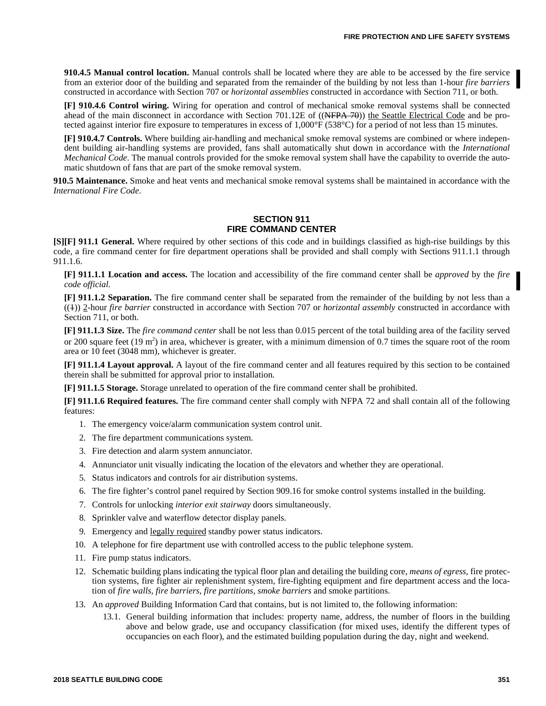**910.4.5 Manual control location.** Manual controls shall be located where they are able to be accessed by the fire service from an exterior door of the building and separated from the remainder of the building by not less than 1-hour *fire barriers* constructed in accordance with Section 707 or *horizontal assemblies* constructed in accordance with Section 711, or both.

**[F] 910.4.6 Control wiring.** Wiring for operation and control of mechanical smoke removal systems shall be connected ahead of the main disconnect in accordance with Section 701.12E of  $((\overline{NFPA 70}))$  the Seattle Electrical Code and be protected against interior fire exposure to temperatures in excess of 1,000°F (538°C) for a period of not less than 15 minutes.

**[F] 910.4.7 Controls.** Where building air-handling and mechanical smoke removal systems are combined or where independent building air-handling systems are provided, fans shall automatically shut down in accordance with the *International Mechanical Code*. The manual controls provided for the smoke removal system shall have the capability to override the automatic shutdown of fans that are part of the smoke removal system.

**910.5 Maintenance.** Smoke and heat vents and mechanical smoke removal systems shall be maintained in accordance with the *International Fire Code*.

## **SECTION 911 FIRE COMMAND CENTER**

**[S][F] 911.1 General.** Where required by other sections of this code and in buildings classified as high-rise buildings by this code, a fire command center for fire department operations shall be provided and shall comply with Sections 911.1.1 through 911.1.6.

**[F] 911.1.1 Location and access.** The location and accessibility of the fire command center shall be *approved* by the *fire code official.*

**[F] 911.1.2 Separation.** The fire command center shall be separated from the remainder of the building by not less than a ((1)) 2-hour *fire barrier* constructed in accordance with Section 707 or *horizontal assembly* constructed in accordance with Section 711, or both.

**[F] 911.1.3 Size.** The *fire command center* shall be not less than 0.015 percent of the total building area of the facility served or 200 square feet (19 m<sup>2</sup>) in area, whichever is greater, with a minimum dimension of 0.7 times the square root of the room area or 10 feet (3048 mm), whichever is greater.

**[F] 911.1.4 Layout approval.** A layout of the fire command center and all features required by this section to be contained therein shall be submitted for approval prior to installation.

**[F] 911.1.5 Storage.** Storage unrelated to operation of the fire command center shall be prohibited.

**[F] 911.1.6 Required features.** The fire command center shall comply with NFPA 72 and shall contain all of the following features:

- 1. The emergency voice/alarm communication system control unit.
- 2. The fire department communications system.
- 3. Fire detection and alarm system annunciator.
- 4. Annunciator unit visually indicating the location of the elevators and whether they are operational.
- 5. Status indicators and controls for air distribution systems.
- 6. The fire fighter's control panel required by Section 909.16 for smoke control systems installed in the building.
- 7. Controls for unlocking *interior exit stairway* doors simultaneously.
- 8. Sprinkler valve and waterflow detector display panels.
- 9. Emergency and legally required standby power status indicators.
- 10. A telephone for fire department use with controlled access to the public telephone system.
- 11. Fire pump status indicators.
- 12. Schematic building plans indicating the typical floor plan and detailing the building core, *means of egress*, fire protection systems, fire fighter air replenishment system, fire-fighting equipment and fire department access and the location of *fire walls, fire barriers, fire partitions, smoke barriers* and smoke partitions.
- 13. An *approved* Building Information Card that contains, but is not limited to, the following information:
	- 13.1. General building information that includes: property name, address, the number of floors in the building above and below grade, use and occupancy classification (for mixed uses, identify the different types of occupancies on each floor), and the estimated building population during the day, night and weekend.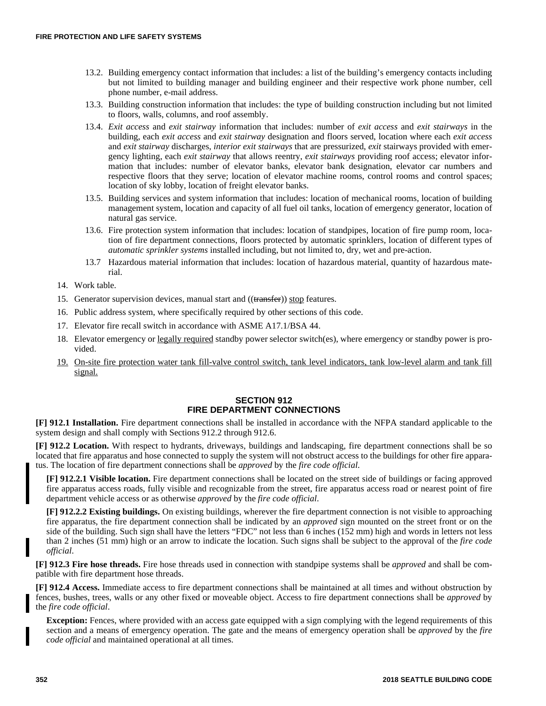- 13.2. Building emergency contact information that includes: a list of the building's emergency contacts including but not limited to building manager and building engineer and their respective work phone number, cell phone number, e-mail address.
- 13.3. Building construction information that includes: the type of building construction including but not limited to floors, walls, columns, and roof assembly.
- 13.4. *Exit access* and *exit stairway* information that includes: number of *exit access* and *exit stairways* in the building, each *exit access* and *exit stairway* designation and floors served, location where each *exit access* and *exit stairway* discharges, *interior exit stairways* that are pressurized, *exit* stairways provided with emergency lighting, each *exit stairway* that allows reentry, *exit stairways* providing roof access; elevator information that includes: number of elevator banks, elevator bank designation, elevator car numbers and respective floors that they serve; location of elevator machine rooms, control rooms and control spaces; location of sky lobby, location of freight elevator banks.
- 13.5. Building services and system information that includes: location of mechanical rooms, location of building management system, location and capacity of all fuel oil tanks, location of emergency generator, location of natural gas service.
- 13.6. Fire protection system information that includes: location of standpipes, location of fire pump room, location of fire department connections, floors protected by automatic sprinklers, location of different types of *automatic sprinkler systems* installed including, but not limited to, dry, wet and pre-action.
- 13.7 Hazardous material information that includes: location of hazardous material, quantity of hazardous material.
- 14. Work table.
- 15. Generator supervision devices, manual start and ((transfer)) stop features.
- 16. Public address system, where specifically required by other sections of this code.
- 17. Elevator fire recall switch in accordance with ASME A17.1/BSA 44.
- 18. Elevator emergency or legally required standby power selector switch(es), where emergency or standby power is provided.
- 19. On-site fire protection water tank fill-valve control switch, tank level indicators, tank low-level alarm and tank fill signal.

## **SECTION 912 FIRE DEPARTMENT CONNECTIONS**

**[F] 912.1 Installation.** Fire department connections shall be installed in accordance with the NFPA standard applicable to the system design and shall comply with Sections 912.2 through 912.6.

**[F] 912.2 Location.** With respect to hydrants, driveways, buildings and landscaping, fire department connections shall be so located that fire apparatus and hose connected to supply the system will not obstruct access to the buildings for other fire apparatus. The location of fire department connections shall be *approved* by the *fire code official*.

**[F] 912.2.1 Visible location.** Fire department connections shall be located on the street side of buildings or facing approved fire apparatus access roads, fully visible and recognizable from the street, fire apparatus access road or nearest point of fire department vehicle access or as otherwise *approved* by the *fire code official*.

**[F] 912.2.2 Existing buildings.** On existing buildings, wherever the fire department connection is not visible to approaching fire apparatus, the fire department connection shall be indicated by an *approved* sign mounted on the street front or on the side of the building. Such sign shall have the letters "FDC" not less than 6 inches (152 mm) high and words in letters not less than 2 inches (51 mm) high or an arrow to indicate the location. Such signs shall be subject to the approval of the *fire code official*.

**[F] 912.3 Fire hose threads.** Fire hose threads used in connection with standpipe systems shall be *approved* and shall be compatible with fire department hose threads.

**[F] 912.4 Access.** Immediate access to fire department connections shall be maintained at all times and without obstruction by fences, bushes, trees, walls or any other fixed or moveable object. Access to fire department connections shall be *approved* by the *fire code official*.

**Exception:** Fences, where provided with an access gate equipped with a sign complying with the legend requirements of this section and a means of emergency operation. The gate and the means of emergency operation shall be *approved* by the *fire code official* and maintained operational at all times.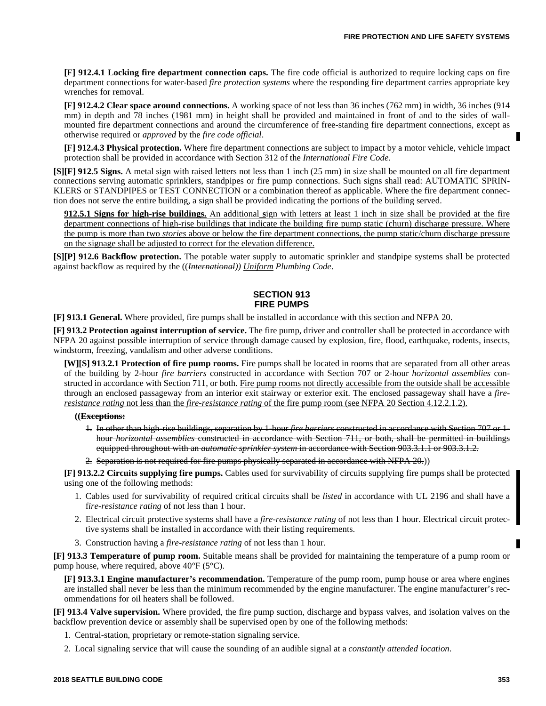**[F] 912.4.1 Locking fire department connection caps.** The fire code official is authorized to require locking caps on fire department connections for water-based *fire protection systems* where the responding fire department carries appropriate key wrenches for removal.

**[F] 912.4.2 Clear space around connections.** A working space of not less than 36 inches (762 mm) in width, 36 inches (914 mm) in depth and 78 inches (1981 mm) in height shall be provided and maintained in front of and to the sides of wallmounted fire department connections and around the circumference of free-standing fire department connections, except as otherwise required or *approved* by the *fire code official*.

**[F] 912.4.3 Physical protection.** Where fire department connections are subject to impact by a motor vehicle, vehicle impact protection shall be provided in accordance with Section 312 of the *International Fire Code.*

**[S][F] 912.5 Signs.** A metal sign with raised letters not less than 1 inch (25 mm) in size shall be mounted on all fire department connections serving automatic sprinklers, standpipes or fire pump connections. Such signs shall read: AUTOMATIC SPRIN-KLERS or STANDPIPES or TEST CONNECTION or a combination thereof as applicable. Where the fire department connection does not serve the entire building, a sign shall be provided indicating the portions of the building served.

**912.5.1 Signs for high-rise buildings.** An additional **s**ign with letters at least 1 inch in size shall be provided at the fire department connections of high-rise buildings that indicate the building fire pump static (churn) discharge pressure. Where the pump is more than two *stories* above or below the fire department connections, the pump static/churn discharge pressure on the signage shall be adjusted to correct for the elevation difference.

**[S][P] 912.6 Backflow protection.** The potable water supply to automatic sprinkler and standpipe systems shall be protected against backflow as required by the ((*International)) Uniform Plumbing Code*.

# **SECTION 913 FIRE PUMPS**

**[F] 913.1 General.** Where provided, fire pumps shall be installed in accordance with this section and NFPA 20.

**[F] 913.2 Protection against interruption of service.** The fire pump, driver and controller shall be protected in accordance with NFPA 20 against possible interruption of service through damage caused by explosion, fire, flood, earthquake, rodents, insects, windstorm, freezing, vandalism and other adverse conditions.

**[W][S] 913.2.1 Protection of fire pump rooms.** Fire pumps shall be located in rooms that are separated from all other areas of the building by 2-hour *fire barriers* constructed in accordance with Section 707 or 2-hour *horizontal assemblies* constructed in accordance with Section 711, or both. Fire pump rooms not directly accessible from the outside shall be accessible through an enclosed passageway from an interior exit stairway or exterior exit. The enclosed passageway shall have a *fireresistance rating* not less than the *fire-resistance rating* of the fire pump room (see NFPA 20 Section 4.12.2.1.2).

## **((Exceptions:**

- 1. In other than high-rise buildings, separation by 1-hour *fire barriers* constructed in accordance with Section 707 or 1 hour *horizontal assemblies* constructed in accordance with Section 711, or both, shall be permitted in buildings equipped throughout with an *automatic sprinkler system* in accordance with Section 903.3.1.1 or 903.3.1.2.
- 2. Separation is not required for fire pumps physically separated in accordance with NFPA 20.))

**[F] 913.2.2 Circuits supplying fire pumps.** Cables used for survivability of circuits supplying fire pumps shall be protected using one of the following methods:

- 1. Cables used for survivability of required critical circuits shall be *listed* in accordance with UL 2196 and shall have a f*ire-resistance rating* of not less than 1 hour.
- 2. Electrical circuit protective systems shall have a *fire-resistance rating* of not less than 1 hour. Electrical circuit protective systems shall be installed in accordance with their listing requirements.
- 3. Construction having a *fire-resistance rating* of not less than 1 hour.

**[F] 913.3 Temperature of pump room.** Suitable means shall be provided for maintaining the temperature of a pump room or pump house, where required, above 40°F (5°C).

**[F] 913.3.1 Engine manufacturer's recommendation.** Temperature of the pump room, pump house or area where engines are installed shall never be less than the minimum recommended by the engine manufacturer. The engine manufacturer's recommendations for oil heaters shall be followed.

**[F] 913.4 Valve supervision.** Where provided, the fire pump suction, discharge and bypass valves, and isolation valves on the backflow prevention device or assembly shall be supervised open by one of the following methods:

- 1. Central-station, proprietary or remote-station signaling service.
- 2. Local signaling service that will cause the sounding of an audible signal at a *constantly attended location*.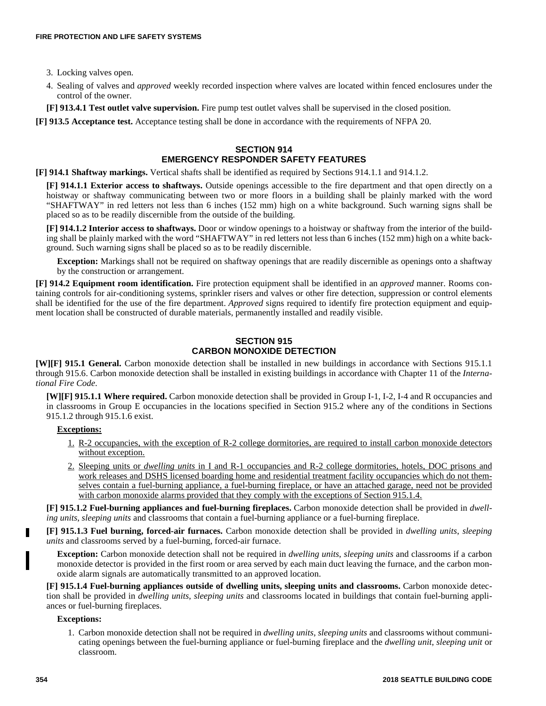- 3. Locking valves open.
- 4. Sealing of valves and *approved* weekly recorded inspection where valves are located within fenced enclosures under the control of the owner.
- **[F] 913.4.1 Test outlet valve supervision.** Fire pump test outlet valves shall be supervised in the closed position.

**[F] 913.5 Acceptance test.** Acceptance testing shall be done in accordance with the requirements of NFPA 20.

# **SECTION 914 EMERGENCY RESPONDER SAFETY FEATURES**

**[F] 914.1 Shaftway markings.** Vertical shafts shall be identified as required by Sections 914.1.1 and 914.1.2.

**[F] 914.1.1 Exterior access to shaftways.** Outside openings accessible to the fire department and that open directly on a hoistway or shaftway communicating between two or more floors in a building shall be plainly marked with the word "SHAFTWAY" in red letters not less than 6 inches (152 mm) high on a white background. Such warning signs shall be placed so as to be readily discernible from the outside of the building.

**[F] 914.1.2 Interior access to shaftways.** Door or window openings to a hoistway or shaftway from the interior of the building shall be plainly marked with the word "SHAFTWAY" in red letters not less than 6 inches (152 mm) high on a white background. Such warning signs shall be placed so as to be readily discernible.

**Exception:** Markings shall not be required on shaftway openings that are readily discernible as openings onto a shaftway by the construction or arrangement.

**[F] 914.2 Equipment room identification.** Fire protection equipment shall be identified in an *approved* manner. Rooms containing controls for air-conditioning systems, sprinkler risers and valves or other fire detection, suppression or control elements shall be identified for the use of the fire department. *Approved* signs required to identify fire protection equipment and equipment location shall be constructed of durable materials, permanently installed and readily visible.

# **SECTION 915 CARBON MONOXIDE DETECTION**

**[W][F] 915.1 General.** Carbon monoxide detection shall be installed in new buildings in accordance with Sections 915.1.1 through 915.6. Carbon monoxide detection shall be installed in existing buildings in accordance with Chapter 11 of the *International Fire Code*.

**[W][F] 915.1.1 Where required.** Carbon monoxide detection shall be provided in Group I-1, I-2, I-4 and R occupancies and in classrooms in Group E occupancies in the locations specified in Section 915.2 where any of the conditions in Sections 915.1.2 through 915.1.6 exist.

# **Exceptions:**

- 1. R-2 occupancies, with the exception of R-2 college dormitories, are required to install carbon monoxide detectors without exception.
- 2. Sleeping units or *dwelling units* in I and R-1 occupancies and R-2 college dormitories, hotels, DOC prisons and work releases and DSHS licensed boarding home and residential treatment facility occupancies which do not themselves contain a fuel-burning appliance, a fuel-burning fireplace, or have an attached garage, need not be provided with carbon monoxide alarms provided that they comply with the exceptions of Section 915.1.4.

**[F] 915.1.2 Fuel-burning appliances and fuel-burning fireplaces.** Carbon monoxide detection shall be provided in *dwelling units*, *sleeping units* and classrooms that contain a fuel-burning appliance or a fuel-burning fireplace.

**[F] 915.1.3 Fuel burning, forced-air furnaces.** Carbon monoxide detection shall be provided in *dwelling units*, *sleeping units* and classrooms served by a fuel-burning, forced-air furnace.

**Exception:** Carbon monoxide detection shall not be required in *dwelling units*, *sleeping units* and classrooms if a carbon monoxide detector is provided in the first room or area served by each main duct leaving the furnace, and the carbon monoxide alarm signals are automatically transmitted to an approved location.

**[F] 915.1.4 Fuel-burning appliances outside of dwelling units, sleeping units and classrooms.** Carbon monoxide detection shall be provided in *dwelling units*, *sleeping units* and classrooms located in buildings that contain fuel-burning appliances or fuel-burning fireplaces.

# **Exceptions:**

1. Carbon monoxide detection shall not be required in *dwelling units*, *sleeping units* and classrooms without communicating openings between the fuel-burning appliance or fuel-burning fireplace and the *dwelling unit*, *sleeping unit* or classroom.

п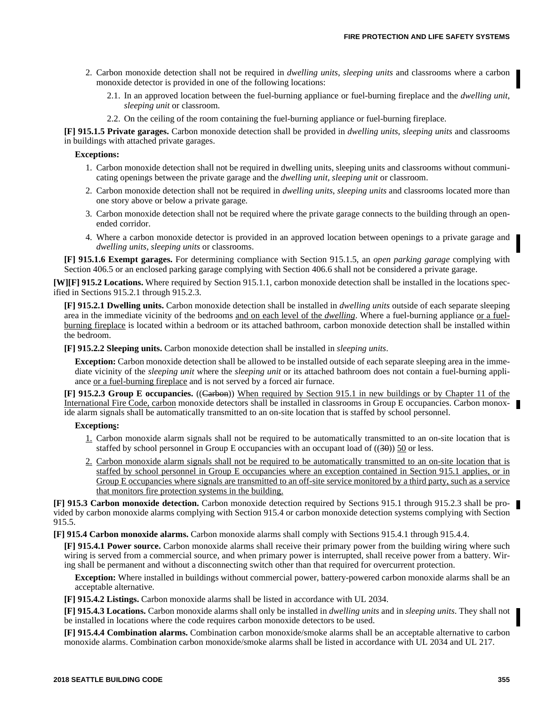- 2. Carbon monoxide detection shall not be required in *dwelling units*, *sleeping units* and classrooms where a carbon monoxide detector is provided in one of the following locations:
	- 2.1. In an approved location between the fuel-burning appliance or fuel-burning fireplace and the *dwelling unit*, *sleeping unit* or classroom.
	- 2.2. On the ceiling of the room containing the fuel-burning appliance or fuel-burning fireplace.

**[F] 915.1.5 Private garages.** Carbon monoxide detection shall be provided in *dwelling units*, *sleeping units* and classrooms in buildings with attached private garages.

#### **Exceptions:**

- 1. Carbon monoxide detection shall not be required in dwelling units, sleeping units and classrooms without communicating openings between the private garage and the *dwelling unit*, *sleeping unit* or classroom.
- 2. Carbon monoxide detection shall not be required in *dwelling units*, *sleeping units* and classrooms located more than one story above or below a private garage.
- 3. Carbon monoxide detection shall not be required where the private garage connects to the building through an openended corridor.
- 4. Where a carbon monoxide detector is provided in an approved location between openings to a private garage and *dwelling units*, *sleeping units* or classrooms.

**[F] 915.1.6 Exempt garages.** For determining compliance with Section 915.1.5, an *open parking garage* complying with Section 406.5 or an enclosed parking garage complying with Section 406.6 shall not be considered a private garage.

**[W][F] 915.2 Locations.** Where required by Section 915.1.1, carbon monoxide detection shall be installed in the locations specified in Sections 915.2.1 through 915.2.3.

**[F] 915.2.1 Dwelling units.** Carbon monoxide detection shall be installed in *dwelling units* outside of each separate sleeping area in the immediate vicinity of the bedrooms and on each level of the *dwelling*. Where a fuel-burning appliance or a fuelburning fireplace is located within a bedroom or its attached bathroom, carbon monoxide detection shall be installed within the bedroom.

**[F] 915.2.2 Sleeping units.** Carbon monoxide detection shall be installed in *sleeping units*.

**Exception:** Carbon monoxide detection shall be allowed to be installed outside of each separate sleeping area in the immediate vicinity of the *sleeping unit* where the *sleeping unit* or its attached bathroom does not contain a fuel-burning appliance or a fuel-burning fireplace and is not served by a forced air furnace.

**[F] 915.2.3 Group E occupancies.** ((Carbon)) When required by Section 915.1 in new buildings or by Chapter 11 of the International Fire Code, carbon monoxide detectors shall be installed in classrooms in Group E occupancies. Carbon monoxide alarm signals shall be automatically transmitted to an on-site location that is staffed by school personnel.

#### **Exceptions:**

- 1. Carbon monoxide alarm signals shall not be required to be automatically transmitted to an on-site location that is staffed by school personnel in Group E occupancies with an occupant load of  $((30))$  50 or less.
- 2. Carbon monoxide alarm signals shall not be required to be automatically transmitted to an on-site location that is staffed by school personnel in Group E occupancies where an exception contained in Section 915.1 applies, or in Group E occupancies where signals are transmitted to an off-site service monitored by a third party, such as a service that monitors fire protection systems in the building.

**[F] 915.3 Carbon monoxide detection.** Carbon monoxide detection required by Sections 915.1 through 915.2.3 shall be provided by carbon monoxide alarms complying with Section 915.4 or carbon monoxide detection systems complying with Section 915.5.

**[F] 915.4 Carbon monoxide alarms.** Carbon monoxide alarms shall comply with Sections 915.4.1 through 915.4.4.

**[F] 915.4.1 Power source.** Carbon monoxide alarms shall receive their primary power from the building wiring where such wiring is served from a commercial source, and when primary power is interrupted, shall receive power from a battery. Wiring shall be permanent and without a disconnecting switch other than that required for overcurrent protection.

**Exception:** Where installed in buildings without commercial power, battery-powered carbon monoxide alarms shall be an acceptable alternative.

**[F] 915.4.2 Listings.** Carbon monoxide alarms shall be listed in accordance with UL 2034.

**[F] 915.4.3 Locations.** Carbon monoxide alarms shall only be installed in *dwelling units* and in *sleeping units*. They shall not be installed in locations where the code requires carbon monoxide detectors to be used.

**[F] 915.4.4 Combination alarms.** Combination carbon monoxide/smoke alarms shall be an acceptable alternative to carbon monoxide alarms. Combination carbon monoxide/smoke alarms shall be listed in accordance with UL 2034 and UL 217.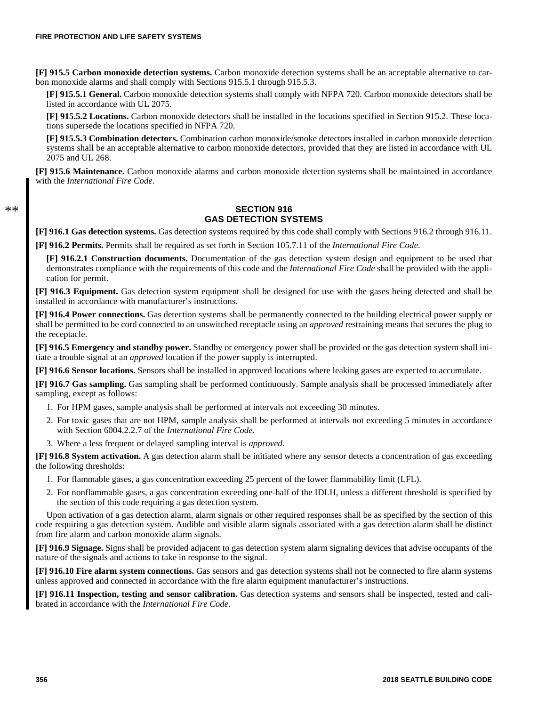**[F] 915.5 Carbon monoxide detection systems.** Carbon monoxide detection systems shall be an acceptable alternative to carbon monoxide alarms and shall comply with Sections 915.5.1 through 915.5.3.

**[F] 915.5.1 General.** Carbon monoxide detection systems shall comply with NFPA 720. Carbon monoxide detectors shall be listed in accordance with UL 2075.

**[F] 915.5.2 Locations.** Carbon monoxide detectors shall be installed in the locations specified in Section 915.2. These locations supersede the locations specified in NFPA 720.

**[F] 915.5.3 Combination detectors.** Combination carbon monoxide/smoke detectors installed in carbon monoxide detection systems shall be an acceptable alternative to carbon monoxide detectors, provided that they are listed in accordance with UL 2075 and UL 268.

**[F] 915.6 Maintenance.** Carbon monoxide alarms and carbon monoxide detection systems shall be maintained in accordance with the *International Fire Code*.

## **SECTION 916 GAS DETECTION SYSTEMS**

**[F] 916.1 Gas detection systems.** Gas detection systems required by this code shall comply with Sections 916.2 through 916.11.

**[F] 916.2 Permits.** Permits shall be required as set forth in Section 105.7.11 of the *International Fire Code*.

**[F] 916.2.1 Construction documents.** Documentation of the gas detection system design and equipment to be used that demonstrates compliance with the requirements of this code and the *International Fire Code* shall be provided with the application for permit.

**[F] 916.3 Equipment.** Gas detection system equipment shall be designed for use with the gases being detected and shall be installed in accordance with manufacturer's instructions.

**[F] 916.4 Power connections.** Gas detection systems shall be permanently connected to the building electrical power supply or shall be permitted to be cord connected to an unswitched receptacle using an *approved* restraining means that secures the plug to the receptacle.

**[F] 916.5 Emergency and standby power.** Standby or emergency power shall be provided or the gas detection system shall initiate a trouble signal at an *approved* location if the power supply is interrupted.

**[F] 916.6 Sensor locations.** Sensors shall be installed in approved locations where leaking gases are expected to accumulate.

**[F] 916.7 Gas sampling.** Gas sampling shall be performed continuously. Sample analysis shall be processed immediately after sampling, except as follows:

- 1. For HPM gases, sample analysis shall be performed at intervals not exceeding 30 minutes.
- 2. For toxic gases that are not HPM, sample analysis shall be performed at intervals not exceeding 5 minutes in accordance with Section 6004.2.2.7 of the *International Fire Code.*
- 3. Where a less frequent or delayed sampling interval is *approved.*

**[F] 916.8 System activation.** A gas detection alarm shall be initiated where any sensor detects a concentration of gas exceeding the following thresholds:

- 1. For flammable gases, a gas concentration exceeding 25 percent of the lower flammability limit (LFL).
- 2. For nonflammable gases, a gas concentration exceeding one-half of the IDLH, unless a different threshold is specified by the section of this code requiring a gas detection system.

Upon activation of a gas detection alarm, alarm signals or other required responses shall be as specified by the section of this code requiring a gas detection system. Audible and visible alarm signals associated with a gas detection alarm shall be distinct from fire alarm and carbon monoxide alarm signals.

**[F] 916.9 Signage.** Signs shall be provided adjacent to gas detection system alarm signaling devices that advise occupants of the nature of the signals and actions to take in response to the signal.

**[F] 916.10 Fire alarm system connections.** Gas sensors and gas detection systems shall not be connected to fire alarm systems unless approved and connected in accordance with the fire alarm equipment manufacturer's instructions.

**[F] 916.11 Inspection, testing and sensor calibration.** Gas detection systems and sensors shall be inspected, tested and calibrated in accordance with the *International Fire Code*.